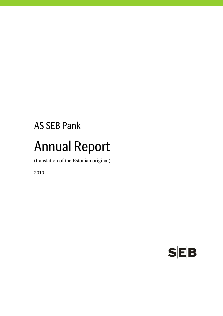# AS SEB Pank Annual Report

(translation of the Estonian original)

2010

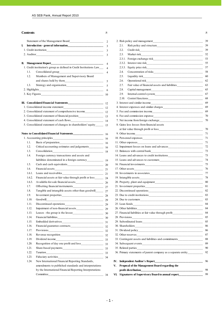| L. |                                                                       |  |
|----|-----------------------------------------------------------------------|--|
|    |                                                                       |  |
|    |                                                                       |  |
|    |                                                                       |  |
|    | 1. Credit institution's group as defined in Credit Institutions Law 4 |  |
|    |                                                                       |  |
|    | 1.2. Members of Management and Supervisory Board                      |  |
|    |                                                                       |  |
|    | 1.3.                                                                  |  |
|    |                                                                       |  |
|    |                                                                       |  |
|    |                                                                       |  |
|    |                                                                       |  |
|    |                                                                       |  |
|    | 2. Concelidated atotomout of communicative in come                    |  |

| 2. Consolidated statement of comprehensive income            | 12 | 5. Fee and commission income               |
|--------------------------------------------------------------|----|--------------------------------------------|
| 3. Consolidated statement of financial position              | 13 | 6. Fee and commission expense              |
| 4. Consolidated statement of cash flows                      | 14 | 7. Net income from foreign exchange.       |
| 5. Consolidated statement of changes in shareholders' equity |    | 8. Gains less losses from financial assets |

|        | 1. Accounting principles                                            |    |                                                        |
|--------|---------------------------------------------------------------------|----|--------------------------------------------------------|
| 1.1.   |                                                                     |    |                                                        |
| 1.2.   | Critical accounting estimates and judgements 16                     |    | 12. Impairment losses on loans and advances            |
| 1.3.   |                                                                     |    |                                                        |
| 1.4.   | Foreign currency transactions and assets and                        |    | 14. Loans and advances to credit institutions          |
|        |                                                                     |    |                                                        |
| 1.5.   |                                                                     |    |                                                        |
| 1.6.   |                                                                     |    |                                                        |
| 1.6.1. |                                                                     |    |                                                        |
| 1.6.2. | Financial assets at fair value through profit or loss___________ 24 |    |                                                        |
| 1.6.3. |                                                                     |    |                                                        |
| 1.7.   |                                                                     |    |                                                        |
| 1.8.   | Tangible and intangible assets other than goodwill 27               |    |                                                        |
| 1.9.   |                                                                     |    |                                                        |
| 1.10.  |                                                                     |    |                                                        |
| 1.11.  |                                                                     |    |                                                        |
| 1.12.  |                                                                     |    |                                                        |
| 1.13.  |                                                                     |    | 27. Financial liabilities at fair value through profit |
| 1.14.  |                                                                     |    |                                                        |
| 1.15.  |                                                                     |    |                                                        |
| 1.16.  |                                                                     |    |                                                        |
| 1.17.  |                                                                     |    |                                                        |
| 1.18.  |                                                                     |    |                                                        |
| 1.19.  |                                                                     |    | 33. Contingent assets and liabilities and commitments  |
| 1.20.  |                                                                     |    |                                                        |
| 1.21.  |                                                                     |    |                                                        |
| 1.22.  |                                                                     |    | 36. Primary statements of parent company as a separa   |
| 1.23.  |                                                                     |    |                                                        |
| 1.24.  | New International Financial Reporting Standards,                    |    | IV. Independent Auditor's Report                       |
|        | amendments to published standards and interpretations               | V. | Proposal of the Management Board regarding the         |
|        | by the International Financial Reporting Interpretations            |    | profit distribution                                    |
|        |                                                                     |    | VI. Signatures of Supervisory Board to annual report   |

|    | <b>Contents</b> |                                                                            | Р.    |                                                                                  | Р. |
|----|-----------------|----------------------------------------------------------------------------|-------|----------------------------------------------------------------------------------|----|
|    |                 | Statement of the Management Board                                          | 2     | 2. Risk policy and management                                                    | 39 |
| I. |                 |                                                                            |       | 2.1.                                                                             | 39 |
|    |                 |                                                                            |       | 2.2.                                                                             | 39 |
|    |                 |                                                                            |       | 2.3.                                                                             | 52 |
|    |                 |                                                                            |       | 2.3.1.                                                                           | 53 |
|    |                 |                                                                            |       | 2.3.2.                                                                           | 55 |
|    |                 | 1. Credit institution's group as defined in Credit Institutions Law_____ 4 |       | 2.3.3.                                                                           | 57 |
|    | 1.1.            |                                                                            |       | 2.4.                                                                             | 58 |
|    | 1.2.            | Members of Management and Supervisory Board                                |       | 2.5.                                                                             | 60 |
|    |                 |                                                                            |       | 2.6.                                                                             | 62 |
|    | 1.3.            |                                                                            |       | 2.7.                                                                             | 63 |
|    |                 |                                                                            |       | 2.8.                                                                             | 65 |
|    |                 |                                                                            |       | 2.9.                                                                             | 67 |
|    |                 |                                                                            |       | 2.10.                                                                            | 68 |
|    |                 |                                                                            |       |                                                                                  | 69 |
|    |                 |                                                                            |       |                                                                                  | 69 |
|    |                 | 2. Consolidated statement of comprehensive income_________________ 12      |       | 5. Fee and commission income                                                     | 69 |
|    |                 |                                                                            |       |                                                                                  | 70 |
|    |                 |                                                                            |       |                                                                                  | 70 |
|    |                 | 5. Consolidated statement of changes in shareholders' equity________ 15    |       | 8. Gains less losses from financial assets                                       |    |
|    |                 |                                                                            |       |                                                                                  | 70 |
|    |                 |                                                                            |       |                                                                                  | 71 |
|    |                 |                                                                            |       |                                                                                  | 71 |
|    | 1.1.            |                                                                            |       |                                                                                  | 71 |
|    | 1.2.            |                                                                            |       | 12. Impairment losses on loans and advances                                      | 72 |
|    | 1.3.            |                                                                            |       |                                                                                  | 73 |
|    | 1.4.            | Foreign currency transactions and assets and                               |       | 14. Loans and advances to credit institutions___________________________________ | 73 |
|    |                 |                                                                            |       |                                                                                  | 74 |
|    | 1.5.            |                                                                            |       |                                                                                  | 75 |
|    | 1.6.            |                                                                            |       |                                                                                  | 76 |
|    | 1.6.1.          |                                                                            |       |                                                                                  | 77 |
|    | 1.6.2.          | Financial assets at fair value through profit or loss__________ 24         |       |                                                                                  | 78 |
|    | 1.6.3.          |                                                                            |       |                                                                                  | 80 |
|    | 1.7.            |                                                                            |       |                                                                                  | 81 |
|    | 1.8.            | Tangible and intangible assets other than goodwill_________ 27             |       |                                                                                  | 82 |
|    | 1.9.            |                                                                            |       |                                                                                  | 83 |
|    | 1.10.           |                                                                            | $-29$ | 24. Due to customers                                                             | 83 |
|    | 1.11.           |                                                                            |       |                                                                                  | 84 |
|    | 1.12.           |                                                                            |       | 26. Other liabilities                                                            | 84 |
|    | 1.13.           |                                                                            |       | 27. Financial liabilities at fair value through profit__________________________ | 84 |
|    | 1.14.           |                                                                            |       |                                                                                  | 85 |
|    | 1.15.           |                                                                            |       |                                                                                  | 85 |
|    | 1.16.           |                                                                            |       |                                                                                  | 86 |
|    | 1.17.           |                                                                            |       |                                                                                  | 86 |
|    | 1.18.           |                                                                            |       |                                                                                  | 87 |
|    | 1.19.           |                                                                            |       | 33. Contingent assets and liabilities and commitments___________________________ | 88 |
|    | 1.20.           |                                                                            |       |                                                                                  | 89 |
|    | 1.21.           |                                                                            |       |                                                                                  | 90 |
|    | 1.22.           |                                                                            |       | 36. Primary statements of parent company as a separate entity__________          | 92 |
|    | 1.23.           |                                                                            |       |                                                                                  |    |
|    | 1.24.           | New International Financial Reporting Standards,                           |       |                                                                                  | 96 |
|    |                 | amendments to published standards and interpretations                      |       | V. Proposal of the Management Board regarding the                                |    |
|    |                 | by the International Financial Reporting Interpretations                   |       |                                                                                  | 98 |
|    |                 | Committee                                                                  |       | VI. Signatures of Supervisory Board to annual report________________             | 99 |
|    |                 |                                                                            | 34    |                                                                                  |    |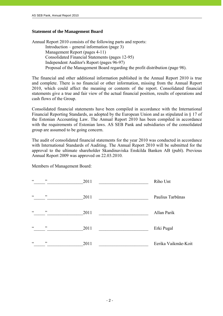# **Statement of the Management Board**

Annual Report 2010 consists of the following parts and reports: Introduction – general information (page 3) Management Report (pages 4-11) Consolidated Financial Statements (pages 12-95) Independent Auditor's Report (pages 96-97) Proposal of the Management Board regarding the profit distribution (page 98).

The financial and other additional information published in the Annual Report 2010 is true and complete. There is no financial or other information, missing from the Annual Report 2010, which could affect the meaning or contents of the report. Consolidated financial statements give a true and fair view of the actual financial position, results of operations and cash flows of the Group.

Consolidated financial statements have been compiled in accordance with the International Financial Reporting Standards, as adopted by the European Union and as stipulated in § 17 of the Estonian Accounting Law. The Annual Report 2010 has been compiled in accordance with the requirements of Estonian laws. AS SEB Pank and subsidiaries of the consolidated group are assumed to be going concern.

The audit of consolidated financial statements for the year 2010 was conducted in accordance with International Standards of Auditing. The Annual Report 2010 will be submitted for the approval to the ultimate shareholder Skandinaviska Enskilda Banken AB (publ). Previous Annual Report 2009 was approved on 22.03.2010.

Members of Management Board:

| $\boldsymbol{\varsigma}$ $\boldsymbol{\varsigma}$ | , 2 | 2011 | Riho Unt            |
|---------------------------------------------------|-----|------|---------------------|
| $\boldsymbol{\varsigma}$ $\boldsymbol{\varsigma}$ | , 2 | 2011 | Paulius Tarbūnas    |
| $\zeta$ $\zeta$                                   | , 2 | 2011 | Allan Parik         |
| $\boldsymbol{\varsigma}$ $\boldsymbol{\varsigma}$ | , 2 | 2011 | Erki Pugal          |
| $\boldsymbol{\varsigma}$ $\boldsymbol{\varsigma}$ | , 2 | 2011 | Eerika Vaikmäe-Koit |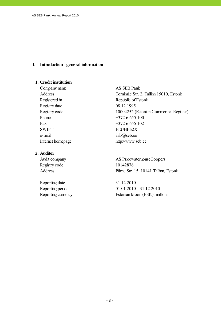# **I. Introduction - general information**

# **1. Credit institution**

Company name AS SEB Pank Registry date 08.12.1995 Phone  $+3726655100$ Fax  $+3726655102$ SWIFT EEUHEE2X e-mail info@seb.ee

#### **2. Auditor**

Registry code 10142876

Reporting date 31.12.2010

Address Tornimäe Str. 2, Tallinn 15010, Estonia Registered in Republic of Estonia Registry code 10004252 (Estonian Commercial Register) Internet homepage http://www.seb.ee

Audit company AS PricewaterhouseCoopers Address Pärnu Str. 15, 10141 Tallinn, Estonia

Reporting period 01.01.2010 - 31.12.2010 Reporting currency Estonian kroon (EEK), millions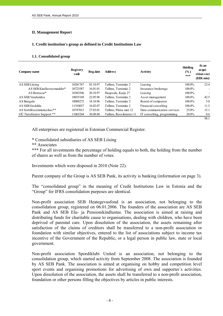## **II. Management Report**

j

#### **1. Credit institution's group as defined in Credit Institutions Law**

#### **1.1. Consolidated group**

| Company name                               | <b>Registry</b><br>code | Reg.date | <b>Address</b>           | Activity                    | Holding<br>$\frac{6}{2}$<br>$***$ | At an<br>acqui-<br>sition cost<br>(EEK mio) |
|--------------------------------------------|-------------------------|----------|--------------------------|-----------------------------|-----------------------------------|---------------------------------------------|
| AS SEB Liising                             | 10281767                | 03.10.97 | Tallinn, Tornimäe 2      | Leasing                     | 100.0%                            | 23.4                                        |
| AS SEB Kindlustusmaakler*                  | 10723587                | 16.01.01 | Tallinn, Tornimäe 2      | Insurance brokerage         | 100.0%                            |                                             |
| AS Rentacar*                               | 10303546                | 20.10.97 | Haapsalu, Karja 27       | Leasing                     | 100.0%                            | $\overline{\phantom{0}}$                    |
| AS SEB Varahaldus                          | 10035169                | 22,05.96 | Tallinn. Tornimäe 2      | Asset management            | 100.0%                            | 42.5                                        |
| AS Bangalo                                 | 10088272                | 18.10.96 | Tallinn. Tornimäe 2      | Rental of computers         | $100.0\%$                         | 5.0                                         |
| AS SEB Enskilda                            | 11354037                | 16.02.07 | Tallinn, Tornimäe 2      | Financial consulting        | $100.0\%$                         | 11.5                                        |
| AS Sertifits eerimis kes kus <sup>**</sup> | 10747013                | 27.03.01 | Tallinn. Pärnu mnt 12    | Data communication services | 25.0%                             | 15.1                                        |
| OÜ Tieto Enator Support **                 | 11065244                | 30.08.04 | Tallinn, Roosikrantsi 11 | IT consulting, programming  | $20.0\%$                          | 0.6                                         |
|                                            |                         |          |                          |                             |                                   | 98.1                                        |

All enterprises are registered in Estonian Commercial Register.

\* Consolidated subsidiaries of AS SEB Liising

\*\* Associates

\*\*\* For all investments the percentage of holding equals to both, the holding from the number of shares as well as from the number of votes.

Investments which were disposed in 2010 (Note 22).

Parent company of the Group is AS SEB Pank, its activity is banking (information on page 3).

The "consolidated group" in the meaning of Credit Institutions Law in Estonia and the "Group" for IFRS consolidation purposes are identical.

Non-profit association SEB Heategevusfond is an association, not belonging to the consolidation group, registered on 06.01.2006. The founders of the association are AS SEB Pank and AS SEB Elu- ja Pensionikindlustus. The association is aimed at raising and distributing funds for charitable cause to organisations, dealing with children, who have been deprived of parental care. Upon dissolution of the association, the assets remaining after satisfaction of the claims of creditors shall be transferred to a non-profit association or foundation with similar objectives, entered to the list of associations subject to income tax incentive of the Government of the Republic, or a legal person in public law, state or local government.

Non-profit association Spordiklubi United is an association, not belonging to the consolidation group, which started activity from September 2008. The association is founded by AS SEB Pank. The association is aimed at organising on hobby and competition level sport events and organising promotions for advertising of own and supporter´s activities. Upon dissolution of the association, the assets shall be transferred to a non-profit association, foundation or other persons filling the objectives by articles in public interests.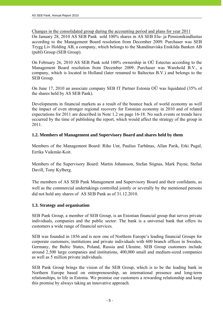Changes in the consolidated group during the accounting period and plans for year 2011 On January 28, 2010 AS SEB Pank sold 100% shares in AS SEB Elu- ja Pensionikindlustus

according to the Management Board resolution from December 2009. Purchaser was SEB Trygg Liv Holding AB, a company, which belongs to the Skandinaviska Enskilda Banken AB (publ) Group (SEB Group).

On February 26, 2010 AS SEB Pank sold 100% ownership in OÜ Estectus according to the Management Board resolution from December 2009. Purchaser was Warehold B.V., a company, which is located in Holland (later renamed to Baltectus B.V.) and belongs to the SEB Group.

On June 17, 2010 an associate company SEB IT Partner Estonia OÜ was liquidated (35% of the shares held by AS SEB Pank).

Developments in financial markets as a result of the bounce back of world economy as well the impact of even stronger regional recovery for Estonian economy in 2010 and of related expectations for 2011 are described in Note 1.2 on page 16-18. No such events or trends have occurred by the time of publishing the report, which would affect the strategy of the group in 2011.

# **1.2. Members of Management and Supervisory Board and shares held by them**

Members of the Management Board: Riho Unt, Paulius Tarbūnas, Allan Parik, Erki Pugal, Eerika Vaikmäe-Koit.

Members of the Supervisory Board: Martin Johansson, Stefan Stignas, Mark Payne, Stefan Davill, Tony Kylberg.

The members of AS SEB Pank Management and Supervisory Board and their confidants, as well as the commercial undertakings controlled jointly or severally by the mentioned persons did not hold any shares of AS SEB Pank as of 31.12.2010.

# **1.3. Strategy and organisation**

SEB Pank Group, a member of SEB Group, is an Estonian financial group that serves private individuals, companies and the public sector. The bank is a universal bank that offers its customers a wide range of financial services.

SEB was founded in 1856 and is now one of Northern Europe's leading financial Groups for corporate customers, institutions and private individuals with 600 branch offices in Sweden, Germany, the Baltic States, Poland, Russia and Ukraine. SEB Group customers include around 2,500 large companies and institutions, 400,000 small and medium-sized companies as well as 5 million private individuals.

SEB Pank Group brings the vision of the SEB Group, which is to be the leading bank in Northern Europe based on entrepreneurship, an international presence and long-term relationships, to life in Estonia. We promise our customers a rewarding relationship and keep this promise by always taking an innovative approach.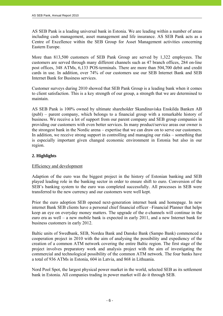AS SEB Pank is a leading universal bank in Estonia. We are leading within a number of areas including cash management, asset management and life insurance. AS SEB Pank acts as a Centre of Excellence within the SEB Group for Asset Management activities concerning Eastern Europe.

More than 813,500 customers of SEB Pank Group are served by 1,322 employees. The customers are served through many different channels such as 47 branch offices, 284 on-line post offices, 348 ATMs, 6,133 POS-terminals. There are more than 504,700 debit and credit cards in use. In addition, over 74% of our customers use our SEB Internet Bank and SEB Internet Bank for Business services.

Customer surveys during 2010 showed that SEB Pank Group is a leading bank when it comes to client satisfaction. This is a key strength of our group, a strength that we are determined to maintain.

AS SEB Pank is 100% owned by ultimate shareholder Skandinaviska Enskilda Banken AB (publ) – parent company, which belongs to a financial group with a remarkable history of business. We receive a lot of support from our parent company and SEB group companies in providing our customers with even better services. In many product/service areas our owner is the strongest bank in the Nordic arena – expertise that we can draw on to serve our customers. In addition, we receive strong support in controlling and managing our risks – something that is especially important given changed economic environment in Estonia but also in our region.

# **2. Highlights**

## Efficiency and development

Adaption of the euro was the biggest project in the history of Estonian banking and SEB played leading role in the banking sector in order to ensure shift to euro. Conversion of the SEB's banking system to the euro was completed successfully. All processes in SEB were transferred to the new currency and our customers were well kept.

Prior the euro adoption SEB opened next-generation internet bank and homepage. In new internet Bank SEB clients have a personal chief financial officer –Financial Planner that helps keep an eye on everyday money matters. The upgrade of the e-channels will continue in the euro era as well – a new mobile bank is expected in early 2011, and a new Internet bank for business customers in early 2012.

Baltic units of Swedbank, SEB, Nordea Bank and Danske Bank (Sampo Bank) commenced a cooperation project in 2010 with the aim of analysing the possibility and expediency of the creation of a common ATM network covering the entire Baltic region. The first stage of the project involves preparatory work and analysis project with the aim of investigating the commercial and technological possibility of the common ATM network. The four banks have a total of 936 ATMs in Estonia, 604 in Latvia, and 868 in Lithuania.

Nord Pool Spot, the largest physical power market in the world, selected SEB as its settlement bank in Estonia. All companies trading in power market will do it through SEB.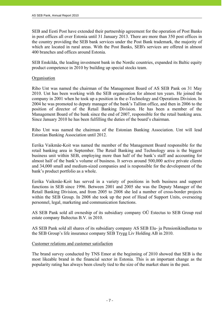SEB and Eesti Post have extended their partnership agreement for the operation of Post Banks in post offices all over Estonia until 31 January 2013. There are more than 350 post offices in the country providing the SEB bank services under the Post Bank trademark, the majority of which are located in rural areas. With the Post Banks, SEB's services are offered in almost 400 branches and offices around Estonia.

SEB Enskilda, the leading investment bank in the Nordic countries, expanded its Baltic equity product competence in 2010 by building up special stocks team.

# **Organisation**

j

Riho Unt was named the chairman of the Management Board of AS SEB Pank on 31 May 2010. Unt has been working with the SEB organisation for almost ten years. He joined the company in 2001 when he took up a position in the e-Technology and Operations Division. In 2004 he was promoted to deputy manager of the bank's Tallinn office, and then in 2006 to the position of director of the Retail Banking Division. He has been a member of the Management Board of the bank since the end of 2007, responsible for the retail banking area. Since January 2010 he has been fulfilling the duties of the board's chairman.

Riho Unt was named the chairman of the Estonian Banking Association. Unt will lead Estonian Banking Association until 2012.

Eerika Vaikmäe-Koit was named the member of the Management Board responsible for the retail banking area in September. The Retail Banking and Technology area is the biggest business unit within SEB, employing more than half of the bank's staff and accounting for almost half of the bank's volume of business. It serves around 500,000 active private clients and 34,000 small and medium-sized companies and is responsible for the development of the bank's product portfolio as a whole.

Eerika Vaikmäe-Koit has served in a variety of positions in both business and support functions in SEB since 1996. Between 2001 and 2005 she was the Deputy Manager of the Retail Banking Division, and from 2005 to 2008 she led a number of cross-border projects within the SEB Group. In 2008 she took up the post of Head of Support Units, overseeing personnel, legal, marketing and communication functions.

AS SEB Pank sold all owneship of its subsidiary company OÜ Estectus to SEB Group real estate company Baltectus B.V. in 2010.

AS SEB Pank sold all shares of its subsidiary company AS SEB Elu- ja Pensionikindlustus to the SEB Group's life insurance company SEB Trygg Liv Holding AB in 2010.

## Customer relations and customer satisfaction

The brand survey conducted by TNS Emor at the beginning of 2010 showed that SEB is the most likeable brand in the financial sector in Estonia. This is an important change as the popularity rating has always been closely tied to the size of the market share in the past.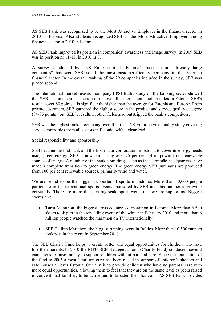AS SEB Pank was recognized to be the Most Attractive Employer in the financial sector in 2010 in Estonia. Also students recognized SEB as the Most Attractive Employer among financial sector in 2010 in Estonia.

AS SEB Pank improved its position in companies' awareness and image survey. In 2009 SEB was in position nr 11-13, in 2010 nr 7.

A survey conducted by TNS Emor entitled "Estonia's most customer-friendly large companies" has seen SEB voted the most customer-friendly company in the Estonian financial sector. In the overall ranking of the 29 companies included in the survey, SEB was placed second.

The international market research company EPSI Baltic study on the banking sector showed that SEB customers are at the top of the overall customer satisfaction index in Estonia. SEB's result – over 80 points – is significantly higher than the average for Estonia and Europe. From private customers, SEB garnered the highest score in the product and service quality category (84-85 points), but SEB's results in other fields also outstripped the bank's competitors.

SEB was the highest ranked company overall in the TNS Emor service quality study covering service companies from all sectors in Estonia, with a clear lead.

## Social responsibility and sponsorship

SEB became the first bank and the first major corporation in Estonia to cover its energy needs using green energy. SEB is now purchasing over 75 per cent of its power from renewable sources of energy. A number of the bank's buildings, such as the Tornimäe headquarters, have made a complete transition to green energy. The green energy SEB purchases are produced from 100 per cent renewable sources, primarily wind and water.

We are proud to be the biggest supporter of sports in Estonia. More than 40,000 people participate in the recreational sports events sponsored by SEB and this number is growing constantly. There are more than ten big scale sport events that we are supporting. Biggest events are:

- Tartu Marathon, the biggest cross-country ski marathon in Estonia. More than 6,500 skiers took part in the top skiing event of the winter in February 2010 and more than 6 million people watched the marathon on TV internationally.
- SEB Tallinn Marathon, the biggest running event in Baltics. More than 10,500 runners took part in the event in September 2010.

The SEB Charity Fund helps to create better and equal opportunities for children who have lost their parents. In 2010 the MTÜ SEB Heategevusfond (Charity Fund) conducted several campaigns to raise money to support children without parental care. Since the foundation of the fund in 2006 almost 1 million euro has been raised in support of children's shelters and safe houses all over Estonia. Our aim is to provide children who have no parental care with more equal opportunities, allowing them to feel that they are on the same level as peers raised in conventional families, to be active and to broaden their horizons. AS SEB Pank provides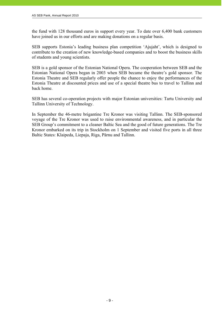the fund with 128 thousand euros in support every year. To date over 6,400 bank customers have joined us in our efforts and are making donations on a regular basis.

SEB supports Estonia's leading business plan competition 'Ajujaht', which is designed to contribute to the creation of new knowledge-based companies and to boost the business skills of students and young scientists.

SEB is a gold sponsor of the Estonian National Opera. The cooperation between SEB and the Estonian National Opera began in 2003 when SEB became the theatre's gold sponsor. The Estonia Theatre and SEB regularly offer people the chance to enjoy the performances of the Estonia Theatre at discounted prices and use of a special theatre bus to travel to Tallinn and back home.

SEB has several co-operation projects with major Estonian universities: Tartu University and Tallinn University of Technology.

In September the 46-metre brigantine Tre Kronor was visiting Tallinn. The SEB-sponsored voyage of the Tre Kronor was used to raise environmental awareness, and in particular the SEB Group's commitment to a cleaner Baltic Sea and the good of future generations. The Tre Kronor embarked on its trip in Stockholm on 1 September and visited five ports in all three Baltic States: Klaipeda, Liepaja, Riga, Pärnu and Tallinn.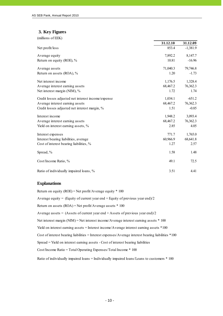#### **3. Key Figures**

j

| (millions of EEK)                                  |          |            |
|----------------------------------------------------|----------|------------|
|                                                    | 31.12.10 | 31.12.09   |
| Net profit/loss                                    | 853.4    | $-1,381.9$ |
| Average equity                                     | 7,892.2  | 8,147.7    |
| Return on equity (ROE), %                          | 10.81    | $-16.96$   |
| Average assets                                     | 71,040.3 | 79,746.8   |
| Return on assets (ROA), %                          | 1.20     | $-1.73$    |
| Net interest income                                | 1,176.5  | 1,328.4    |
| Average interest earning assets                    | 68,467.2 | 76,362.3   |
| Net interest margin (NIM), %                       | 1.72     | 1.74       |
| Credit losses adjusted net interest income/expense | 1,034.1  | $-651.2$   |
| Average interest earning assets                    | 68,467.2 | 76,362.3   |
| Credit losses adjusted net interest margin, %      | 1.51     | $-0.85$    |
| Interest income                                    | 1,948.2  | 3,093.4    |
| Average interest earning assets                    | 68,467.2 | 76,362.3   |
| Yield on interest earning assets, %                | 2.85     | 4.05       |
| Interest expenses                                  | 771.7    | 1,765.0    |
| Interest bearing liabilities, average              | 60,966.9 | 68,641.8   |
| Cost of interest bearing liabilities, %            | 1.27     | 2.57       |
| Spread, %                                          | 1.58     | 1.48       |
| Cost/Income Ratio, %                               | 49.1     | 72.5       |
| Ratio of individually impaired loans, %            | 3.51     | 4.41       |

#### **Explanations**

Return on equity (ROE) = Net profit/Average equity  $*$  100 Average equity = (Equity of current year end + Equity of previous year end)/2 Return on assets (ROA) = Net profit/Average assets \* 100 Average assets =  $(Assets of current year end + Assets of previous year end)/2$ Spread = Yield on interest earning assets - Cost of interest bearing liabilities Cost/Income Ratio = Total Operating Expenses/Total Income \* 100 Cost of interest bearing liabilities = Interest expenses/Average interest bearing liabilities \*100 Ratio of individually impaired loans = Individually impaired loans/Loans to customers \* 100 Net interest margin (NIM) = Net interest income/Average interest earning assets \* 100 Yield on interest earning assets = Interest income/Average interest earning assets  $*100$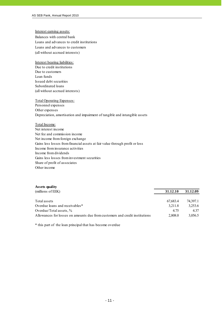#### Interest earning assets:

j

Balances with central bank Loans and advances to credit institutions (all without accrued interests) Loans and advances to customers

#### Interest bearing liabilities:

Due to credit institutions Due to customers Loan funds Issued debt securities Subordinated loans (all without accrued interests)

#### Total Operating Expenses:

Personnel expenses Other expenses Depreciation, amortisation and impairment of tangible and intangible assets

#### Total Income:

Net interest income Net fee and commission income Net income from foreign exchange Gains less losses from financial assets at fair value through profit or loss Income from insurance activities Income from dividends Gains less losses from investment securities Share of profit of associates Other income

#### **Assets quality**

| (millions of EEK)                                                           | 31.12.10 | 31.12.09 |
|-----------------------------------------------------------------------------|----------|----------|
|                                                                             |          |          |
| Total assets                                                                | 67,683.4 | 74.397.1 |
| Overdue loans and receivables*                                              | 3.211.8  | 3,253.6  |
| Overdue/Total assets, $\%$                                                  | 4.75     | 4 3 7    |
| Allowances for losses on amounts due from customers and credit institutions | 2.808.0  | 3.056.5  |

\* this part of the loan principal that has become overdue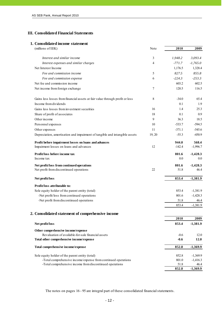#### **III. Consolidated Financial Statements**

#### **1. Consolidated income statement**

| (millions of EEK)                                                            | Note           | 2010     | 2009       |
|------------------------------------------------------------------------------|----------------|----------|------------|
| Interest and similar income                                                  | 3              | 1,948.2  | 3,093.4    |
| Interest expenses and similar charges                                        | $\overline{4}$ | $-771.7$ | $-1,765.0$ |
| Net Interest Income                                                          |                | 1,176.5  | 1,328.4    |
| Fee and commission income                                                    | 5              | 827.5    | 855.8      |
| Fee and commission expense                                                   | 6              | $-224.3$ | $-253.3$   |
| Net fee and commission income                                                |                | 603.2    | 602.5      |
| Net income from foreign exchange                                             | 7              | 120.5    | 116.5      |
| Gains less losses from financial assets at fair value through profit or loss | 8              | $-34.0$  | 65.4       |
| Income from dividends                                                        |                | 0.1      | 1.9        |
| Gains less losses from investment securities                                 | 16             | 1.4      | 25.3       |
| Share of profit of associates                                                | 18             | 0.1      | 0.9        |
| Other income                                                                 | $\overline{9}$ | 36.3     | 18.5       |
| Personnel expenses                                                           | 10             | $-533.7$ | $-594.5$   |
| Other expenses                                                               | 11             | $-371.1$ | $-545.6$   |
| Depreciation, amortisation and impairment of tangible and intangible assets  | 19, 20         | $-55.3$  | $-450.9$   |
| Profit before impairment losses on loans and advances                        |                | 944.0    | 568.4      |
| Impairment losses on loans and advances                                      | 12             | $-142.4$ | $-1,996.7$ |
| Profit/loss before income tax                                                |                | 801.6    | $-1,428.3$ |
| Income tax                                                                   |                | 0.0      | 0.0        |
| Net profit/loss from continued operations                                    |                | 801.6    | $-1,428.3$ |
| Net profit from discontinued operations                                      | 22             | 51.8     | 46.4       |
| Net profit/loss                                                              |                | 853.4    | $-1,381.9$ |
| Profit/loss attributable to:                                                 |                |          |            |
| Sole equity holder of the parent entity (total)                              |                | 853.4    | $-1,381.9$ |
| -Net profit/loss from continued operations                                   |                | 801.6    | $-1,428.3$ |
| -Net profit from discontinued operations                                     |                | 51.8     | 46.4       |
|                                                                              |                | 853.4    | $-1,381.9$ |
| 2. Consolidated statement of comprehensive income                            |                |          |            |
|                                                                              |                | 2010     | 2009       |
| Net profit/loss                                                              |                | 853.4    | $-1,381.9$ |
| Other comprehensive income/expense                                           |                |          |            |
| Revaluation of available-for-sale financial assets                           |                | $-0.6$   | 12.0       |
| Total other comprehensive income/expense                                     |                | $-0.6$   | 12.0       |
| Total comprehensive income/expense                                           |                | 852.8    | $-1,369.9$ |
| Sole equity holder of the parent entity (total)                              |                | 852.8    | $-1,369.9$ |
| -Total comprehensive income/expense from continued operations                |                | 801.0    | $-1,416.3$ |
| -Total comprehensive income from discontinued operations                     |                | 51.8     | 46.4       |
|                                                                              |                | 852.8    | $-1,369.9$ |

The notes on pages 16 - 95 are integral part of these consolidated financial statements.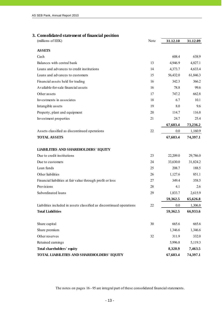## **3. Consolidated statement of financial position**

| (millions of EEK)                                                    | Note | 31.12.10 | 31.12.09 |
|----------------------------------------------------------------------|------|----------|----------|
| <b>ASSETS</b>                                                        |      |          |          |
| Cash                                                                 |      | 608.4    | 638.9    |
| Balances with central bank                                           | 13   | 4,946.9  | 4,827.1  |
| Loans and advances to credit institutions                            | 14   | 4,373.7  | 4,633.4  |
| Loans and advances to customers                                      | 15   | 56,432.0 | 61,846.3 |
| Financial assets held for trading                                    | 16   | 342.3    | 366.2    |
| Available-for-sale financial assets                                  | 16   | 78.8     | 99.6     |
| Other assets                                                         | 17   | 747.2    | 662.8    |
| Investments in associates                                            | 18   | 6.7      | 10.1     |
| Intangible assets                                                    | 19   | 8.0      | 9.6      |
| Property, plant and equipment                                        | 20   | 114.7    | 116.8    |
| Investment properties                                                | 21   | 24.7     | 25.4     |
|                                                                      |      | 67,683.4 | 73,236.2 |
| Assets classified as discontinued operations                         | 22   | 0.0      | 1,160.9  |
| <b>TOTAL ASSETS</b>                                                  |      | 67,683.4 | 74,397.1 |
|                                                                      |      |          |          |
| <b>LIABILITIES AND SHAREHOLDERS' EQUITY</b>                          |      |          |          |
| Due to credit institutions                                           | 23   | 22,209.0 | 29,786.0 |
| Due to customers                                                     | 24   | 33,630.0 | 31,824.2 |
| Loan funds                                                           | 25   | 208.7    | 188.5    |
| Other liabilities                                                    | 26   | 1,127.6  | 851.1    |
| Financial liabilities at fair value through profit or loss           | 27   | 349.4    | 358.5    |
| Provisions                                                           | 28   | 4.1      | 2.6      |
| Subordinated loans                                                   | 29   | 1,833.7  | 2,615.9  |
|                                                                      |      | 59,362.5 | 65,626.8 |
| Liabilities included in assets classified as discontinued operations | 22   | $0.0\,$  | 1,306.8  |
| <b>Total Liabilities</b>                                             |      | 59,362.5 | 66,933.6 |
|                                                                      |      |          |          |
| Share capital                                                        | 30   | 665.6    | 665.6    |
| Share premium                                                        |      | 1,346.6  | 1,346.6  |
| Other reserves                                                       | 32   | 311.9    | 332.0    |
| Retained earnings                                                    |      | 5,996.8  | 5,119.3  |
| Total shareholders' equity                                           |      | 8,320.9  | 7,463.5  |
| TOTAL LIABILITIES AND SHAREHOLDERS' EQUITY                           |      | 67,683.4 | 74,397.1 |

The notes on pages 16 - 95 are integral part of these consolidated financial statements.

Initialiseeritud ainult identifitseerimiseks<br>Initialied for the purpose of identification only<br>Initialialid/initials  $M.V.$ 07.05.2011 Kuupäev/date PricewaterhouseCoopers, Tallinn

- 13 -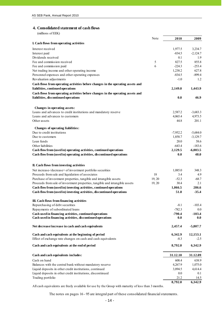# **4. Consolidated statement of cash flows**

(millions of EEK)

j

|                                                                                 | Note   | 2010               | 2009            |
|---------------------------------------------------------------------------------|--------|--------------------|-----------------|
| I. Cash flows from operating activities                                         |        |                    |                 |
| Interest received                                                               |        | 1,977.5            | 3,234.7         |
| Interest paid                                                                   |        | $-834.5$           | $-2,124.7$      |
| Dividends received                                                              |        | 0.1                | 1.9             |
| Fee and commission received                                                     | 5      | 827.5              | 855.8           |
| Fee and commission paid                                                         | 6      | $-224.3$           | $-253.4$        |
| Net trading income and other operating income                                   |        | 1,238.2            | 627.8           |
| Personnel expenses and other operating expenses                                 |        | $-834.5$           | $-899.4$        |
| Revaluation adjustments                                                         |        | $-1.0$             | 1.2             |
| Cash flows from operating activities before changes in the operating assets and |        |                    |                 |
| liabilities, continued operations                                               |        | 2,149.0            | 1,443.9         |
| Cash flows from operating activities before changes in the operating assets and |        |                    |                 |
| liabilities, discontinued operations                                            |        | 0.0                | 46.9            |
|                                                                                 |        |                    |                 |
| Changes in operating assets:                                                    |        |                    |                 |
| Loans and advances to credit institutions and mandatory reserve                 |        | 2,587.2            | $-3,683.3$      |
| Loans and advances to customers                                                 |        | 4,065.4            | 4,973.5         |
| Other assets                                                                    |        | 44.8               | 201.1           |
| <b>Changes of operating liabilities:</b>                                        |        |                    |                 |
| Due to credit institutions                                                      |        | $-7,952.2$         | $-5,684.0$      |
| Due to customers                                                                |        | 1,858.7            | $-3,129.7$      |
| Loan funds                                                                      |        | 20.0               | 58.6            |
| Other liabilities                                                               |        | $-643.4$           | $-183.6$        |
| Cash flow from (used in) operating activities, continued operations             |        | 2,129.5            | $-6,003.5$      |
| Cash flow from (used in) operating activities, discontinued operations          |        | 0.0                | 48.0            |
|                                                                                 |        |                    |                 |
| II. Cash flows from investing activities                                        |        |                    |                 |
| Net increase-/decrease+ of investment portfolio securities                      |        | 1,085.0            | 348.3           |
| Proceeds from sale and liquidation of associates                                | 18     | 3.4                | 4.9             |
| Purchase of investment properties, tangible and intangible assets               | 19, 20 | $-52.3$            | $-68.7$         |
| Proceeds from sale of investment properties, tangible and intangible assets     | 19, 20 | 30.4               | 2.1             |
| Cash flow from (used in) investing activities, continued operations             |        | 1,066.5            | 286.6           |
| Cash flow from (used in) investing activities, discontinued operations          |        | 51.8               | $-35.4$         |
|                                                                                 |        |                    |                 |
| III. Cash flows from financing activities                                       |        |                    |                 |
| Repurchasing of debt securities<br>Repayments of subordinated loans             |        | $-8.1$<br>$-782.3$ | $-103.4$<br>0.0 |
| Cash used in financing activities, continued operations                         |        | $-790.4$           | $-103.4$        |
| Cash used in financing activities, discontinued operations                      |        | 0.0                | 0.0             |
|                                                                                 |        |                    |                 |
| Net decrease/increase in cash and cash equivalents                              |        | 2,457.4            | $-5,807.7$      |
| Cash and cash equivalents at the beginning of period                            |        | 6,342.9            | 12,153.1        |
| Effect of exchange rate changes on cash and cash equivalents                    |        | $-8.3$             | $-2.5$          |
| Cash and cash equivalents at the end of period                                  |        | 8,792.0            | 6,342.9         |
|                                                                                 |        |                    |                 |
| Cash and cash equivalents includes:                                             |        | 31.12.10           | 31.12.09        |
| Cash on hand                                                                    |        | 608.4              | 638.9           |
| Balances with the central bank without mandatory reserve                        |        | 4,267.9            | 1,075.0         |
| Liquid deposits in other credit institutions, continued                         |        | 3,894.5            | 4,614.4         |
| Liquid deposits in other credit institutions, discontinued                      |        | $0.0\,$            | 0.1             |
| Trading portfolio                                                               |        | 21.2               | 14.5            |
|                                                                                 |        | 8,792.0            | 6,342.9         |

All cash equivalents are freely available for use by the Group with maturity of less than 3 months.

The notes on pages 16 - 95 are integral part of these consolidated financial statements.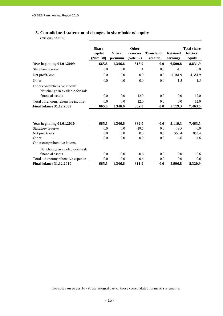# **5. Consolidated statement of changes in shareholders' equity**

(millions of EEK)

|                                                                                     | <b>Share</b><br>capital<br>(Note 30) | <b>Share</b><br>premium | Other<br>reserves<br>(Note 32) | Translation<br>reserve | <b>Retained</b><br>earnings | Total share<br>holders'<br>equity |
|-------------------------------------------------------------------------------------|--------------------------------------|-------------------------|--------------------------------|------------------------|-----------------------------|-----------------------------------|
| <b>Year beginning 01.01.2009</b>                                                    | 665.6                                | 1,346.6                 | 318.9                          | 0.0                    | 6,500.8                     | 8,831.9                           |
| Statutory reserve                                                                   | 0.0                                  | 0.0                     | 1.1                            | 0.0                    | $-1.1$                      | 0.0                               |
| Net profit/loss                                                                     | 0.0                                  | 0.0                     | 0.0                            | 0.0                    | $-1,381.9$                  | $-1,381.9$                        |
| Other                                                                               | 0.0                                  | 0.0                     | 0.0                            | 0.0                    | 1.5                         | 1.5                               |
| Other comprehensive income:<br>Net change in available-for-sale<br>financial assets | 0.0                                  | 0.0                     | 12.0                           | 0.0                    | 0.0                         | 12.0                              |
| Total other comprehensive income                                                    | 0.0                                  | 0.0                     | 12.0                           | 0.0                    | 0.0                         | 12.0                              |
| <b>Final balance 31.12.2009</b>                                                     | 665.6                                | 1,346.6                 | 332.0                          | 0.0                    | 5,119.3                     | 7,463.5                           |
| <b>Year beginning 01.01.2010</b>                                                    | 665.6                                | 1,346.6                 | 332.0                          | 0.0                    | 5,119.3                     | 7,463.5                           |
| Statutory reserve                                                                   | 0.0                                  | 0.0                     | $-19.5$                        | 0.0                    | 19.5                        | 0.0                               |
| Net profit/loss                                                                     | 0.0                                  | 0.0                     | 0.0                            | 0.0                    | 853.4                       | 853.4                             |
| Other                                                                               | 0.0                                  | 0.0                     | 0.0                            | 0.0                    | 4.6                         | 4.6                               |
| Other comprehensive income:                                                         |                                      |                         |                                |                        |                             |                                   |
| Net change in available-for-sale<br>financial assets                                | 0.0                                  | 0.0                     | $-0.6$                         | 0.0                    | 0.0                         | $-0.6$                            |
| Total other comprehensive expense                                                   | 0.0                                  | 0.0                     | $-0.6$                         | 0.0                    | 0.0                         | $-0.6$                            |
| <b>Final balance 31.12.2010</b>                                                     | 665.6                                | 1.346.6                 | 311.9                          | 0.0                    | 5,996.8                     | 8,320.9                           |

| Initsiaalid/initials | initsialiseeritud ainult identifitseerimiseks<br>Initialled for the purpose of identification only |
|----------------------|----------------------------------------------------------------------------------------------------|
| Kuupäev/date         | 07.03.2011                                                                                         |
|                      | PricewaterhouseCoopers, Tallinn                                                                    |

The notes on pages 16 - 95 are integral part of these consolidated financial statements.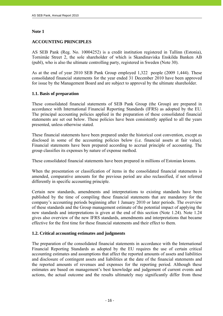# **Note 1**

j

# **ACCOUNTING PRINCIPLES**

AS SEB Pank (Reg. No. 10004252) is a credit institution registered in Tallinn (Estonia), Tornimäe Street 2, the sole shareholder of which is Skandinaviska Enskilda Banken AB (publ), who is also the ultimate controlling party, registered in Sweden (Note 30).

As at the end of year 2010 SEB Pank Group employed 1,322 people (2009 1,444). These consolidated financial statements for the year ended 31 December 2010 have been approved for issue by the Management Board and are subject to approval by the ultimate shareholder.

# **1.1. Basis of preparation**

These consolidated financial statements of SEB Pank Group (the Group) are prepared in accordance with International Financial Reporting Standards (IFRS) as adopted by the EU. The principal accounting policies applied in the preparation of these consolidated financial statements are set out below. These policies have been consistently applied to all the years presented, unless otherwise stated.

These financial statements have been prepared under the historical cost convention, except as disclosed in some of the accounting policies below (i.e. financial assets at fair value). Financial statements have been prepared according to accrual principle of accounting. The group classifies its expenses by nature of expense method.

These consolidated financial statements have been prepared in millions of Estonian kroons.

When the presentation or classification of items in the consolidated financial statements is amended, comparative amounts for the previous period are also reclassified, if not referred differently in specific accounting principle.

Certain new standards, amendments and interpretations to existing standards have been published by the time of compiling these financial statements that are mandatory for the company's accounting periods beginning after 1 January 2010 or later periods. The overview of these standards and the Group management estimate of the potential impact of applying the new standards and interpretations is given at the end of this section (Note 1.24). Note 1.24 gives also overview of the new IFRS standards, amendments and interpretations that became effective for the first time for these financial statements and their effect to them.

## **1.2. Critical accounting estimates and judgments**

The preparation of the consolidated financial statements in accordance with the International Financial Reporting Standards as adopted by the EU requires the use of certain critical accounting estimates and assumptions that affect the reported amounts of assets and liabilities and disclosure of contingent assets and liabilities at the date of the financial statements and the reported amounts of revenues and expenses for the reporting period. Although these estimates are based on management's best knowledge and judgement of current events and actions, the actual outcome and the results ultimately may significantly differ from those

| Initsiaalid/initials | Initialled for the purpose of identification only<br>Initiallelinitials $M.V.$ |
|----------------------|--------------------------------------------------------------------------------|
| Kuupäev/date         | 07.03.2011                                                                     |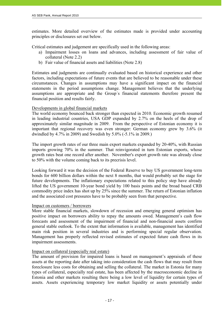estimates. More detailed overview of the estimates made is provided under accounting principles or disclosures set out below.

Critical estimates and judgement are specifically used in the following areas:

- a) Impairment losses on loans and advances, including assessment of fair value of collateral (Note 2.2)
- b) Fair value of financial assets and liabilities (Note 2.8)

Estimates and judgments are continually evaluated based on historical experience and other factors, including expectations of future events that are believed to be reasonable under these circumstances. Changes in assumptions may have a significant impact on the financial statements in the period assumptions change. Management believes that the underlying assumptions are appropriate and the Group´s financial statements therefore present the financial position and results fairly.

## Developments in global financial markets

The world economy bounced back stronger than expected in 2010. Economic growth resumed in leading industrial countries, USA GDP expanded by 2.7% on the heels of the drop of approximately similar magnitude in 2009. From the perspective of Estonian economy it is important that regional recovery was even stronger: German economy grew by 3.6% (it dwindled by 4.7% in 2009) and Swedish by 5.0% (-5.1% in 2009.)

The import growth rates of our three main export markets expanded by 20-40%, with Russian imports growing 70% in the summer. That reinvigorated in turn Estonian exports, whose growth rates beat one record after another. November's export growth rate was already close to 50% with the volume coming back to its precrisis level.

Looking forward it was the decision of the Federal Reserve to buy US government long-term bonds for 600 billion dollars within the next 8 months, that would probably set the stage for future developments. The inflationary expectations related to this policy step have already lifted the US government 10-year bond yield by 100 basis points and the broad based CRB commodity price index has shot up by 25% since the summer. The return of Estonian inflation and the associated cost pressures have to be probably seen from that perspective.

## Impact on customers / borrowers

More stable financial markets, slowdown of recession and emerging general optimism has positive impact on borrowers ability to repay the amounts owed. Management's cash flow forecasts and assessment of the impairment of financial and non-financial assets confirm general stable outlook. To the extent that information is available, management has identified main risk position in several industries and is performing special regular observation. Management has properly reflected revised estimates of expected future cash flows in its impairment assessments.

## Impact on collateral (especially real estate)

 $- 17 -$ 

The amount of provision for impaired loans is based on management's appraisals of these assets at the reporting date after taking into consideration the cash flows that may result from foreclosure less costs for obtaining and selling the collateral. The market in Estonia for many types of collateral, especially real estate, has been affected by the macroeconomic decline in Estonia and other markets resulting there being a low level of liquidity for certain types of assets. Assets experiencing temporary low market liquidity or assets potentially under

initsialiseeritud ainult identifitseerimiseks Initialled for the purpose of identification only  $M.V$ Initsiaalid/initials 07.05.2011 Kuupäev/date PricewaterhouseCoopers, Tallinn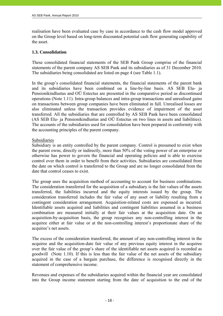realisation have been evaluated case by case in accordance to the cash flow model approved on the Group level based on long-term discounted potential cash flow generating capability of the asset.

#### **1.3. Consolidation**

j

These consolidated financial statements of the SEB Pank Group comprise of the financial statements of the parent company AS SEB Pank and its subsidiaries as of 31 December 2010. The subsidiaries being consolidated are listed on page 4 (see Table 1.1).

In the group's consolidated financial statements, the financial statements of the parent bank and its subsidiaries have been combined on a line-by-line basis. AS SEB Elu- ja Pensionikindlustus and OÜ Estectus are presented in the comparative period as discontinued operations (Note 1.11). Intra-group balances and intra-group transactions and unrealised gains on transactions between group companies have been eliminated in full. Unrealised losses are also eliminated unless the transaction provides evidence of impairment of the asset transferred. All the subsidiaries that are controlled by AS SEB Pank have been consolidated (AS SEB Elu- ja Pensionikindlustus and OÜ Estectus on two lines in assets and liabilities). The accounts of the subsidiaries used for consolidation have been prepared in conformity with the accounting principles of the parent company.

#### Subsidiaries

Subsidiary is an entity controlled by the parent company. Control is presumed to exist when the parent owns, directly or indirectly, more than 50% of the voting power of an enterprise or otherwise has power to govern the financial and operating policies and is able to exercise control over them in order to benefit from their activities. Subsidiaries are consolidated from the date on which control is transferred to the Group and are no longer consolidated from the date that control ceases to exist.

The group uses the acquisition method of accounting to account for business combinations. The consideration transferred for the acquisition of a subsidiary is the fair values of the assets transferred, the liabilities incurred and the equity interests issued by the group. The consideration transferred includes the fair value of any asset or liability resulting from a contingent consideration arrangement. Acquisition-related costs are expensed as incurred. Identifiable assets acquired and liabilities and contingent liabilities assumed in a business combination are measured initially at their fair values at the acquisition date. On an acquisition-by-acquisition basis, the group recognises any non-controlling interest in the acquiree either at fair value or at the non-controlling interest's proportionate share of the acquiree's net assets.

The excess of the consideration transferred, the amount of any non-controlling interest in the acquiree and the acquisition-date fair value of any previous equity interest in the acquiree over the fair value of the group's share of the identifiable net assets acquired is recorded as goodwill (Note 1.10). If this is less than the fair value of the net assets of the subsidiary acquired in the case of a bargain purchase, the difference is recognised directly in the statement of comprehensive income.

Revenues and expenses of the subsidiaries acquired within the financial year are consolidated into the Group income statement starting from the date of acquisition to the end of the

initsialiseeritud ainult identifitseerimiseks Initialled for the purpose of identification only M.V Initsiaalid/initials 07.03.2011 Kuupäev/date PricewaterhouseCoopers, Tallinn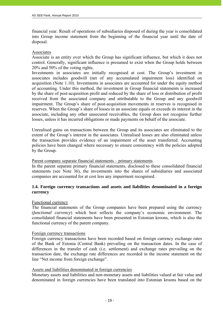financial year. Result of operations of subsidiaries disposed of during the year is consolidated into Group income statement from the beginning of the financial year until the date of disposal.

#### Associates

j

Associate is an entity over which the Group has significant influence, but which it does not control. Generally, significant influence is presumed to exist when the Group holds between 20% and 50% of the voting rights.

Investments in associates are initially recognised at cost. The Group's investment in associates includes goodwill (net of any accumulated impairment loss) identified on acquisition (Note 1.10). Investments in associates are accounted for under the equity method of accounting. Under this method, the investment in Group financial statements is increased by the share of post-acquisition profit and reduced by the share of loss or distribution of profit received from the associated company and attributable to the Group and any goodwill impairment. The Group's share of post-acquisition movements in reserves is recognised in reserves. When the Group's share of losses in an associate equals or exceeds its interest in the associate, including any other unsecured receivables, the Group does not recognise further losses, unless it has incurred obligations or made payments on behalf of the associate.

Unrealised gains on transactions between the Group and its associates are eliminated to the extent of the Group's interest in the associates. Unrealised losses are also eliminated unless the transaction provides evidence of an impairment of the asset transferred. Accounting policies have been changed where necessary to ensure consistency with the policies adopted by the Group.

## Parent company separate financial statements – primary statements

In the parent separate primary financial statements, disclosed to these consolidated financial statements (see Note 36), the investments into the shares of subsidiaries and associated companies are accounted for at cost less any impairment recognised.

# **1.4. Foreign currency transactions and assets and liabilities denominated in a foreign currency**

#### Functional currency

The financial statements of the Group companies have been prepared using the currency (*functional currency*) which best reflects the company's economic environment. The consolidated financial statements have been presented in Estonian kroons, which is also the functional currency of the parent company.

#### Foreign currency transactions

Foreign currency transactions have been recorded based on foreign currency exchange rates of the Bank of Estonia (Central Bank) prevailing on the transaction dates. In the case of differences in the transfer of cash (i.e. settlement) and exchange rates prevailing on the transaction date, the exchange rate differences are recorded in the income statement on the line "Net income from foreign exchange".

# Assets and liabilities denominated in foreign currencies

- 19 -

Monetary assets and liabilities and non-monetary assets and liabilities valued at fair value and denominated in foreign currencies have been translated into Estonian kroons based on the

| Initsiaalid/initials | initsialiseeritud ainult identifitseerimiseks<br>Initialled for the purpose of identification only |
|----------------------|----------------------------------------------------------------------------------------------------|
| Kuupäev/date         | 07.05.2011                                                                                         |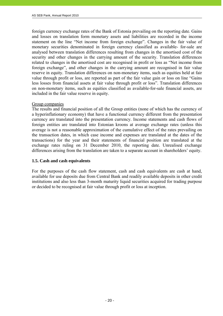foreign currency exchange rates of the Bank of Estonia prevailing on the reporting date. Gains and losses on translation form monetary assets and liabilities are recorded in the income statement on the line "Net income from foreign exchange". Changes in the fair value of monetary securities denominated in foreign currency classified as available- for-sale are analysed between translation differences resulting from changes in the amortised cost of the security and other changes in the carrying amount of the security. Translation differences related to changes in the amortised cost are recognised in profit or loss as "Net income from foreign exchange", and other changes in the carrying amount are recognised in fair value reserve in equity. Translation differences on non-monetary items, such as equities held at fair value through profit or loss, are reported as part of the fair value gain or loss on line "Gains less losses from financial assets at fair value through profit or loss". Translation differences on non-monetary items, such as equities classified as available-for-sale financial assets, are included in the fair value reserve in equity.

#### Group companies

The results and financial position of all the Group entities (none of which has the currency of a hyperinflationary economy) that have a functional currency different from the presentation currency are translated into the presentation currency. Income statements and cash flows of foreign entities are translated into Estonian kroons at average exchange rates (unless this average is not a reasonable approximation of the cumulative effect of the rates prevailing on the transaction dates, in which case income and expenses are translated at the dates of the transactions) for the year and their statements of financial position are translated at the exchange rates ruling on 31 December 2010, the reporting date. Unrealised exchange differences arising from the translation are taken to a separate account in shareholders' equity.

#### **1.5. Cash and cash equivalents**

For the purposes of the cash flow statement, cash and cash equivalents are cash at hand, available for use deposits due from Central Bank and readily available deposits in other credit institutions and also less than 3-month maturity liquid securities acquired for trading purpose or decided to be recognised at fair value through profit or loss at inception.

| Initsiaalid/initials | Initsialiseeritud ainult identifitseerimiseks<br>Initialled for the purpose of identification only |
|----------------------|----------------------------------------------------------------------------------------------------|
| Kuupäev/date         | 07.05.2011                                                                                         |
|                      | PricewaterhouseCoopers, Tallinn                                                                    |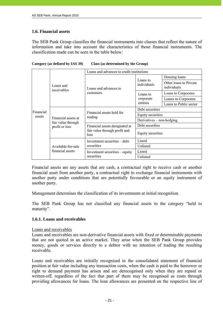## **1.6. Financial assets**

j

The SEB Pank Group classifies the financial instruments into classes that reflect the nature of information and take into account the characteristics of those financial instruments. The classification made can be seen in the table below:

|                          | Loans and advances to credit institutions                                          |                                                                         |                                       |                        |
|--------------------------|------------------------------------------------------------------------------------|-------------------------------------------------------------------------|---------------------------------------|------------------------|
| Loans and<br>receivables | Loans and advances to                                                              | Loans to<br>individuals                                                 | Housing loans                         |                        |
|                          |                                                                                    |                                                                         | Other loans to Private<br>individuals |                        |
|                          |                                                                                    | customers                                                               | Loans to<br>corporate<br>entities     | Loans to Corporates    |
|                          |                                                                                    |                                                                         |                                       | Leases to Corporates   |
|                          |                                                                                    |                                                                         |                                       | Loans to Public sector |
|                          | Financial<br>assets<br>Financial assets at<br>fair value through<br>profit or loss | Financial assets held for<br>trading                                    | Debt securities                       |                        |
|                          |                                                                                    |                                                                         | Equity securities                     |                        |
|                          |                                                                                    |                                                                         | Derivatives $-$ non-hedging           |                        |
|                          |                                                                                    | Financial assets designated at<br>fair value through profit and<br>loss | Debt securities                       |                        |
|                          |                                                                                    |                                                                         | Equity securities                     |                        |
|                          | Available-for-sale                                                                 | Investment securities - debt<br>securities                              | Listed                                |                        |
|                          |                                                                                    |                                                                         | Unlisted                              |                        |
|                          | financial assets                                                                   | Investment securities – equity<br>securities                            | Listed                                |                        |
|                          |                                                                                    |                                                                         | Unlisted                              |                        |

#### **Category (as defined by IAS 39) Class (as determined by the Group)**

Financial assets are any assets that are cash, a contractual right to receive cash or another financial asset from another party, a contractual right to exchange financial instruments with another party under conditions that are potentially favourable or an equity instrument of another party.

Management determines the classification of its investments at initial recognition.

The SEB Pank Group has not classified any financial assets to the category "held to maturity".

## **1.6.1. Loans and receivables**

 $- 21 -$ 

Loans and receivables

Loans and receivables are non-derivative financial assets with fixed or determinable payments that are not quoted in an active market. They arise when the SEB Pank Group provides money, goods or services directly to a debtor with no intention of trading the resulting receivable.

Loans and receivables are initially recognised in the consolidated statement of financial position at fair value including any transaction costs, when the cash is paid to the borrower or right to demand payment has arisen and are derecognised only when they are repaid or written-off, regardless of the fact that part of them may be recognised as costs through providing allowances for loans. The loan allowances are presented on the respective line of

| Initsiaalid/initials | initsialiseeritud ainult identifitseerimiseks<br>Initialled for the purpose of identification only<br>takehold/initials $M \vee$ |
|----------------------|----------------------------------------------------------------------------------------------------------------------------------|
| Kuupäev/date         | 07.03.2011                                                                                                                       |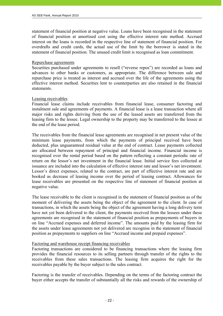statement of financial position at negative value. Loans have been recognised in the statement of financial position at amortised cost using the effective interest rate method. Accrued interest on the loans is recorded in the respective line of statement of financial position. For overdrafts and credit cards, the actual use of the limit by the borrower is stated in the statement of financial position. The unused credit limit is recognised as loan commitment.

#### Repurchase agreements

Securities purchased under agreements to resell ("reverse repos") are recorded as loans and advances to other banks or customers, as appropriate. The difference between sale and repurchase price is treated as interest and accrued over the life of the agreements using the effective interest method. Securities lent to counterparties are also retained in the financial statements.

## Leasing receivables

Financial lease claims include receivables from financial lease, consumer factoring and instalment sale and agreements of payments. A financial lease is a lease transaction where all major risks and rights deriving from the use of the leased assets are transferred from the leasing firm to the lessee. Legal ownership to the property may be transferred to the lessee at the end of the lease period.

The receivables from the financial lease agreements are recognised in net present value of the minimum lease payments, from which the payments of principal received have been deducted, plus unguaranteed residual value at the end of contract. Lease payments collected are allocated between repayment of principal and financial income. Financial income is recognised over the rental period based on the pattern reflecting a constant periodic rate of return on the lessor's net investment in the financial lease. Initial service fees collected at issuance are included into the calculation of effective interest rate and lessor's net investment. Lessor's direct expenses, related to the contract, are part of effective interest rate and are booked as decrease of leasing income over the period of leasing contract. Allowances for lease receivables are presented on the respective line of statement of financial position at negative value.

The lease receivable to the client is recognised in the statement of financial position as of the moment of delivering the assets being the object of the agreement to the client. In case of transactions, in which the assets being the object of the agreement having a long delivery term have not yet been delivered to the client, the payments received from the lessees under these agreements are recognised in the statement of financial position as prepayments of buyers in on line "Accrued expenses and deferred income". The amounts paid by the leasing firm for the assets under lease agreements not yet delivered are recognise in the statement of financial position as prepayments to suppliers on line "Accrued income and prepaid expenses".

## Factoring and warehouse receipt financing receivables

 $- 22 -$ 

Factoring transactions are considered to be financing transactions where the leasing firm provides the financial resources to its selling partners through transfer of the rights to the receivables from these sales transactions. The leasing firm acquires the right for the receivables payable by the buyer subject to the sales contract.

Factoring is the transfer of receivables. Depending on the terms of the factoring contract the buyer either accepts the transfer of substantially all the risks and rewards of the ownership of

initsialiseeritud ainult identifitseerimiseks Initialled for the purpose of identification only  $M.V$ Initsiaalid/initials 07.05.2011 Kuupäev/date PricewaterhouseCoopers, Tallinn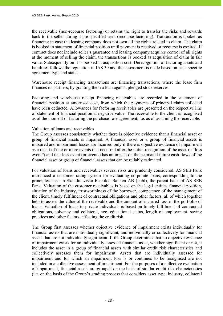the receivable (non-recourse factoring) or retains the right to transfer the risks and rewards back to the seller during a pre-specified term (recourse factoring). Transaction is booked as financing in case the leasing company does not own all the rights related to claim. The claim is booked in statement of financial position until payment is received or recourse is expired. If contract does not include seller's guarantee and leasing company acquires control of all rights at the moment of selling the claim, the transactions is booked as acquisition of claim in fair value. Subsequently on it is booked in acquisition cost. Derecognition of factoring assets and liabilities follows the regulation in IAS 39 and the assessment is made based on each specific agreement type and status.

Warehouse receipt financing transactions are financing transactions, where the lease firm finances its partners, by granting them a loan against pledged stock reserves.

Factoring and warehouse receipt financing receivables are recorded in the statement of financial position at amortised cost, from which the payments of principal claim collected have been deducted. Allowances for factoring receivables are presented on the respective line of statement of financial position at negative value. The receivable to the client is recognised as of the moment of factoring the purchase-sale agreement, i.e. as of assuming the receivable.

#### Valuation of loans and receivables

 $- 23 -$ 

The Group assesses consistently whether there is objective evidence that a financial asset or group of financial assets is impaired. A financial asset or a group of financial assets is impaired and impairment losses are incurred only if there is objective evidence of impairment as a result of one or more events that occurred after the initial recognition of the asset (a "loss event") and that loss event (or events) has an impact on the estimated future cash flows of the financial asset or group of financial assets that can be reliably estimated.

For valuation of loans and receivables several risks are prudently considered. AS SEB Pank introduced a customer rating system for evaluating corporate loans, corresponding to the principles used in Skandinaviska Enskilda Banken AB (publ), the parent bank of AS SEB Pank. Valuation of the customer receivables is based on the legal entities financial position, situation of the industry, trustworthiness of the borrower, competence of the management of the client, timely fulfilment of contractual obligations and other factors, all of which together help to assess the value of the receivable and the amount of incurred loss in the portfolio of loans. Valuation of loans to private individuals is based on timely fulfilment of contractual obligations, solvency and collateral, age, educational status, length of employment, saving practices and other factors, affecting the credit risk.

The Group first assesses whether objective evidence of impairment exists individually for financial assets that are individually significant, and individually or collectively for financial assets that are not individually significant. If the Group determines that no objective evidence of impairment exists for an individually assessed financial asset, whether significant or not, it includes the asset in a group of financial assets with similar credit risk characteristics and collectively assesses them for impairment. Assets that are individually assessed for impairment and for which an impairment loss is or continues to be recognised are not included in a collective assessment of impairment. For the purposes of a collective evaluation of impairment, financial assets are grouped on the basis of similar credit risk characteristics (i.e. on the basis of the Group's grading process that considers asset type, industry, collateral

| Initsiaalid/initials | initsialiseeritud ainult identifitseerimiseks<br>Initialled for the purpose of identification only<br>this individuals $M_{\text{c}}$ |
|----------------------|---------------------------------------------------------------------------------------------------------------------------------------|
| Kuupäev/date         | 07.05.2011                                                                                                                            |
|                      | PricewaterhouseCoopers, Tallinn                                                                                                       |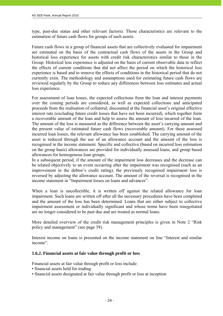type, past-due status and other relevant factors). Those characteristics are relevant to the estimation of future cash flows for groups of such assets.

Future cash flows in a group of financial assets that are collectively evaluated for impairment are estimated on the basis of the contractual cash flows of the assets in the Group and historical loss experience for assets with credit risk characteristics similar to those in the Group. Historical loss experience is adjusted on the basis of current observable data to reflect the effects of current conditions that did not affect the period on which the historical loss experience is based and to remove the effects of conditions in the historical period that do not currently exist. The methodology and assumptions used for estimating future cash flows are reviewed regularly by the Group to reduce any differences between loss estimates and actual loss experience.

For assessment of loan losses, the expected collections from the loan and interest payments over the coming periods are considered, as well as expected collections and anticipated proceeds from the realisation of collateral, discounted at the financial asset's original effective interest rate (excluding future credit losses that have not been incurred), which together form a recoverable amount of the loan and help to assess the amount of loss incurred of the loan. The amount of the loss is measured as the difference between the asset's carrying amount and the present value of estimated future cash flows (recoverable amount). For these assessed incurred loan losses, the relevant allowance has been established. The carrying amount of the asset is reduced through the use of an allowance account and the amount of the loss is recognised in the income statement. Specific and collective (based on incurred loss estimation on the group basis) allowances are provided for individually assessed loans, and group based allowances for homogenous loan groups.

In a subsequent period, if the amount of the impairment loss decreases and the decrease can be related objectively to an event occurring after the impairment was recognised (such as an improvement in the debtor's credit rating), the previously recognised impairment loss is reversed by adjusting the allowance account. The amount of the reversal is recognised in the income statement in "Impairment losses on loans and advances".

When a loan is uncollectible, it is written off against the related allowance for loan impairment. Such loans are written off after all the necessary procedures have been completed and the amount of the loss has been determined. Loans that are either subject to collective impairment assessment or individually significant and whose terms have been renegotiated are no longer considered to be past due and are treated as normal loans.

More detailed overview of the credit risk management principles is given in Note 2 "Risk policy and management" (see page 39).

Interest income on loans is presented on the income statement on line "Interest and similar income".

## **1.6.2. Financial assets at fair value through profit or loss**

Financial assets at fair value through profit or loss include:

• financial assets held for trading

- 24 -

• financial assets designated at fair value through profit or loss at inception

| Initsiaalid/initials | Initsialiseeritud ainult identifitseerimiseks<br>Initialled for the purpose of identification only |
|----------------------|----------------------------------------------------------------------------------------------------|
| Kuupäev/date         | 07.05.2011                                                                                         |
|                      | PricewaterhouseCoopers, Tallinn                                                                    |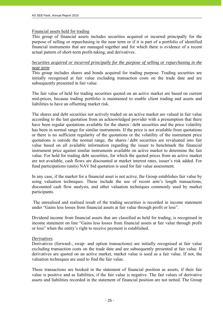#### Financial assets held for trading

This group of financial assets includes securities acquired or incurred principally for the purpose of selling or repurchasing in the near term or if it is part of a portfolio of identified financial instruments that are managed together and for which there is evidence of a recent actual pattern of short-term profit-taking, and derivatives.

## *Securities acquired or incurred principally for the purpose of selling or repurchasing in the near term*

This group includes shares and bonds acquired for trading purpose. Trading securities are initially recognised at fair value excluding transaction costs on the trade date and are subsequently presented in fair value.

The fair value of held for trading securities quoted on an active market are based on current mid-prices, because trading portfolio is maintained to enable client trading and assets and liabilities to have an offsetting market risk.

The shares and debt securities not actively traded on an active market are valued in fair value according to the last quotation from an acknowledged provider with a presumption that there have been regular quotations available for the shares / debt securities and the price volatility has been in normal range for similar instruments. If the price is not available from quotations or there is no sufficient regularity of the quotations or the volatility of the instrument price quotations is outside the normal range, the shares / debt securities are revaluated into fair value based on all available information regarding the issuer to benchmark the financial instrument price against similar instruments available on active market to determine the fair value. For held for trading debt securities, for which the quoted prices from an active market are not available, cash flows are discounted at market interest rates, issuer's risk added. For fund participations (units) NAV bid quotation is used for fair value assessment.

In any case, if the market for a financial asset is not active, the Group establishes fair value by using valuation techniques. These include the use of recent arm's length transactions, discounted cash flow analysis, and other valuation techniques commonly used by market participants.

 The unrealised and realised result of the trading securities is recorded in income statement under "Gains less losses from financial assets at fair value through profit or loss".

Dividend income from financial assets that are classified as held for trading, is recognised in income statement on line "Gains less losses from financial assets at fair value through profit or loss" when the entity's right to receive payment is established.

#### *Derivatives*

 $-$  25 -  $-$  25 -

Derivatives (forward-, swap- and option transactions) are initially recognised at fair value excluding transaction costs on the trade date and are subsequently presented at fair value. If derivatives are quoted on an active market, market value is used as a fair value. If not, the valuation techniques are used to find the fair value.

These transactions are booked in the statement of financial position as assets, if their fair value is positive and as liabilities, if the fair value is negative. The fair values of derivative assets and liabilities recorded in the statement of financial position are not netted. The Group

| Initsiaalid/initials | initsialiseeritud ainult identifitseerimiseks<br>Initialled for the purpose of identification only |
|----------------------|----------------------------------------------------------------------------------------------------|
| Kuupäev/date         | 07.05.2011                                                                                         |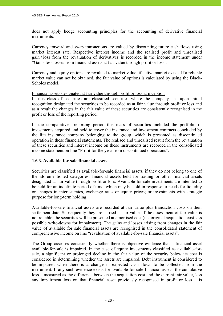does not apply hedge accounting principles for the accounting of derivative financial instruments.

Currency forward and swap transactions are valued by discounting future cash flows using market interest rate. Respective interest income and the realised profit and unrealised gain / loss from the revaluation of derivatives is recorded in the income statement under "Gains less losses from financial assets at fair value through profit or loss".

Currency and equity options are revalued to market value, if active market exists. If a reliable market value can not be obtained, the fair value of options is calculated by using the Black-Scholes model.

Financial assets designated at fair value through profit or loss at inception

In this class of securities are classified securities where the company has upon initial recognition designated the securities to be recorded as at fair value through profit or loss and as a result the changes in the fair value of these securities are consistently recognised in the profit or loss of the reporting period.

In the comparative reporting period this class of securities included the portfolio of investments acquired and held to cover the insurance and investment contracts concluded by the life insurance company belonging to the group, which is presented as discontinued operation in these financial statements. The realised and unrealised result from the revaluation of these securities and interest income on these instruments are recorded in the consolidated income statement on line "Profit for the year from discontinued operations".

## **1.6.3. Available-for-sale financial assets**

 $- 26 -$ 

Securities are classified as available-for-sale financial assets, if they do not belong to one of the aforementioned categories: financial assets held for trading or other financial assets designated at fair value through profit or loss. Available-for-sale investments are intended to be held for an indefinite period of time, which may be sold in response to needs for liquidity or changes in interest rates, exchange rates or equity prices; or investments with strategic purpose for long-term holding.

Available-for-sale financial assets are recorded at fair value plus transaction costs on their settlement date. Subsequently they are carried at fair value. If the assessment of fair value is not reliable, the securities will be presented at amortised cost (i.e. original acquisition cost less possible write-downs for impairment). The gains and losses arising from changes in the fair value of available for sale financial assets are recognised in the consolidated statement of comprehensive income on line "revaluation of available-for-sale financial assets".

The Group assesses consistently whether there is objective evidence that a financial asset available-for-sale is impaired. In the case of equity investments classified as available-forsale, a significant or prolonged decline in the fair value of the security below its cost is considered in determining whether the assets are impaired. Debt instrument is considered to be impaired when there is a change in expected cash flows to be collected from the instrument. If any such evidence exists for available-for-sale financial assets, the cumulative loss – measured as the difference between the acquisition cost and the current fair value, less any impairment loss on that financial asset previously recognised in profit or loss – is

| Initialled for the purpose of identification only<br>latitional distribution $M$ V |
|------------------------------------------------------------------------------------|
| 07.03.2011                                                                         |
| PricewaterhouseCoopers, Tallinn                                                    |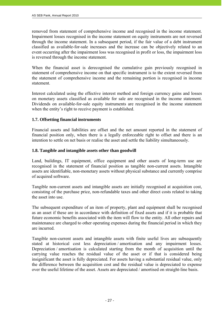removed from statement of comprehensive income and recognised in the income statement. Impairment losses recognised in the income statement on equity instruments are not reversed through the income statement. In a subsequent period, if the fair value of a debt instrument classified as available-for-sale increases and the increase can be objectively related to an event occurring after the impairment loss was recognised in profit or loss, the impairment loss is reversed through the income statement.

When the financial asset is derecognised the cumulative gain previously recognised in statement of comprehensive income on that specific instrument is to the extent reversed from the statement of comprehensive income and the remaining portion is recognised in income statement.

Interest calculated using the effective interest method and foreign currency gains and losses on monetary assets classified as available for sale are recognised in the income statement. Dividends on available-for-sale equity instruments are recognised in the income statement when the entity's right to receive payment is established.

# **1.7. Offsetting financial instruments**

Financial assets and liabilities are offset and the net amount reported in the statement of financial position only, when there is a legally enforceable right to offset and there is an intention to settle on net basis or realise the asset and settle the liability simultaneously.

## **1.8. Tangible and intangible assets other than goodwill**

Land, buildings, IT equipment, office equipment and other assets of long-term use are recognised in the statement of financial position as tangible non-current assets. Intangible assets are identifiable, non-monetary assets without physical substance and currently comprise of acquired software.

Tangible non-current assets and intangible assets are initially recognised at acquisition cost, consisting of the purchase price, non-refundable taxes and other direct costs related to taking the asset into use.

The subsequent expenditure of an item of property, plant and equipment shall be recognised as an asset if these are in accordance with definition of fixed assets and if it is probable that future economic benefits associated with the item will flow to the entity. All other repairs and maintenance are charged to other operating expenses during the financial period in which they are incurred.

Tangible non-current assets and intangible assets with finite useful lives are subsequently stated at historical cost less depreciation / amortisation and any impairment losses. Depreciation / amortisation is calculated starting from the month of acquisition until the carrying value reaches the residual value of the asset or if that is considered being insignificant the asset is fully depreciated. For assets having a substantial residual value, only the difference between the acquisition cost and the residual value is depreciated to expense over the useful lifetime of the asset. Assets are depreciated / amortised on straight-line basis.

| Initsiaalid/initials | Initsialiseeritud ainult identifitseerimiseks<br>Initialled for the purpose of identification only<br>Initiallel/initials $M.V$ |
|----------------------|---------------------------------------------------------------------------------------------------------------------------------|
| Kuupäev/date         | 07.03.2011                                                                                                                      |
|                      | PricewaterhouseCoopers, Tallinn                                                                                                 |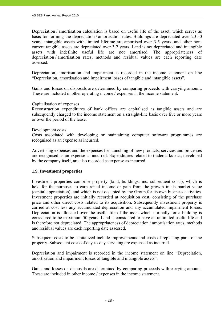Depreciation / amortisation calculation is based on useful life of the asset, which serves as basis for forming the depreciation / amortisation rates. Buildings are depreciated over 20-50 years, intangible assets with limited lifetime are amortised over 3-5 years, and other noncurrent tangible assets are depreciated over 3-7 years. Land is not depreciated and intangible assets with indefinite useful life are not amortised. The appropriateness of depreciation / amortisation rates, methods and residual values are each reporting date assessed.

Depreciation, amortisation and impairment is recorded in the income statement on line "Depreciation, amortisation and impairment losses of tangible and intangible assets".

Gains and losses on disposals are determined by comparing proceeds with carrying amount. These are included in other operating income / expenses in the income statement.

## Capitalisation of expenses

Reconstruction expenditures of bank offices are capitalised as tangible assets and are subsequently charged to the income statement on a straight-line basis over five or more years or over the period of the lease.

#### Development costs

Costs associated with developing or maintaining computer software programmes are recognised as an expense as incurred.

Advertising expenses and the expenses for launching of new products, services and processes are recognised as an expense as incurred. Expenditures related to trademarks etc., developed by the company itself, are also recorded as expense as incurred.

## **1.9. Investment properties**

 $- 28 -$ 

Investment properties comprise property (land, buildings, inc. subsequent costs), which is held for the purposes to earn rental income or gain from the growth in its market value (capital appreciation), and which is not occupied by the Group for its own business activities. Investment properties are initially recorded at acquisition cost, consisting of the purchase price and other direct costs related to its acquisition. Subsequently investment property is carried at cost less any accumulated depreciation and any accumulated impairment losses. Depreciation is allocated over the useful life of the asset which normally for a building is considered to be maximum 50 years. Land is considered to have an unlimited useful life and is therefore not depreciated. The appropriateness of depreciation / amortisation rates, methods and residual values are each reporting date assessed.

Subsequent costs to be capitalized include improvements and costs of replacing parts of the property. Subsequent costs of day-to-day servicing are expensed as incurred.

Depreciation and impairment is recorded in the income statement on line "Depreciation, amortisation and impairment losses of tangible and intangible assets".

Gains and losses on disposals are determined by comparing proceeds with carrying amount. These are included in other income / expenses in the income statement.

| Initsiaalid/initials | initsialiseeritud ainult identifitseerimiseks<br>Initialled for the purpose of identification only<br>Initiallelinitials $M \vee$ |
|----------------------|-----------------------------------------------------------------------------------------------------------------------------------|
| Kuupäev/date         | 07.05.2011                                                                                                                        |
|                      | PricewaterhouseCoopers, Tallinn                                                                                                   |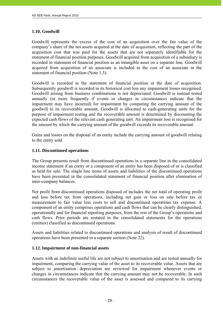# **1.10. Goodwill**

j

Goodwill represents the excess of the cost of an acquisition over the fair value of the company's share of the net assets acquired at the date of acquisition, reflecting the part of the acquisition cost that was paid for the assets that are not separately identifiable for the statement of financial position purposes. Goodwill acquired from acquisition of a subsidiary is recorded in statement of financial position as an intangible asset on a separate line. Goodwill acquired from acquisition of an associate is included in the cost of an associate in the statement of financial position (Note 1.3).

Goodwill is recorded in the statement of financial position at the date of acquisition. Subsequently goodwill is recorded in its historical cost less any impairment losses recognised. Goodwill arising from business combinations is not depreciated. Goodwill is instead tested annually (or more frequently if events or changes in circumstances indicate that the impairment may have incurred) for impairment by comparing the carrying amount of the goodwill to its recoverable amount. Goodwill is allocated to cash-generating units for the purpose of impairment testing and the recoverable amount is determined by discounting the expected cash flows of the relevant cash generating unit. An impairment loss is recognised for the amount by which the carrying amount of the goodwill exceeds its recoverable amount.

Gains and losses on the disposal of an entity include the carrying amount of goodwill relating to the entity sold.

## **1.11. Discontinued operations**

The Group presents result from discontinued operations in a separate line in the consolidated income statement if an entity or a component of an entity has been disposed of or is classified as held for sale. The single line items of assets and liabilities of the discontinued operations have been presented in the consolidated statement of financial position after elimination of inter-company balances.

Net profit from discontinued operations disposed of includes the net total of operating profit and loss before tax from operations, including net gain or loss on sale before tax or measurement to fair value less costs to sell and discontinued operations tax expense. A component of an entity comprises operations and cash flows that can be clearly distinguished, operationally and for financial reporting purposes, from the rest of the Group's operations and cash flows. Prior periods are restated in the consolidated statements for the operations (entities) classified as discontinued operations.

Assets and liabilities related to discontinued operations and analysis of result of discontinued operations have been presented in a separate section (Note 22).

# **1.12. Impairment of non-financial assets**

 $-$  29 -

Assets with an indefinite useful life are not subject to amortisation and are tested annually for impairment, comparing the carrying value of the asset to its recoverable value. Assets that are subject to amortisation / depreciation are reviewed for impairment whenever events or changes in circumstances indicate that the carrying amount may not be recoverable. In such circumstances the recoverable value of the asset is assessed and compared to its carrying

| Initsiaalid/initials | Initialled for the purpose of identification only |
|----------------------|---------------------------------------------------|
| Kuupäev/date         | 07.03.2011                                        |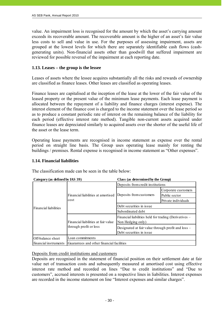value. An impairment loss is recognised for the amount by which the asset's carrying amount exceeds its recoverable amount. The recoverable amount is the higher of an asset's fair value less costs to sell and value in use. For the purposes of assessing impairment, assets are grouped at the lowest levels for which there are separately identifiable cash flows (cashgenerating units). Non-financial assets other than goodwill that suffered impairment are reviewed for possible reversal of the impairment at each reporting date.

## **1.13. Leases – the group is the lessee**

Leases of assets where the lessee acquires substantially all the risks and rewards of ownership are classified as finance leases. Other leases are classified as operating leases.

Finance leases are capitalised at the inception of the lease at the lower of the fair value of the leased property or the present value of the minimum lease payments. Each lease payment is allocated between the repayment of a liability and finance charges (interest expense). The interest element of the finance cost is charged to the income statement over the lease period so as to produce a constant periodic rate of interest on the remaining balance of the liability for each period (effective interest rate method). Tangible non-current assets acquired under finance leases are depreciated similarly to acquired assets over the shorter of the useful life of the asset or the lease term.

Operating lease payments are recognised in income statement as expense over the rental period on straight line basis. The Group uses operating lease mainly for renting the buildings / premises. Rental expense is recognised in income statement as "Other expenses".

## **1.14. Financial liabilities**

The classification made can be seen in the table below:

| Category (as defined by IAS 39) |                                                               | Class (as determined by the Group)                                             |                     |
|---------------------------------|---------------------------------------------------------------|--------------------------------------------------------------------------------|---------------------|
|                                 |                                                               | Deposits from credit institutions                                              |                     |
| Financial liabilities           | Financial liabilities at amortised<br>cost                    | Deposits from customers                                                        | Corporate customers |
|                                 |                                                               |                                                                                | Public sector       |
|                                 |                                                               |                                                                                | Private individuals |
|                                 |                                                               | Debt securities in issue                                                       |                     |
|                                 |                                                               | Subordinated debt                                                              |                     |
|                                 | Financial liabilities at fair value<br>through profit or loss | Financial liabilities held for trading (Derivatives –<br>Non Hedging only)     |                     |
|                                 |                                                               | Designated at fair value through profit and loss –<br>Debt securities in issue |                     |
| Off-balance sheet               | Loan commitments                                              |                                                                                |                     |
| financial instruments           | Guarantees and other financial facilities                     |                                                                                |                     |

## Deposits from credit institutions and customers

Deposits are recognised in the statement of financial position on their settlement date at fair value net of transaction costs and subsequently measured at amortised cost using effective interest rate method and recorded on lines "Due to credit institutions" and "Due to customers", accrued interests is presented on a respective lines in liabilities. Interest expenses are recorded in the income statement on line "Interest expenses and similar charges".

| Initsiaalid/initials | Initsialiseeritud ainult identifitseerimiseks<br>Initialled for the purpose of identification only<br>Initial and M.V. |
|----------------------|------------------------------------------------------------------------------------------------------------------------|
| Kuupäev/date         | 07.05.2011                                                                                                             |
|                      | PricewaterhouseCoopers, Tallinn                                                                                        |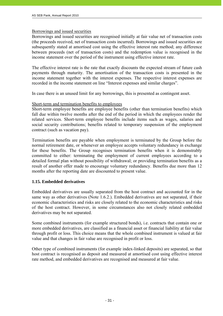# Borrowings and issued securities

Borrowings and issued securities are recognised initially at fair value net of transaction costs (the proceeds received, net of transaction costs incurred). Borrowings and issued securities are subsequently stated at amortised cost using the effective interest rate method; any difference between proceeds (net of transaction costs) and the redemption value is recognised in the income statement over the period of the instrument using effective interest rate.

The effective interest rate is the rate that exactly discounts the expected stream of future cash payments through maturity. The amortisation of the transaction costs is presented in the income statement together with the interest expenses. The respective interest expenses are recorded in the income statement on line "Interest expenses and similar charges".

In case there is an unused limit for any borrowings, this is presented as contingent asset.

#### Short-term and termination benefits to employees

Short-term employee benefits are employee benefits (other than termination benefits) which fall due within twelve months after the end of the period in which the employees render the related services. Short-term employee benefits include items such as wages, salaries and social security contributions; benefits related to temporary suspension of the employment contract (such as vacation pay).

Termination benefits are payable when employment is terminated by the Group before the normal retirement date, or whenever an employee accepts voluntary redundancy in exchange for these benefits. The Group recognises termination benefits when it is demonstrably committed to either: terminating the employment of current employees according to a detailed formal plan without possibility of withdrawal; or providing termination benefits as a result of another offer made to encourage voluntary redundancy. Benefits due more than 12 months after the reporting date are discounted to present value.

## **1.15. Embedded derivatives**

Embedded derivatives are usually separated from the host contract and accounted for in the same way as other derivatives (Note 1.6.2.). Embedded derivatives are not separated, if their economic characteristics and risks are closely related to the economic characteristics and risks of the host contract. However, in some circumstances also not closely related embedded derivatives may be not separated.

Some combined instruments (for example structured bonds), i.e. contracts that contain one or more embedded derivatives, are classified as a financial asset or financial liability at fair value through profit or loss. This choice means that the whole combined instrument is valued at fair value and that changes in fair value are recognised in profit or loss.

Other type of combined instruments (for example index-linked deposits) are separated, so that host contract is recognised as deposit and measured at amortised cost using effective interest rate method, and embedded derivatives are recognised and measured at fair value.

| Initsiaalid/initials | Initsialiseeritud ainult identifitseerimiseks<br>Initialled for the purpose of identification only |
|----------------------|----------------------------------------------------------------------------------------------------|
| Kuupäev/date         | 07.03.2011                                                                                         |
|                      | PricewaterhouseCoopers, Tallinn                                                                    |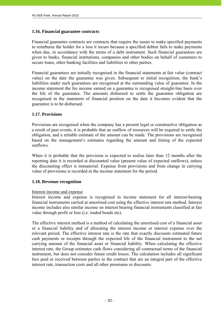# **1.16. Financial guarantee contracts**

Financial guarantee contracts are contracts that require the issuer to make specified payments to reimburse the holder for a loss it incurs because a specified debtor fails to make payments when due, in accordance with the terms of a debt instrument. Such financial guarantees are given to banks, financial institutions, companies and other bodies on behalf of customers to secure loans, other banking facilities and liabilities to other parties.

Financial guarantees are initially recognised in the financial statements at fair value (contract value) on the date the guarantee was given. Subsequent to initial recognition, the bank's liabilities under such guarantees are recognised at the outstanding value of guarantee. In the income statement the fee income earned on a guarantee is recognised straight-line basis over the life of the guarantee. The amounts disbursed to settle the guarantee obligation are recognised in the statement of financial position on the date it becomes evident that the guarantee is to be disbursed.

# **1.17. Provisions**

Provisions are recognised when the company has a present legal or constructive obligation as a result of past events, it is probable that an outflow of resources will be required to settle the obligation, and a reliable estimate of the amount can be made. The provisions are recognised based on the management's estimates regarding the amount and timing of the expected outflows.

When it is probable that the provision is expected to realise later than 12 months after the reporting date it is recorded at discounted value (present value of expected outflows), unless the discounting effect is immaterial. Expense from provisions and from change in carrying value of provisions is recorded in the income statement for the period.

## **1.18. Revenue recognition**

## Interest income and expense

Interest income and expense is recognised in income statement for all interest-bearing financial instruments carried at amortised cost using the effective interest rate method. Interest income includes also similar income on interest bearing financial instruments classified at fair value through profit or loss (i.e. traded bonds etc).

The effective interest method is a method of calculating the amortised cost of a financial asset or a financial liability and of allocating the interest income or interest expense over the relevant period. The effective interest rate is the rate that exactly discounts estimated future cash payments or receipts through the expected life of the financial instrument to the net carrying amount of the financial asset or financial liability. When calculating the effective interest rate, the Group estimates cash flows considering all contractual terms of the financial instrument, but does not consider future credit losses. The calculation includes all significant fees paid or received between parties to the contract that are an integral part of the effective interest rate, transaction costs and all other premiums or discounts.

| Initsiaalid/initials | initsialiseeritud ainult identifitseerimiseks<br>Initialled for the purpose of identification only<br>Initeiaalid/initials $M, V$ |
|----------------------|-----------------------------------------------------------------------------------------------------------------------------------|
| Kuupäev/date         | 07.03.2011                                                                                                                        |
|                      | PricewaterhouseCoopers, Tallinn                                                                                                   |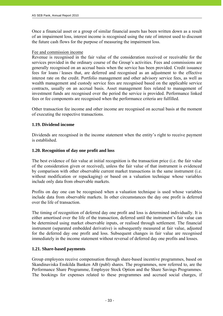Once a financial asset or a group of similar financial assets has been written down as a result of an impairment loss, interest income is recognised using the rate of interest used to discount the future cash flows for the purpose of measuring the impairment loss.

#### Fee and commission income

Revenue is recognised in the fair value of the consideration received or receivable for the services provided in the ordinary course of the Group's activities. Fees and commissions are generally recognised on an accrual basis when the service has been provided. Credit issuance fees for loans / leases that, are deferred and recognised as an adjustment to the effective interest rate on the credit. Portfolio management and other advisory service fees, as well as wealth management and custody service fees are recognised based on the applicable service contracts, usually on an accrual basis. Asset management fees related to management of investment funds are recognised over the period the service is provided. Performance linked fees or fee components are recognised when the performance criteria are fulfilled.

Other transaction fee income and other income are recognised on accrual basis at the moment of executing the respective transactions.

## **1.19. Dividend income**

Dividends are recognised in the income statement when the entity's right to receive payment is established.

## **1.20. Recognition of day one profit and loss**

The best evidence of fair value at initial recognition is the transaction price (i.e. the fair value of the consideration given or received), unless the fair value of that instrument is evidenced by comparison with other observable current market transactions in the same instrument (i.e. without modification or repackaging) or based on a valuation technique whose variables include only data from observable markets.

Profits on day one can be recognised when a valuation technique is used whose variables include data from observable markets. In other circumstances the day one profit is deferred over the life of transaction.

The timing of recognition of deferred day one profit and loss is determined individually. It is either amortised over the life of the transaction, deferred until the instrument's fair value can be determined using market observable inputs, or realised through settlement. The financial instrument (separated embedded derivative) is subsequently measured at fair value, adjusted for the deferred day one profit and loss. Subsequent changes in fair value are recognised immediately in the income statement without reversal of deferred day one profits and losses.

## **1.21. Share-based payments**

Group employees receive compensation through share-based incentive programmes, based on Skandinaviska Enskilda Banken AB (publ) shares. The programmes, now referred to, are the Performance Share Programme, Employee Stock Option and the Share Savings Programmes. The bookings for expenses related to these programmes and accrued social charges, if

| Initsiaalid/initials | initsialiseeritud ainult identifitseerimiseks<br>Initialled for the purpose of identification only<br>Initelaalid/initials $M.V.$ |
|----------------------|-----------------------------------------------------------------------------------------------------------------------------------|
| Kuupäev/date         | 07.03.2011                                                                                                                        |
|                      | PricewaterhouseCoopers, Tallinn                                                                                                   |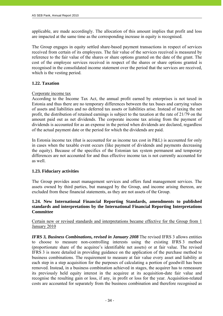applicable, are made accordingly. The allocation of this amount implies that profit and loss are impacted at the same time as the corresponding increase in equity is recognised.

The Group engages in equity settled share-based payment transactions in respect of services received from certain of its employees. The fair value of the services received is measured by reference to the fair value of the shares or share options granted on the date of the grant. The cost of the employee services received in respect of the shares or share options granted is recognised in the consolidated income statement over the period that the services are received, which is the vesting period.

# **1.22. Taxation**

## Corporate income tax

According to the Income Tax Act, the annual profit earned by enterprises is not taxed in Estonia and thus there are no temporary differences between the tax bases and carrying values of assets and liabilities and no deferred tax assets or liabilities arise. Instead of taxing the net profit, the distribution of retained earnings is subject to the taxation at the rate of 21/79 on the amount paid out as net dividends. The corporate income tax arising from the payment of dividends is accounted for as an expense in the period when dividends are declared, regardless of the actual payment date or the period for which the dividends are paid.

In Estonia income tax (that is accounted for as income tax cost in P&L) is accounted for only in cases when the taxable event occurs (like payment of dividends and payments decreasing the equity). Because of the specifics of the Estonian tax system permanent and temporary differences are not accounted for and thus effective income tax is not currently accounted for as well.

## **1.23. Fiduciary activities**

The Group provides asset management services and offers fund management services. The assets owned by third parties, but managed by the Group, and income arising thereon, are excluded from these financial statements, as they are not assets of the Group.

# **1.24. New International Financial Reporting Standards, amendments to published standards and interpretations by the International Financial Reporting Interpretations Committee**

Certain new or revised standards and interpretations became effective for the Group from 1 January 2010

*IFRS 3, Business Combinations, revised in January 2008* The revised IFRS 3 allows entities to choose to measure non-controlling interests using the existing IFRS 3 method (proportionate share of the acquiree's identifiable net assets) or at fair value. The revised IFRS 3 is more detailed in providing guidance on the application of the purchase method to business combinations. The requirement to measure at fair value every asset and liability at each step in a step acquisition for the purposes of calculating a portion of goodwill has been removed. Instead, in a business combination achieved in stages, the acquirer has to remeasure its previously held equity interest in the acquiree at its acquisition-date fair value and recognise the resulting gain or loss, if any, in profit or loss for the year. Acquisition-related costs are accounted for separately from the business combination and therefore recognised as

| Initsiaalid/initials | initsialiseeritud ainult identifitseerimiseks<br>Initialled for the purpose of identification only<br>latisization intervalsed $M \vee$ |
|----------------------|-----------------------------------------------------------------------------------------------------------------------------------------|
| Kuupäev/date         | 07.03.2011                                                                                                                              |
|                      | PricewaterhouseCoopers, Tallinn                                                                                                         |

- 34 -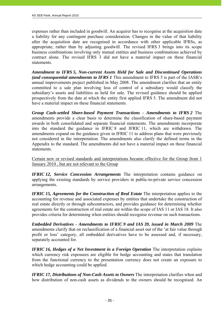expenses rather than included in goodwill. An acquirer has to recognise at the acquisition date a liability for any contingent purchase consideration. Changes in the value of that liability after the acquisition date are recognised in accordance with other applicable IFRSs, as appropriate, rather than by adjusting goodwill. The revised IFRS 3 brings into its scope business combinations involving only mutual entities and business combinations achieved by contract alone. The revised IFRS 3 did not have a material impact on these financial statements.

*Amendment to IFRS 5, Non-current Assets Held for Sale and Discontinued Operations (and consequential amendments to IFRS 1* This amendment to IFRS 5 is part of the IASB's annual improvements project published in May 2008. The amendment clarifies that an entity committed to a sale plan involving loss of control of a subsidiary would classify the subsidiary's assets and liabilities as held for sale. The revised guidance should be applied prospectively from the date at which the entity first applied IFRS 5. The amendment did not have a material impact on these financial statements.

*Group Cash-settled Share-based Payment Transactions - Amendments to IFRS 2* The amendments provide a clear basis to determine the classification of share-based payment awards in both consolidated and separate financial statements. The amendments incorporate into the standard the guidance in IFRIC 8 and IFRIC 11, which are withdrawn. The amendments expand on the guidance given in IFRIC 11 to address plans that were previously not considered in the interpretation. The amendments also clarify the defined terms in the Appendix to the standard. The amendments did not have a material impact on these financial statements.

Certain new or revised standards and interpretations became effective for the Group from 1 January 2010 , but are not relevant to the Group

*IFRIC 12, Service Concession Arrangements* The interpretation contains guidance on applying the existing standards by service providers in public-to-private service concession arrangements.

*IFRIC 15, Agreements for the Construction of Real Estate* The interpretation applies to the accounting for revenue and associated expenses by entities that undertake the construction of real estate directly or through subcontractors, and provides guidance for determining whether agreements for the construction of real estate are within the scope of IAS 11 or IAS 18. It also provides criteria for determining when entities should recognise revenue on such transactions.

*Embedded Derivatives - Amendments to IFRIC 9 and IAS 39, issued in March 2009* The amendments clarify that on reclassification of a financial asset out of the 'at fair value through profit or loss' category, all embedded derivatives have to be assessed and, if necessary, separately accounted for.

*IFRIC 16, Hedges of a Net Investment in a Foreign Operation* The interpretation explains which currency risk exposures are eligible for hedge accounting and states that translation from the functional currency to the presentation currency does not create an exposure to which hedge accounting could be applied.

*IFRIC 17, Distributions of Non-Cash Assets to Owners* The interpretation clarifies when and how distribution of non-cash assets as dividends to the owners should be recognised. An

 $- 35 -$ 

| Initsiaalid/initials | initsialiseeritud ainult identifitseerimiseks<br>Initialled for the purpose of identification only |
|----------------------|----------------------------------------------------------------------------------------------------|
| Kuupäev/date         | 07.05.2011                                                                                         |
|                      | PricewaterhouseCoopers, Tallinn                                                                    |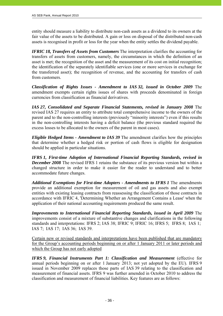entity should measure a liability to distribute non-cash assets as a dividend to its owners at the fair value of the assets to be distributed. A gain or loss on disposal of the distributed non-cash assets is recognised in profit or loss for the year when the entity settles the dividend payable.

*IFRIC 18, Transfers of Assets from Customers* The interpretation clarifies the accounting for transfers of assets from customers, namely, the circumstances in which the definition of an asset is met; the recognition of the asset and the measurement of its cost on initial recognition; the identification of the separately identifiable services (one or more services in exchange for the transferred asset); the recognition of revenue, and the accounting for transfers of cash from customers.

*Classification of Rights Issues - Amendment to IAS 32, issued in October 2009* The amendment exempts certain rights issues of shares with proceeds denominated in foreign currencies from classification as financial derivatives.

*IAS 27, Consolidated and Separate Financial Statements, revised in January 2008* The revised IAS 27 requires an entity to attribute total comprehensive income to the owners of the parent and to the non-controlling interests (previously "minority interests") even if this results in the non-controlling interests having a deficit balance (the previous standard required the excess losses to be allocated to the owners of the parent in most cases).

*Eligible Hedged Items - Amendment to IAS 39* The amendment clarifies how the principles that determine whether a hedged risk or portion of cash flows is eligible for designation should be applied in particular situations.

*IFRS 1, First-time Adoption of International Financial Reporting Standards, revised in December 2008* The revised IFRS 1 retains the substance of its previous version but within a changed structure in order to make it easier for the reader to understand and to better accommodate future changes.

*Additional Exemptions for First-time Adopters - Amendments to IFRS 1* The amendments provide an additional exemption for measurement of oil and gas assets and also exempt entities with existing leasing contracts from reassessing the classification of those contracts in accordance with IFRIC 4, 'Determining Whether an Arrangement Contains a Lease' when the application of their national accounting requirements produced the same result.

*Improvements to International Financial Reporting Standards, issued in April 2009* The improvements consist of a mixture of substantive changes and clarifications in the following standards and interpretations: IFRS 2; IAS 38; IFRIC 9; IFRIC 16; IFRS 5; IFRS 8; IAS 1; IAS 7; IAS 17; IAS 36; IAS 39.

Certain new or revised standards and interpretations have been published that are mandatory for the Group's accounting periods beginning on or after 1 January 2011 or later periods and which the Group has not early adopted

*IFRS 9, Financial Instruments Part 1: Classification and Measurement* (effective for annual periods beginning on or after 1 January 2013; not yet adopted by the EU). IFRS 9 issued in November 2009 replaces those parts of IAS 39 relating to the classification and measurement of financial assets. IFRS 9 was further amended in October 2010 to address the classification and measurement of financial liabilities. Key features are as follows:

| Initsiaalid/initials | initsialiseeritud ainult identifitseerimiseks<br>Initialled for the purpose of identification only |
|----------------------|----------------------------------------------------------------------------------------------------|
| Kuupäev/date         | 07.03.2011                                                                                         |
|                      | PricewaterhouseCoopers, Tallinn                                                                    |

 $- 36 -$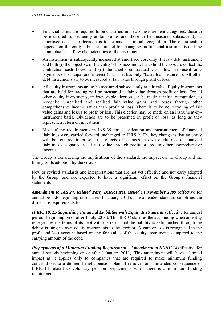- Financial assets are required to be classified into two measurement categories: those to be measured subsequently at fair value, and those to be measured subsequently at amortised cost. The decision is to be made at initial recognition. The classification depends on the entity's business model for managing its financial instruments and the contractual cash flow characteristics of the instrument.
- An instrument is subsequently measured at amortised cost only if it is a debt instrument and both (i) the objective of the entity's business model is to hold the asset to collect the contractual cash flows, and (ii) the asset's contractual cash flows represent only payments of principal and interest (that is, it has only "basic loan features"). All other debt instruments are to be measured at fair value through profit or loss.
- All equity instruments are to be measured subsequently at fair value. Equity instruments that are held for trading will be measured at fair value through profit or loss. For all other equity investments, an irrevocable election can be made at initial recognition, to recognise unrealised and realised fair value gains and losses through other comprehensive income rather than profit or loss. There is to be no recycling of fair value gains and losses to profit or loss. This election may be made on an instrument-byinstrument basis. Dividends are to be presented in profit or loss, as long as they represent a return on investment.
- Most of the requirements in IAS 39 for classification and measurement of financial liabilities were carried forward unchanged to IFRS 9. The key change is that an entity will be required to present the effects of changes in own credit risk of financial liabilities designated as at fair value through profit or loss in other comprehensive income.

The Group is considering the implications of the standard, the impact on the Group and the timing of its adoption by the Group.

New or revised standards and interpretations that are not yet effective and not early adopted by the Group, and not expected to have a significant effect on the Group's financial statements

*Amendment to IAS 24, Related Party Disclosures, issued in November 2009* (effective for annual periods beginning on or after 1 January 2011). The amended standard simplifies the disclosure requirements for.

*IFRIC 19, Extinguishing Financial Liabilities with Equity Instruments (effective for annual* periods beginning on or after 1 July 2010). This IFRIC clarifies the accounting when an entity renegotiates the terms of its debt with the result that the liability is extinguished through the debtor issuing its own equity instruments to the creditor. A gain or loss is recognised in the profit and loss account based on the fair value of the equity instruments compared to the carrying amount of the debt.

*Prepayments of a Minimum Funding Requirement – Amendment to IFRIC 14* (effective for annual periods beginning on or after 1 January 2011). This amendment will have a limited impact as it applies only to companies that are required to make minimum funding contributions to a defined benefit pension plan. It removes an unintended consequence of IFRIC 14 related to voluntary pension prepayments when there is a minimum funding requirement.

- 37 -

| Initsiaalid/initials | Initsialiseeritud ainult identifitseerimiseks<br>Initialled for the purpose of identification only<br>Initiallel/initials $M.V$ |
|----------------------|---------------------------------------------------------------------------------------------------------------------------------|
| Kuupäev/date         | 07.03.2011                                                                                                                      |
|                      | PricewaterhouseCoopers, Tallinn                                                                                                 |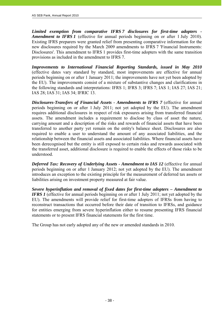*Limited exemption from comparative IFRS 7 disclosures for first-time adopters - Amendment to IFRS 1* (effective for annual periods beginning on or after 1 July 2010). Existing IFRS preparers were granted relief from presenting comparative information for the new disclosures required by the March 2009 amendments to IFRS 7 'Financial Instruments: Disclosures'. This amendment to IFRS 1 provides first-time adopters with the same transition provisions as included in the amendment to IFRS 7.

*Improvements to International Financial Reporting Standards, issued in May 2010* (effective dates vary standard by standard, most improvements are effective for annual periods beginning on or after 1 January 2011; the improvements have not yet been adopted by the EU). The improvements consist of a mixture of substantive changes and clarifications in the following standards and interpretations: IFRS 1; IFRS 3; IFRS 7; IAS 1; IAS 27; IAS 21; IAS 28; IAS 31; IAS 34; IFRIC 13.

*Disclosures-Transfers of Financial Assets - Amendments to IFRS 7* (effective for annual periods beginning on or after 1 July 2011; not yet adopted by the EU). The amendment requires additional disclosures in respect of risk exposures arising from transferred financial assets. The amendment includes a requirement to disclose by class of asset the nature, carrying amount and a description of the risks and rewards of financial assets that have been transferred to another party yet remain on the entity's balance sheet. Disclosures are also required to enable a user to understand the amount of any associated liabilities, and the relationship between the financial assets and associated liabilities. Where financial assets have been derecognised but the entity is still exposed to certain risks and rewards associated with the transferred asset, additional disclosure is required to enable the effects of those risks to be understood.

*Deferred Tax: Recovery of Underlying Assets - Amendment to IAS 12* (effective for annual periods beginning on or after 1 January 2012; not yet adopted by the EU). The amendment introduces an exception to the existing principle for the measurement of deferred tax assets or liabilities arising on investment property measured at fair value.

*Severe hyperinflation and removal of fixed dates for first-time adopters – Amendment to IFRS 1* (effective for annual periods beginning on or after 1 July 2011; not yet adopted by the EU). The amendments will provide relief for first-time adopters of IFRSs from having to reconstruct transactions that occurred before their date of transition to IFRSs, and guidance for entities emerging from severe hyperinflation either to resume presenting IFRS financial statements or to present IFRS financial statements for the first time.

The Group has not early adopted any of the new or amended standards in 2010.

| 07.05.2011                      |
|---------------------------------|
| PricewaterhouseCoopers, Tallinn |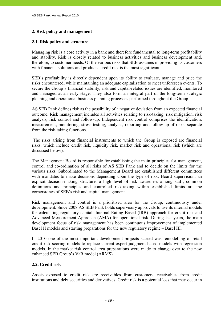### **2. Risk policy and management**

### **2.1. Risk policy and structure**

Managing risk is a core activity in a bank and therefore fundamental to long-term profitability and stability. Risk is closely related to business activities and business development and, therefore, to customer needs. Of the various risks that SEB assumes in providing its customers with financial solutions and products, credit risk is the most significant.

SEB's profitability is directly dependent upon its ability to evaluate, manage and price the risks encountered, while maintaining an adequate capitalization to meet unforeseen events. To secure the Group's financial stability, risk and capital-related issues are identified, monitored and managed at an early stage. They also form an integral part of the long-term strategic planning and operational business planning processes performed throughout the Group.

AS SEB Pank defines risk as the possibility of a negative deviation from an expected financial outcome. Risk management includes all activities relating to risk-taking, risk mitigation, risk analysis, risk control and follow-up. Independent risk control comprises the identification, measurement, monitoring, stress testing, analysis, reporting and follow-up of risks, separate from the risk-taking functions.

 The risks arising from financial instruments to which the Group is exposed are financial risks, which include credit risk, liquidity risk, market risk and operational risk (which are discussed below).

The Management Board is responsible for establishing the main principles for management, control and co-ordination of all risks of AS SEB Pank and to decide on the limits for the various risks. Subordinated to the Management Board are established different committees with mandates to make decisions depending upon the type of risk. Board supervision, an explicit decision-making structure, a high level of risk awareness among staff, common definitions and principles and controlled risk-taking within established limits are the cornerstones of SEB's risk and capital management.

Risk management and control is a prioritised area for the Group, continuously under development. Since 2008 AS SEB Pank holds supervisory approvals to use its internal models for calculating regulatory capital: Internal Rating Based (IRB) approach for credit risk and Advanced Measurement Approach (AMA) for operational risk. During last years, the main development focus of risk management has been continuous improvement of implemented Basel II models and starting preparations for the new regulatory regime – Basel III.

In 2010 one of the most important development projects started was remodelling of retail credit risk scoring models to replace current expert judgment based models with regression models. In the market risk control area preparations were made to change over to the new enhanced SEB Group's VaR model (ARMS).

### **2.2. Credit risk**

 $- 39 -$ 

Assets exposed to credit risk are receivables from customers, receivables from credit institutions and debt securities and derivatives. Credit risk is a potential loss that may occur in

| Initsiaalid/initials | Initsialiseeritud ainult identifitseerimiseks<br>Initialled for the purpose of identification only |
|----------------------|----------------------------------------------------------------------------------------------------|
| Kuupäev/date         | 07.05.2011                                                                                         |
|                      | PricewaterhouseCoopers, Tallinn                                                                    |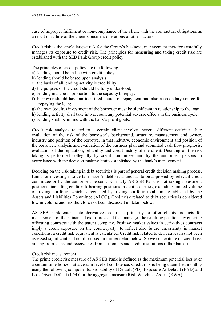case of improper fulfilment or non-compliance of the client with the contractual obligations as a result of failure of the client's business operations or other factors.

Credit risk is the single largest risk for the Group's business; management therefore carefully manages its exposure to credit risk. The principles for measuring and taking credit risk are established with the SEB Pank Group credit policy.

The principles of credit policy are the following:

- a) lending should be in line with credit policy;
- b) lending should be based upon analysis;
- c) the basis of all lending activity is credibility;
- d) the purpose of the credit should be fully understood;
- e) lending must be in proportion to the capacity to repay;
- f) borrower should have an identified source of repayment and also a secondary source for repaying the loan;
- g) the own (equity) investment of the borrower must be significant in relationship to the loan;
- h) lending activity shall take into account any potential adverse effects in the business cycle;
- i) lending shall be in line with the bank's profit goals.

Credit risk analysis related to a certain client involves several different activities, like evaluation of the risk of the borrower's background, structure, management and owner, industry and position of the borrower in that industry, economic environment and position of the borrower, analysis and evaluation of the business plan and submitted cash flow prognosis; evaluation of the reputation, reliability and credit history of the client. Deciding on the risk taking is performed collegially by credit committees and by the authorised persons in accordance with the decision-making limits established by the bank's management.

Deciding on the risk taking in debt securities is part of general credit decision making process. Limit for investing into certain issuer's debt securities has to be approved by relevant credit committee or by the authorised persons. Normally AS SEB Pank is not taking investment positions, including credit risk bearing positions in debt securities, excluding limited volume of trading portfolio, which is regulated by trading portfolio total limit established by the Assets and Liabilities Committee (ALCO). Credit risk related to debt securities is considered low in volume and has therefore not been discussed in detail below.

AS SEB Pank enters into derivatives contracts primarily to offer clients products for management of their financial exposures, and then manages the resulting positions by entering offsetting contracts with the parent company. Positive market values in derivatives contracts imply a credit exposure on the counterparty; to reflect also future uncertainty in market conditions, a credit risk equivalent is calculated. Credit risk related to derivatives has not been assessed significant and not discussed in further detail below. So we concentrate on credit risk arising from loans and receivables from customers and credit institutions (other banks).

### Credit risk measurement

 $-40-$ 

The prime credit risk measure of AS SEB Pank is defined as the maximum potential loss over a certain time horizon at a certain level of confidence. Credit risk is being quantified monthly using the following components: Probability of Default (PD), Exposure At Default (EAD) and Loss Given Default (LGD) or the aggregate measure Risk Weighted Assets (RWA).

| Initsiaalid/initials | Initsialiseeritud ainult identifitseerimiseks<br>Initialled for the purpose of identification only<br>tritting identities $M \vee$ |
|----------------------|------------------------------------------------------------------------------------------------------------------------------------|
| Kuupäev/date         | 07.05.2011                                                                                                                         |
|                      | PricewaterhouseCoopers, Tallinn                                                                                                    |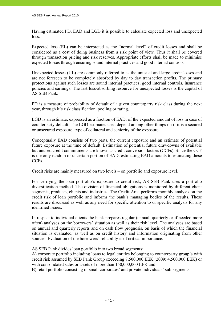Having estimated PD, EAD and LGD it is possible to calculate expected loss and unexpected loss.

Expected loss (EL) can be interpreted as the "normal level" of credit losses and shall be considered as a cost of doing business from a risk point of view. Thus it shall be covered through transaction pricing and risk reserves. Appropriate efforts shall be made to minimise expected losses through ensuring sound internal practices and good internal controls.

Unexpected losses (UL) are commonly referred to as the unusual and large credit losses and are not foreseen to be completely absorbed by day to day transaction profits. The primary protections against such losses are sound internal practices, good internal controls, insurance policies and earnings. The last loss-absorbing resource for unexpected losses is the capital of AS SEB Pank.

PD is a measure of probability of default of a given counterparty risk class during the next year, through it's risk classification, pooling or rating.

LGD is an estimate, expressed as a fraction of EAD, of the expected amount of loss in case of counterparty default. The LGD estimates used depend among other things on if it is a secured or unsecured exposure, type of collateral and seniority of the exposure.

Conceptually EAD consists of two parts, the current exposure and an estimate of potential future exposure at the time of default. Estimation of potential future drawdowns of available but unused credit commitments are known as credit conversion factors (CCFs). Since the CCF is the only random or uncertain portion of EAD, estimating EAD amounts to estimating these CCFs.

Credit risks are mainly measured on two levels – on portfolio and exposure level.

For verifying the loan portfolio's exposure to credit risk, AS SEB Pank uses a portfolio diversification method. The division of financial obligations is monitored by different client segments, products, clients and industries*.* The Credit Area performs monthly analysis on the credit risk of loan portfolio and informs the bank's managing bodies of the results. These results are discussed as well as any need for specific attention to or specific analysis for any identified issues.

In respect to individual clients the bank prepares regular (annual, quarterly or if needed more often) analyses on the borrowers' situation as well as their risk level. The analyses are based on annual and quarterly reports and on cash flow prognosis, on basis of which the financial situation is evaluated, as well as on credit history and information originating from other sources. Evaluation of the borrowers' reliability is of critical importance.

AS SEB Pank divides loan portfolio into two broad segments:

A) corporate portfolio including loans to legal entities belonging to counterparty group's with credit risk assumed by SEB Pank Group exceeding 7,500,000 EEK (2009: 4,500,000 EEK) or with consolidated sales or assets of more than 150,000,000 EEK and

B) retail portfolio consisting of small corporates' and private individuals' sub-segments.

| Initsiaalid/initials | initsialiseeritud ainult identifitseerimiseks<br>Initialled for the purpose of identification only<br>Initiallelinitials $M.V$ |
|----------------------|--------------------------------------------------------------------------------------------------------------------------------|
| Kuupäev/date         | 07.03.2011                                                                                                                     |
|                      | PricewaterhouseCoopers, Tallinn                                                                                                |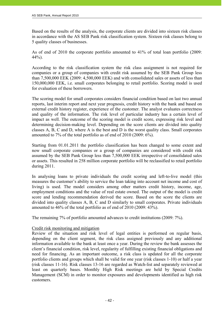Based on the results of the analysis, the corporate clients are divided into sixteen risk classes in accordance with the AS SEB Pank risk classification system. Sixteen risk classes belong to 5 quality classes of businesses.

As of end of 2010 the corporate portfolio amounted to 41% of total loan portfolio (2009:  $44\%$ ).

According to the risk classification system the risk class assignment is not required for companies or a group of companies with credit risk assumed by the SEB Pank Group less than 7,500,000 EEK (2009: 4,500,000 EEK) and with consolidated sales or assets of less than 150,000,000 EEK, i.e. small corporates belonging to retail portfolio. Scoring model is used for evaluation of these borrowers.

The scoring model for small corporates considers financial condition based on last two annual reports, last interim report and next year prognosis, credit history with the bank and based on external credit history register, experience of the customer. The analyst evaluates correctness and quality of the information. The risk level of particular industry has a certain level of impact as well. The outcome of the scoring model is credit score, expressing risk level and determining decision-making level. Depending on the score clients are divided into quality classes A, B, C and D, where A is the best and D is the worst quality class. Small corporates amounted to 7% of the total portfolio as of end of 2010 (2009: 6%).

Starting from 01.01.2011 the portfolio classification has been changed to some extent and now small corporate companies or a group of companies are considered with credit risk assumed by the SEB Pank Group less than 7,500,000 EEK irrespective of consolidated sales or assets. This resulted in 258 million corporate portfolio will be reclassified to retail portfolio during 2011.

In analysing loans to private individuals the credit scoring and left-to-live model (this measures the customer's ability to service the loan taking into account net income and cost of living) is used. The model considers among other matters credit history, income, age, employment conditions and the value of real estate owned. The output of the model is credit score and lending recommendation derived the score. Based on the score the clients are divided into quality classes A, B, C and D similarly to small corporates. Private individuals amounted to 46% of the total portfolio as of end of 2010 (2009: 43%).

The remaining 7% of portfolio amounted advances to credit institutions (2009: 7%).

### Credit risk monitoring and mitigation

Review of the situation and risk level of legal entities is performed on regular basis, depending on the client segment, the risk class assigned previously and any additional information available to the bank at least once a year. During the review the bank assesses the client's financial condition, risk level, regularity of fulfilling existing financial obligations and need for financing. As an important outcome, a risk class is updated for all the corporate portfolio clients and groups which shall be valid for one year (risk classes 1-10) or half a year (risk classes 11-16). Risk classes 13-16 are regarded as Watch-list and separately reviewed at least on quarterly bases. Monthly High Risk meetings are held by Special Credits Management (SCM) in order to monitor exposures and developments identified as high risk customers.

| initsialiseeritud ainult identifitseerimiseks<br>Initsiaalid/initials |                                 | Initialled for the purpose of identification only<br>Initiallelinitials $M.V$ |
|-----------------------------------------------------------------------|---------------------------------|-------------------------------------------------------------------------------|
| Kuupäev/date                                                          | 07.05.2011                      |                                                                               |
|                                                                       | PricewaterhouseCoopers, Tallinn |                                                                               |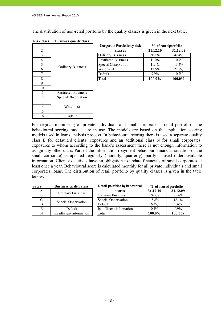The distribution of non-retail portfolio by the quality classes is given in the next table.

| 1  |                            |
|----|----------------------------|
| 2  |                            |
| 3  |                            |
| 4  |                            |
| 5  |                            |
| 6  | Ordinary Business          |
| 7  |                            |
| 8  |                            |
| 9  |                            |
| 10 |                            |
| 11 | <b>Restricted Business</b> |
| 12 | Special Observation        |
| 13 |                            |
| 14 | Watch-list                 |
| 15 |                            |
| 16 | Default                    |

| <b>Risk class</b> | <b>Business quality class</b> |
|-------------------|-------------------------------|
|                   |                               |

|                |                   | <b>Corporate Portfolio by risk</b> | % of rated portfolio |          |
|----------------|-------------------|------------------------------------|----------------------|----------|
| $\overline{2}$ |                   | classes                            | 31.12.10             | 31.12.09 |
|                |                   | <b>Ordinary Business</b>           | $50.1\%$             | 42.4%    |
| 4              | Ordinary Business | <b>Restricted Business</b>         | 11.0%                | 10.7%    |
|                |                   | Special Observation                | 11.4%                | 13.4%    |
| 6              |                   | Watch-list                         | 17.6%                | 22.8%    |
|                |                   | Default                            | $9.9\%$              | 10.7%    |
| 8              |                   | <b>Total</b>                       | 100.0%               | 100.0%   |

For regular monitoring of private individuals and small corporates - retail portfolio - the behavioural scoring models are in use. The models are based on the application scoring models used in loans analysis process. In behavioural scoring there is used a separate quality class E for defaulted clients' exposures and an additional class N for small corporates' exposures to whom according to the bank's assessment there is not enough information to assign any other class. Part of the information (payment behaviour, financial situation of the small corporate) is updated regularly (monthly, quarterly), partly is used older available information. Client executives have an obligation to update financials of small corporates at least once a year. Behavioural score is calculated monthly for all private individuals and small corporates loans. The distribution of retail portfolio by quality classes is given in the table below.

| <b>Score</b> | <b>Business quality class</b> | Retail portfolio by behavioral |          | % of scored portfolio |
|--------------|-------------------------------|--------------------------------|----------|-----------------------|
| А            |                               | scores                         | 31.12.10 | 31.12.09              |
| B            | <b>Ordinary Business</b>      | <b>Ordinary Business</b>       | 74.5%    | 75.4%                 |
|              | Special Observation           | Special Observation            | 18.8%    | 18.1%                 |
|              |                               | Default                        | $6.3\%$  | $5.6\%$               |
| E            | Default                       | Insufficient information       | $0.4\%$  | $0.9\%$               |
| N            | Insufficient information      | <b>Total</b>                   | 100.0%   | 100.0%                |

| Initsiaalid/initials | initsialiseeritud ainult identifitseerimiseks<br>Initialled for the purpose of identification only<br>Initelaslid/initials $M_{\text{N}}$ |
|----------------------|-------------------------------------------------------------------------------------------------------------------------------------------|
| Kuupäev/date         | 07.03.2011                                                                                                                                |
|                      | PricewaterhouseCoopers, Tallinn                                                                                                           |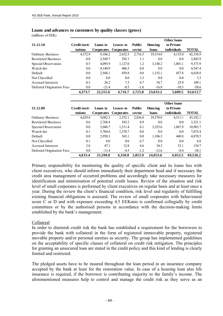#### **Loans and advances to customers by quality classes (gross)**

(millions of EEK)

j

|                            |               |                   |                   |               |          | <b>Other loans</b> |              |
|----------------------------|---------------|-------------------|-------------------|---------------|----------|--------------------|--------------|
| 31.12.10                   | Credit insti- | Loans to          | Leases to         | <b>Public</b> | Housing  | to Private         |              |
|                            | tutions       | <b>Corporates</b> | <b>Corporates</b> | sector        | loans    | individuals        | <b>TOTAL</b> |
| <b>Ordinary Business</b>   | 4,372.9       | 9,186.2           | 2,432.5           | 2,716.3       | 19,314.0 | 4,135.0            | 42,156.9     |
| <b>Restricted Business</b> | 0.0           | 2,549.7           | 292.1             | 1.1           | 0.0      | 0.0                | 2,842.9      |
| Special Observation        | 0.5           | 4,095.9           | 1,127.0           | 1.2           | 3,148.2  | 1,001.1            | 9,373.9      |
| Watch-list                 | 0.0           | 4,140.9           | 406.5             | 0.0           | 0.0      | 0.0                | 4,547.4      |
| Default                    | 0.0           | 2,568.1           | 459.8             | 0.0           | 1,153.1  | 457.8              | 4,638.8      |
| Not Classified             | 0.0           | 0.0               | 0.0               | 3.3           | 0.0      | 0.0                | 3.3          |
| Accrued Interests          | 0.3           | 36.2              | 7.3               | 4.7           | 34.7     | 25.9               | 109.1        |
| Deferred Origination Fees  | 0.0           | $-21.4$           | $-8.5$            | $-1.6$        | $-16.8$  | $-10.3$            | $-58.6$      |
|                            | 4.373.7       | 22,555.6          | 4,716.7           | 2,725.0       | 23.633.2 | 5.609.5            | 63.613.7     |

|                            |               |                   |                   |               |          | <b>Other loans</b> |              |
|----------------------------|---------------|-------------------|-------------------|---------------|----------|--------------------|--------------|
| 31.12.09                   | Credit insti- | Loans to          | <b>Leases to</b>  | <b>Public</b> | Housing  | to Private         |              |
|                            | tutions       | <b>Corporates</b> | <b>Corporates</b> | sector        | loans    | individuals        | <b>TOTAL</b> |
| Ordinary Business          | 4,629.8       | 9,082.3           | 2,552.1           | 2,836.8       | 19,570.0 | 4,511.1            | 43,182.1     |
| <b>Restricted Business</b> | 0.6           | 2,768.4           | 543.2             | 8.9           | 0.0      | 0.0                | 3,321.1      |
| Special Observation        | 0.0           | 5,048.7           | 1,511.4           | 0.1           | 3,355.6  | 1,067.9            | 10,983.7     |
| Watch-list                 | 0.1           | 5,704.6           | 1,370.7           | 0.0           | 0.0      | 0.0                | 7,075.4      |
| Default                    | 0.0           | 2,950.3           | 365.1             | 0.0           | 1,106.3  | 448.8              | 4,870.5      |
| Not Classified             | 0.1           | 0.0               | 0.0               | 6.7           | 0.0      | 0.0                | 6.8          |
| Accrued Interests          | 2.8           | 47.1              | 12.8              | 4.6           | 34.3     | 33.1               | 134.7        |
| Deferred Origination Fees  | 0.0           | $-11.4$           | $-4.5$            | $-1.2$        | $-12.6$  | $-8.4$             | $-38.1$      |
|                            | 4,633.4       | 25,590.0          | 6.350.8           | 2,855.9       | 24,053.6 | 6.052.5            | 69,536.2     |

Primary responsibility for monitoring the quality of specific client and its loans lies with client executives, who should inform immediately their department head and if necessary the credit area management of occurred problems and accordingly take necessary measures for identification and minimisation of potential credit losses. Review of the situation and risk level of small corporates is performed by client executives on regular basis and at least once a year. During the review the client's financial condition, risk level and regularity of fulfilling existing financial obligations is assessed. The review of small corporates with behavioural score C or D and with exposure exceeding 4,5 EEKmio is confirmed collegially by credit committees or by the authorised persons in accordance with the decision-making limits established by the bank's management.

#### Collateral

In order to diminish credit risk the bank has established a requirement for the borrowers to provide the bank with collateral in the form of registered immovable property, registered movable property and/or personal sureties as security. The group has implemented guidelines on the acceptability of specific classes of collateral on credit risk mitigation. The principles for granting an unsecured loan are stated in the credit policy and this kind of lending is clearly limited and restricted.

The pledged assets have to be insured throughout the loan period in an insurance company accepted by the bank at least for the restoration value. In case of a housing loan also life insurance is required, if the borrower is contributing majority to the family's income. The aforementioned measures help to control and manage the credit risk as they serve as an

| Initsiaalid/initials | Initsialiseeritud ainult identifitseerimiseks<br>Initialled for the purpose of identification only<br>Initiallelinitials $M$ V |
|----------------------|--------------------------------------------------------------------------------------------------------------------------------|
| Kuupäev/date         | 07.05.2011                                                                                                                     |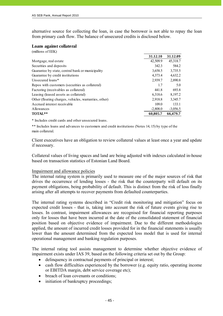alternative source for collecting the loan, in case the borrower is not able to repay the loan from primary cash flow. The balance of unsecured credits is disclosed below.

#### **Loans against collateral**

| (millions of EEK)                                     |            |            |
|-------------------------------------------------------|------------|------------|
|                                                       | 31.12.10   | 31.12.09   |
| Mortgage, real estate                                 | 42,509.9   | 45,318.7   |
| Securities and deposits                               | 342.3      | 584.2      |
| Guarantee by state, central bank or municipality      | 3,658.5    | 3,735.5    |
| Guarantee by credit institutions                      | 4,373.4    | 4,632.2    |
| Unsecured loans*                                      | 2,939.7    | 2,890.8    |
| Repos with customers (securities as collateral)       | 1.7        | 5.0        |
| Factoring (receivables as collateral)                 | 441.8      | 693.8      |
| Leasing (leased assets as collateral)                 | 6,318.6    | 8,197.2    |
| Other (floating charges, vehicles, warranties, other) | 2,918.8    | 3,345.7    |
| Accrued interest receivable                           | 109.0      | 133.1      |
| Allowances                                            | $-2,808.0$ | $-3,056.5$ |
| TOTAL**                                               | 60,805.7   | 66,479.7   |

\* Includes credit cards and other unsecured loans.

\*\* Includes loans and advances to customers and credit institutions (Notes 14, 15) by type of the main collateral.

Client executives have an obligation to review collateral values at least once a year and update if necessary.

Collateral values of living spaces and land are being adjusted with indexes calculated in-house based on transaction statistics of Estonian Land Board.

### Impairment and allowance policies

The internal rating system is primarily used to measure one of the major sources of risk that drives the occurrence of lending losses - the risk that the counterparty will default on its payment obligations, being probability of default. This is distinct from the risk of loss finally arising after all attempts to recover payments from defaulted counterparties.

The internal rating systems described in "Credit risk monitoring and mitigation" focus on expected credit losses - that is, taking into account the risk of future events giving rise to losses. In contrast, impairment allowances are recognised for financial reporting purposes only for losses that have been incurred at the date of the consolidated statement of financial position based on objective evidence of impairment. Due to the different methodologies applied, the amount of incurred credit losses provided for in the financial statements is usually lower than the amount determined from the expected loss model that is used for internal operational management and banking regulation purposes.

The internal rating tool assists management to determine whether objective evidence of impairment exists under IAS 39, based on the following criteria set out by the Group:

- delinquency in contractual payments of principal or interest;
- cash flow difficulties experienced by the borrower (e.g. equity ratio, operating income or EBITDA margin, debt service coverage etc);
- breach of loan covenants or conditions:
- initiation of bankruptcy proceedings;

Initsialiseeritud ainult identifitseerimiseks Initialled for the purpose of identification only  $M.V$ Initsiaalid/initials Kuupäev/date O7. O5. 2011 PricewaterhouseCoopers, Tallinn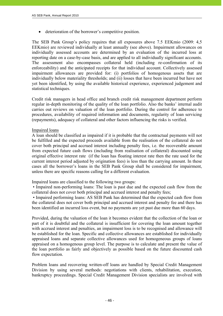deterioration of the borrower's competitive position.

The SEB Pank Group's policy requires that all exposures above 7.5 EEKmio (2009: 4,5 EEKmio) are reviewed individually at least annually (see above). Impairment allowances on individually assessed accounts are determined by an evaluation of the incurred loss at reporting date on a case-by-case basis, and are applied to all individually significant accounts. The assessment also encompasses collateral held (including re-confirmation of its enforceability) and the anticipated receipts for that individual account. Collectively assessed impairment allowances are provided for: (i) portfolios of homogenous assets that are individually below materiality thresholds; and (ii) losses that have been incurred but have not yet been identified, by using the available historical experience, experienced judgement and statistical techniques.

Credit risk managers in head office and branch credit risk management department perform regular in-depth monitoring of the quality of the loan portfolio. Also the banks' internal audit carries out reviews on valuation of the loan portfolio. During the control for adherence to procedures, availability of required information and documents, regularity of loan servicing (repayments), adequacy of collateral and other factors influencing the risks is verified.

### Impaired loans

A loan should be classified as impaired if it is probable that the contractual payments will not be fulfilled and the expected proceeds available from the realisation of the collateral do not cover both principal and accrued interest including penalty fees, i.e. the recoverable amount from expected future cash flows (including from realisation of collateral) discounted using original effective interest rate (if the loan has floating interest rate then the rate used for the current interest period adjusted by origination fees) is less than the carrying amount. In these cases all the borrower's loans in the SEB Pank Group shall be considered for impairment, unless there are specific reasons calling for a different evaluation.

Impaired loans are classified to the following two groups:

- 46 -

• Impaired non-performing loans: The loan is past due and the expected cash flow from the collateral does not cover both principal and accrued interest and penalty fees;

 • Impaired performing loans: AS SEB Pank has determined that the expected cash flow from the collateral does not cover both principal and accrued interest and penalty fee and there has been identified an incurred loss event, but no payments are yet past due more than 60 days.

Provided, during the valuation of the loan it becomes evident that the collection of the loan or part of it is doubtful and the collateral is insufficient for covering the loan amount together with accrued interest and penalties, an impairment loss is to be recognised and allowance will be established for the loan. Specific and collective allowances are established for individually appraised loans and separate collective allowances used for homogeneous groups of loans appraised on a homogenous group level. The purpose is to calculate and present the value of the loan portfolio as fairly and objectively as possible based on the future discounted cash flow expectation.

Problem loans and recovering written-off loans are handled by Special Credit Management Division by using several methods: negotiations with clients, rehabilitation, execution, bankruptcy proceedings. Special Credit Management Division specialists are involved with

| Initsiaalid/initials | Initsialiseeritud ainult identifitseerimiseks<br>Initialled for the purpose of identification only |
|----------------------|----------------------------------------------------------------------------------------------------|
| Kuupäev/date         | 07.05.2011                                                                                         |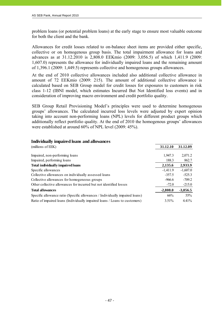problem loans (or potential problem loans) at the early stage to ensure most valuable outcome for both the client and the bank.

Allowances for credit losses related to on-balance sheet items are provided either specific, collective or on homogenous group basis. The total impairment allowance for loans and advances as at 31.12.2010 is 2,808.0 EEKmio (2009: 3,056.5) of which 1,411.9 (2009: 1,607.0) represents the allowance for individually impaired loans and the remaining amount of 1,396.1 (2009: 1,449.5) represents collective and homogenous groups allowances.

At the end of 2010 collective allowances included also additional collective allowance in amount of 72 EEKmio (2009: 215). The amount of additional collective allowance is calculated based on SEB Group model for credit losses for exposures to customers in risk class 1-12 (IBNI model, which estimates Incurred But Not Identified loss events) and in consideration of improving macro environment and credit portfolio quality.

SEB Group Retail Provisioning Model's principles were used to determine homogenous groups' allowances. The calculated incurred loss levels were adjusted by expert opinion taking into account non-performing loans (NPL) levels for different product groups which additionally reflect portfolio quality. At the end of 2010 the homogenous groups' allowances were established at around 60% of NPL level (2009: 45%).

## **Individually impaired loans and allowances**

| (millions of EEK)                                                            | 31.12.10   | 31.12.09   |
|------------------------------------------------------------------------------|------------|------------|
|                                                                              |            |            |
| Impaired, non-performing loans                                               | 1,947.3    | 2,071.2    |
| Impaired, performing loans                                                   | 188.3      | 862.7      |
| Total individually impaired loans                                            | 2,135.6    | 2,933.9    |
| Specific allowances                                                          | $-1,411.9$ | $-1,607.0$ |
| Collective allowances on individually assessed loans                         | $-357.5$   | $-525.3$   |
| Collective allowances for homogeneous groups                                 | $-966.6$   | $-709.2$   |
| Other collective allowances for incurred but not identified losses           | $-72.0$    | $-215.0$   |
| <b>Total allowances</b>                                                      | $-2,808.0$ | $-3,056.5$ |
| Specific allowance ratio (Specific allowances / Individually impaired loans) | 66%        | 55%        |
| Ratio of impaired loans (Individually impaired loans / Loans to customers)   | $3.51\%$   | $4.41\%$   |

| Initsiaalid/initials | initsialiseeritud ainult identifitseerimiseks<br>Initialled for the purpose of identification only |
|----------------------|----------------------------------------------------------------------------------------------------|
| Kuupäev/date         | 07.05.2011                                                                                         |
|                      | PricewaterhouseCoopers, Tallinn                                                                    |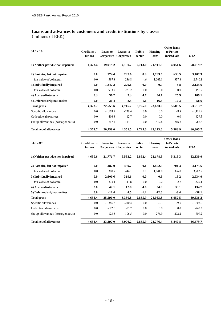### **Loans and advances to customers and credit institutions by classes**

(millions of EEK)

j

| 31.12.10                         | Credit insti-<br>tutions | Loans to<br><b>Corporates</b> | Leases to<br><b>Corporates</b> | <b>Public</b><br>sector | Housing<br>loans | <b>Other loans</b><br>to Private<br>individuals | <b>TOTAL</b> |
|----------------------------------|--------------------------|-------------------------------|--------------------------------|-------------------------|------------------|-------------------------------------------------|--------------|
| 1) Neither past due nor impaired | 4,373.4                  | 19,919.2                      | 4,150.7                        | 2,713.0                 | 21,911.8         | 4,951.6                                         | 58,019.7     |
| 2) Past due, but not impaired    | 0.0                      | 774.4                         | 287.6                          | 8.9                     | 1,703.5          | 633.5                                           | 3,407.9      |
| fair value of collateral         | 0.0                      | 597.8                         | 236.8                          | 4.6                     | 1,563.1          | 337.8                                           | 2,740.1      |
| 3) Individually impaired         | 0.0                      | 1,847.2                       | 279.6                          | 0.0                     | 0.0              | 8.8                                             | 2,135.6      |
| fair value of collateral         | 0.0                      | 933.7                         | 223.2                          | 0.0                     | 0.0              | $0.0\,$                                         | 1,156.9      |
| 4) Accrued interests             | 0.3                      | 36.2                          | 7.3                            | 4.7                     | 34.7             | 25.9                                            | 109.1        |
| 5) Deferred origination fees     | 0.0                      | $-21.4$                       | $-8.5$                         | $-1.6$                  | $-16.8$          | $-10.3$                                         | $-58.6$      |
| <b>Total gross</b>               | 4,373.7                  | 22,555.6                      | 4,716.7                        | 2,725.0                 | 23,633.2         | 5,609.5                                         | 63,613.7     |
| Specific allowances              | 0.0                      | $-1,163.7$                    | $-239.4$                       | 0.0                     | 0.0              | $-8.8$                                          | $-1,411.9$   |
| Collective allowances            | 0.0                      | $-416.8$                      | $-12.7$                        | 0.0                     | 0.0              | 0.0                                             | $-429.5$     |
| Group allowances (homogeneous)   | 0.0                      | $-217.1$                      | $-113.1$                       | 0.0                     | $-419.6$         | $-216.8$                                        | $-966.6$     |
| <b>Total net of allowances</b>   | 4,373.7                  | 20,758.0                      | 4,351.5                        | 2,725.0                 | 23,213.6         | 5,383.9                                         | 60,805.7     |

| 31.12.09                         | Credit insti- | Loans to          | Leases to         | <b>Public</b> | Housing  | Other loans<br>to Private |            |
|----------------------------------|---------------|-------------------|-------------------|---------------|----------|---------------------------|------------|
|                                  | tutions       | <b>Corporates</b> | <b>Corporates</b> | sector        | loans    | individuals               | TOTAL      |
| 1) Neither past due nor impaired | 4,630.6       | 21,771.7          | 5,583.2           | 2,852.4       | 22,178.8 | 5,313.3                   | 62,330.0   |
| 2) Past due, but not impaired    | 0.0           | 1,182.0           | 439.7             | 0.1           | 1,852.5  | 701.3                     | 4,175.6    |
| fair value of collateral         | 0.0           | 1,300.9           | 444.1             | 0.1           | 1,841.8  | 396.0                     | 3,982.9    |
| 3) Individually impaired         | 0.0           | 2,600.6           | 319.6             | 0.0           | 0.6      | 13.2                      | 2,934.0    |
| fair value of collateral         | 0.0           | 1,373.4           | 143.8             | $0.0\,$       | 0.2      | 2.7                       | 1,520.1    |
| 4) Accrued interests             | 2.8           | 47.1              | 12.8              | 4.6           | 34.3     | 33.1                      | 134.7      |
| 5) Deferred origination fees     | 0.0           | $-11.4$           | $-4.5$            | $-1.2$        | $-12.6$  | $-8.4$                    | $-38.1$    |
| <b>Total gross</b>               | 4,633.4       | 25,590.0          | 6,350.8           | 2,855.9       | 24,053.6 | 6,052.5                   | 69,536.2   |
| Specific allowances              | $0.0\,$       | $-1,386.8$        | $-210.4$          | $0.0\,$       | $-0.3$   | $-9.5$                    | $-1,607.0$ |
| Collective allowances            | $0.0\,$       | $-682.6$          | $-57.7$           | $0.0\,$       | 0.0      | 0.0                       | $-740.3$   |
| Group allowances (homogeneous)   | $0.0\,$       | $-123.6$          | $-106.5$          | $0.0\,$       | $-276.9$ | $-202.2$                  | $-709.2$   |
| <b>Total net of allowances</b>   | 4,633.4       | 23,397.0          | 5,976.2           | 2,855.9       | 23,776.4 | 5,840.8                   | 66,479.7   |

| Initsiaalid/initials | Initsialiseeritud ainult identifitseerimiseks<br>Initialled for the purpose of identification only |
|----------------------|----------------------------------------------------------------------------------------------------|
| Kuupäev/date         | 07.03.2011                                                                                         |
|                      | PricewaterhouseCoopers, Tallinn                                                                    |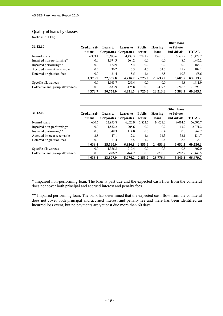#### **Quality of loans by classes**

(millions of EEK)

j

|                                 |               |                   |                   |               |          | <b>Other loans</b> |              |
|---------------------------------|---------------|-------------------|-------------------|---------------|----------|--------------------|--------------|
| 31.12.10                        | Credit insti- | Loans to          | Leases to         | <b>Public</b> | Housing  | to Private         |              |
|                                 | tutions       | <b>Corporates</b> | <b>Corporates</b> | sector        | loans    | individuals        | <b>TOTAL</b> |
| Normal loans                    | 4,373.4       | 20,693.6          | 4,438.3           | 2,721.9       | 23,615.3 | 5,585.2            | 61,427.7     |
| Impaired non-performing*        | 0.0           | 1,674.3           | 264.2             | 0.0           | 0.0      | 8.7                | 1,947.2      |
| Impaired performing**           | 0.0           | 172.9             | 15.4              | 0.0           | 0.0      | 0.0                | 188.3        |
| Accrued interest receivable     | 0.3           | 36.2              | 7.3               | 4.7           | 34.7     | 25.9               | 109.1        |
| Deferred origination fees       | 0.0           | $-21.4$           | $-8.5$            | $-1.6$        | $-16.8$  | $-10.3$            | $-58.6$      |
|                                 | 4,373.7       | 22,555.6          | 4,716.7           | 2,725.0       | 23,633.2 | 5,609.5            | 63,613.7     |
| Specific allowances             | 0.0           | $-1,163.7$        | $-239.4$          | 0.0           | 0.0      | $-8.8$             | $-1,411.9$   |
| Collective and group allowances | 0.0           | $-633.9$          | $-125.8$          | 0.0           | $-419.6$ | $-216.8$           | $-1,396.1$   |
|                                 | 4.373.7       | 20.758.0          | 4.351.5           | 2.725.0       | 23.213.6 | 5.383.9            | 60.805.7     |

| 31.12.09                        | Credit insti- | Loans to   | Leases to         | <b>Public</b> | Housing  | <b>Other loans</b><br>to Private |            |
|---------------------------------|---------------|------------|-------------------|---------------|----------|----------------------------------|------------|
|                                 | tutions       | Corporates | <b>Corporates</b> | sector        | loans    | individuals                      | TOTAL      |
| Normal loans                    | 4,630.6       | 22,953.8   | 6,022.9           | 2,852.5       | 24,031.3 | 6,014.6                          | 66,505.7   |
| Impaired non-performing*        | 0.0           | 1,852.2    | 205.6             | 0.0           | 0.2      | 13.2                             | 2,071.2    |
| Impaired performing**           | 0.0           | 748.3      | 114.0             | 0.0           | 0.4      | 0.0                              | 862.7      |
| Accrued interest receivable     | 2.8           | 47.1       | 12.8              | 4.6           | 34.3     | 33.1                             | 134.7      |
| Deferred origination fees       | 0.0           | $-11.4$    | $-4.5$            | $-1.2$        | $-12.6$  | $-8.4$                           | $-38.1$    |
|                                 | 4,633.4       | 25,590.0   | 6,350.8           | 2,855.9       | 24,053.6 | 6,052.5                          | 69,536.2   |
| Specific allowances             | 0.0           | $-1,386.8$ | $-210.4$          | 0.0           | $-0.3$   | $-9.5$                           | $-1,607.0$ |
| Collective and group allowances | 0.0           | $-806.2$   | $-164.2$          | 0.0           | $-276.9$ | $-202.2$                         | $-1,449.5$ |
|                                 | 4,633.4       | 23.397.0   | 5,976.2           | 2,855.9       | 23,776.4 | 5,840.8                          | 66.479.7   |

\* Impaired non-performing loan: The loan is past due and the expected cash flow from the collateral does not cover both principal and accrued interest and penalty fees.

\*\* Impaired performing loan: The bank has determined that the expected cash flow from the collateral does not cover both principal and accrued interest and penalty fee and there has been identified an incurred loss event, but no payments are yet past due more than 60 days.

| Initsiaalid/initials | Initsialiseeritud ainult identifitseerimiseks<br>Initialled for the purpose of identification only |
|----------------------|----------------------------------------------------------------------------------------------------|
| Kuupäev/date         | 07.03.2011                                                                                         |
|                      | PricewaterhouseCoopers, Tallinn                                                                    |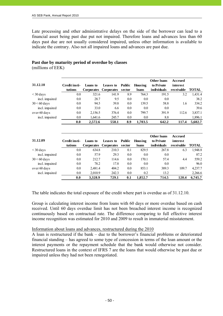Late processing and other administrative delays on the side of the borrower can lead to a financial asset being past due put not impaired. Therefore loans and advances less than 60 days past due are not usually considered impaired, unless other information is available to indicate the contrary. Also not all impaired loans and advances are past due.

#### **31.12.10 Credit institutions Loans to Corporates Corporates Leases to Public sector Housing loans Other loans to Private individuals Accrued interest receivable TOTAL** < 30 days 0.0 321.6 141.9 8.9 764.3 191.5 3.2 1,431.4 incl. impaired 0.0 28.7 9.5 0.0 0.0 0.0 38.2 30 < 60 days 0.0 94.5 39.8 0.0 139.5 58.8 1.6 334.2 incl. impaired 0.0 33.0 6.6 0.0 0.0 0.0 39.6 over 60 days 0.0 2,156.5 376.4 0.0 799.7 391.9 112.6 3,837.1 incl. impaired 0.0 1,641.6 245.7 0.0 0.0 8.8 1,896.1

### **Past due by maturity period of overdue by classes**

(millions of EEK)

| 31.12.09       | Credit insti- | Loans to | Leases to             | <b>Public</b> | Housing | <b>Other loans</b><br>to Private | Accrued<br>interest |         |
|----------------|---------------|----------|-----------------------|---------------|---------|----------------------------------|---------------------|---------|
|                | tutions       |          | Corporates Corporates | sector        | loans   | individuals                      | receivable          | TOTAL   |
| $\leq$ 30 days | 0.0           | 634.8    | 210.3                 | 0.1           | 829.5   | 267.8                            | 6.3                 | 1,948.8 |
| incl. impaired | 0.0           | 57.9     | 29.3                  | 0.0           | 0.0     | 0.0                              |                     | 87.2    |
| $30 < 60$ days | 0.0           | 212.7    | 114.6                 | 0.0           | 170.1   | 57.4                             | 4.4                 | 559.2   |
| incl. impaired | 0.0           | 78.2     | 17.8                  | 0.0           | 0.0     | 0.0                              |                     | 96.0    |
| over 60 days   | $0.0\,$       | 2,481.4  | 404.2                 | 0.0           | 853.1   | 389.3                            | 109.7               | 4,237.7 |
| incl. impaired | $0.0\,$       | 2,010.9  | 242.3                 | 0.0           | 0.2     | 13.2                             |                     | 2,266.6 |
|                | 0.0           | 3.328.9  | 729.1                 | 0.1           | 1,852.7 | 714.5                            | 120.4               | 6.745.7 |

**0.0 2,572.6 558.1 8.9 1,703.5 642.2 117.4 5,602.7**

The table indicates the total exposure of the credit where part is overdue as of 31.12.10.

Group is calculating interest income from loans with 60 days or more overdue based on cash received. Until 60 days overdue limit has not been breached interest income is recognized continuously based on contractual rate. The difference comparing to full effective interest income recognition was estimated for 2010 and 2009 to result in immaterial misstatement.

#### Information about loans and advances, restructured during the 2010

A loan is restructured if the bank – due to the borrower's financial problems or deteriorated financial standing – has agreed to some type of concession in terms of the loan amount or the interest payments or the repayment schedule that the bank would otherwise not consider. Restructured loans in the context of IFRS 7 are the loans that would otherwise be past due or impaired unless they had not been renegotiated.

| Initsiaalid/initials | Initsialiseeritud ainult identifitseerimiseks<br>Initialled for the purpose of identification only<br>Initiallelinitials $M \vee$ |
|----------------------|-----------------------------------------------------------------------------------------------------------------------------------|
| Kuupäev/date         | 07.03.2011                                                                                                                        |
|                      | PricewaterhouseCoopers, Tallinn                                                                                                   |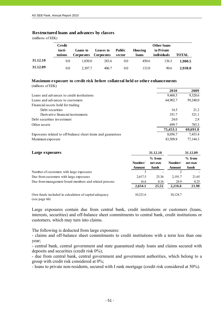#### **Restructured loans and advances by classes**

(millions of EEK)

j

|          | Credit<br>insti-<br>tutions | Loans to<br><b>Corporates</b> | Leases to<br><b>Corporates</b> | <b>Public</b><br>sector | Housing<br>loans | Other loans<br>to Private<br>individuals | <b>TOTAL</b> |
|----------|-----------------------------|-------------------------------|--------------------------------|-------------------------|------------------|------------------------------------------|--------------|
| 31.12.10 | 0.0                         | 1.030.0                       | 283.6                          | 0.0                     | 450.6            | 136.3                                    | 1.900.5      |
| 31.12.09 | 0.0                         | 2.307.7                       | 406.7                          | 0.0                     | 133.0            | 90.6                                     | 2.938.0      |

#### **Maximum exposure to credit risk before collateral held or other enhancements** (millions of EEK)

|                                                             | 2010     | 2009     |
|-------------------------------------------------------------|----------|----------|
| Loans and advances to credit institutions                   | 9,460.5  | 9,320.6  |
| Loans and advances to customers                             | 64,902.7 | 59,240.0 |
| Financial assets held for trading                           |          |          |
| Debt securities                                             | 14.5     | 21.2     |
| Derivative financial instruments                            | 351.7    | 321.1    |
| Debt securities investment                                  | 24.0     | 2.8      |
| Other assets                                                | 699.7    | 785.3    |
|                                                             | 75,453.1 | 69,691.0 |
| Exposures related to off-balance sheet items and guarantees | 8,056.7  | 7,453.4  |
| Maximum exposure                                            | 83.509.8 | 77.144.3 |

| Large exposures                                       |                          | 31.12.10                     | 31.12.09                 |                              |  |
|-------------------------------------------------------|--------------------------|------------------------------|--------------------------|------------------------------|--|
|                                                       | Number/<br><b>Amount</b> | $%$ from<br>net own<br>funds | Number/<br><b>Amount</b> | $%$ from<br>net own<br>funds |  |
| Number of customers with large exposures              | 3                        |                              | 2                        |                              |  |
| Due from customers with large exposures               | 2,617.5                  | 25.36                        | 2,191.7                  | 21.65                        |  |
| Due from management board members and related persons | 16.6                     | 0.16                         | 24.9                     | 0.25                         |  |
|                                                       | 2,634.1                  | 25.52                        | 2,216.6                  | 21.90                        |  |
| Own funds included in calculation of capital adequacy | 10,321.6                 |                              | 10,124.7                 |                              |  |

(see page 66)

Large exposures contain due from central bank, credit institutions or customers (loans, interests, securities) and off-balance sheet commitments to central bank, credit institutions or customers, which may turn into claims.

The following is deducted from large exposures:

- claims and off-balance sheet commitments to credit institutions with a term less than one year;

- central bank, central government and state guaranteed study loans and claims secured with deposits and securities (credit risk 0%);

- due from central bank, central government and government authorities, which belong to a group with credit risk considered at 0%;

- loans to private non-residents, secured with I rank mortgage (credit risk considered at 50%).

| Initsiaalid/initials | initsialiseeritud ainult identifitseerimiseks<br>Initialled for the purpose of identification only |
|----------------------|----------------------------------------------------------------------------------------------------|
| Kuupäev/date         | 07.05.2011                                                                                         |
|                      | PricewaterhouseCoopers, Tallinn                                                                    |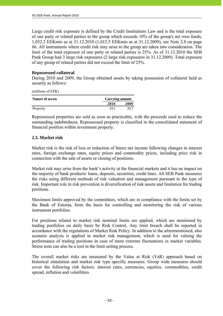Large credit risk exposure is defined by the Credit Institutions Law and is the total exposure of one party or related parties to the group which exceeds 10% of the group's net own funds, 1,032.2 EEKmio as at 31.12.2010 (1,012.5 EEKmio as at 31.12.2009), see Note 2.8 on page 66. All instruments where credit risk may arise to the group are taken into consideration. The limit of the total exposure of one party or related parties is 25%. As of 31.12.2010 the SEB Pank Group had 3 large risk exposures (2 large risk exposures in 31.12.2009). Total exposure of any group of related parties did not exceed the limit of 25%.

#### **Repossessed collateral**

During 2010 and 2009, the Group obtained assets by taking possession of collateral held as security as follows:

(millions of EEK)

| Nature of assets | Carrying amount |      |  |  |  |
|------------------|-----------------|------|--|--|--|
|                  | 2010            | 2009 |  |  |  |
| Property         | 24.1            | 24.7 |  |  |  |

Repossessed properties are sold as soon as practicable, with the proceeds used to reduce the outstanding indebtedness. Repossessed property is classified in the consolidated statement of financial position within investment property.

### **2.3. Market risk**

Market risk is the risk of loss or reduction of future net income following changes in interest rates, foreign exchange rates, equity prices and commodity prices, including price risk in connection with the sale of assets or closing of positions.

Market risk may arise from the bank's activity at the financial markets and it has an impact on the majority of bank products: loans, deposits, securities, credit lines. AS SEB Pank measures the risks using different methods of risk valuation and management pursuant to the type of risk. Important role in risk prevention is diversification of risk assets and limitation for trading positions.

Maximum limits approved by the committees, which are in compliance with the limits set by the Bank of Estonia, form the basis for controlling and monitoring the risk of various instrument portfolios.

For positions related to market risk nominal limits are applied, which are monitored by trading portfolios on daily basis by Risk Control. Any limit breach shall be reported in accordance with the regulations of Market Risk Policy. In addition to the aforementioned, also scenario analysis is applied in market risk management, which is used for valuing the performance of trading positions in case of more extreme fluctuations in market variables. Stress tests can also be a tool in the limit setting process.

The overall market risks are measured by the Value at Risk (VaR) approach based on historical simulation and market risk type specific measures. Group wide measures should cover the following risk factors: interest rates, currencies, equities, commodities, credit spread, inflation and volatilities.

Initsialiseeritud ainult identifitseerimiseks Initialled for the purpose of identification only  $M.V$ Initsiaalid/initials Kuupäev/date O7.05.2011 PricewaterhouseCoopers, Tallinn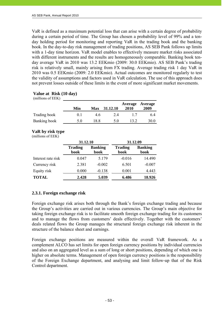VaR is defined as a maximum potential loss that can arise with a certain degree of probability during a certain period of time. The Group has chosen a probability level of 99% and a tenday holding period for monitoring and reporting VaR in the trading book and the banking book. In the day-to-day risk management of trading positions, AS SEB Pank follows up limits with a 1-day time horizon. VaR model enables to effectively measure market risks associated with different instruments and the results are homogeneously comparable. Banking book tenday average VaR in 2010 was 13.2 EEKmio (2009: 30.0 EEKmio). AS SEB Pank's trading risk is relatively small, mainly arising from FX trading. Average trading risk 1 day VaR in 2010 was 0.5 EEKmio (2009: 2.0 EEKmio). Actual outcomes are monitored regularly to test the validity of assumptions and factors used in VaR calculation. The use of this approach does not prevent losses outside of these limits in the event of more significant market movements.

| (millions of EEK) |                |      |          |                 |                 |
|-------------------|----------------|------|----------|-----------------|-----------------|
|                   | Min            | Max  | 31.12.10 | Average<br>2010 | Average<br>2009 |
| Trading book      | 0 <sup>1</sup> | 46   | 2.4      |                 | 6.4             |
| Banking book      | 5 O            | 18.8 | 5 O      | 13.2            | 30.0            |

### **Value at Risk (10 day)**

#### **VaR by risk type**  (millions of EEK)

|                    | 31.12.10               |                        | 31.12.09               |                        |  |  |
|--------------------|------------------------|------------------------|------------------------|------------------------|--|--|
|                    | <b>Trading</b><br>book | <b>Banking</b><br>book | <b>Trading</b><br>book | <b>Banking</b><br>book |  |  |
| Interest rate risk | 0.047                  | 5.179                  | $-0.016$               | 14.490                 |  |  |
| Currency risk      | 2.381                  | $-0.002$               | 6.501                  | $-0.007$               |  |  |
| Equity risk        | 0.000                  | $-0.138$               | 0.001                  | 4.443                  |  |  |
| <b>TOTAL</b>       | 2.428                  | 5.039                  | 6.486                  | 18.926                 |  |  |

### **2.3.1. Foreign exchange risk**

Foreign exchange risk arises both through the Bank's foreign exchange trading and because the Group's activities are carried out in various currencies. The Group's main objective for taking foreign exchange risk is to facilitate smooth foreign exchange trading for its customers and to manage the flows from customers' deals effectively. Together with the customers' deals related flows the Group manages the structural foreign exchange risk inherent in the structure of the balance sheet and earnings.

Foreign exchange positions are measured within the overall VaR framework. As a complement ALCO has set limits for open foreign currency positions by individual currencies and also on an aggregated level as a sum of long or short positions, depending of which one is higher on absolute terms. Management of open foreign currency positions is the responsibility of the Foreign Exchange department, and analysing and limit follow-up that of the Risk Control department.

| Initsiaalid/initials | initsialiseeritud ainult identifitseerimiseks<br>Initialled for the purpose of identification only<br>Initiallel/Initials $M \vee$ |
|----------------------|------------------------------------------------------------------------------------------------------------------------------------|
| Kuupäev/date         | 07.03.2011                                                                                                                         |
|                      | PricewaterhouseCoopers, Tallinn                                                                                                    |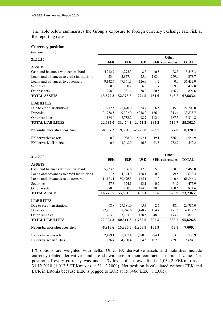The table below summarises the Group's exposure to foreign currency exchange rate risk at the reporting date.

#### **Currency position**

(millions of EEK)

j

| 31.12.10                                  |            |                   |            |              | <b>Other</b>          |              |
|-------------------------------------------|------------|-------------------|------------|--------------|-----------------------|--------------|
|                                           | <b>EEK</b> | <b>EUR</b>        | <b>USD</b> |              | <b>SEK</b> currencies | <b>TOTAL</b> |
| <b>ASSETS</b>                             |            |                   |            |              |                       |              |
| Cash and balances with central bank       | 4,212.9    | 1,295.3           | 8.3        | 10.5         | 28.3                  | 5,555.3      |
| Loans and advances to credit institutions | 23.4       | 3,857.4           | 25.0       | 188.0        | 279.9                 | 4,373.7      |
| Loans and advances to customers           | 9,142.6    | 47,161.3          | 126.9      | 1.2          | 0.0                   | 56,432.0     |
| Securities                                | 20.6       | 330.2             | 6.3        | 1.4          | 69.3                  | 427.8        |
| Other assets                              | 278.3      | 331.6             | 58.0       | 60.5         | 166.2                 | 894.6        |
| <b>TOTAL ASSETS</b>                       | 13,677.8   | 52,975.8          | 224.5      | 261.6        | 543.7                 | 67,683.4     |
| <b>LIABILITIES</b>                        |            |                   |            |              |                       |              |
| Due to credit institutions                | 712.5      | 21,440.0          | 34.4       | 6.5          | 15.6                  | 22,209.0     |
| Deposits                                  | 21,738.5   | 9,302.0           | 2,318.2    | 166.4        | 313.6                 | 33,838.7     |
| Other liabilities                         | 184.0      | 2,732.2           | 98.7       | 112.4        | 187.5                 | 3,314.8      |
| <b>TOTAL LIABILITIES</b>                  | 22,635.0   | 33,474.2          | 2,451.3    | 285.3        | 516.7                 | 59,362.5     |
| Net on-balance sheet position             | $-8,957.2$ | 19,501.6 -2,226.8 |            | $-23.7$      | 27.0                  | 8,320.9      |
| FX derivative assets                      | 0.2        | 988.9             | 2,672.1    | 49.1         | 836.6                 | 4,546.9      |
| FX derivative liabilities                 | 0.6        | 3,348.9           | 446.5      | 23.5         | 732.7                 | 4,552.2      |
|                                           |            |                   |            |              |                       |              |
| 31.12.09                                  |            |                   |            | <b>Other</b> |                       |              |
|                                           | <b>EEK</b> | <b>EUR</b>        | <b>USD</b> |              | <b>SEK</b> currencies | <b>TOTAL</b> |
| <b>ASSETS</b>                             |            |                   |            |              |                       |              |
| Cash and balances with central bank       | 5,233.5    | 186.6             | 12.3       | 5.6          | 28.0                  | 5,466.0      |
| Loans and advances to credit institutions | 21.5       | 4,364.0           | 168.1      | 0.3          | 79.5                  | 4,633.4      |
| Loans and advances to customers           | 11,123.1   | 50,576.5          | 145.1      | 1.0          | 0.6                   | 61,846.3     |
| Securities                                | 27.3       | 374.1             | 13.1       | 0.2          | 61.2                  | 475.9        |
| Other assets                              | 370.3      | 130.7             | 124.5      | 28.5         | 160.6                 | 814.6        |
| <b>TOTAL ASSETS</b>                       | 16,775.7   | 55,631.9          | 463.1      | 35.6         | 329.9                 | 73,236.2     |
| <b>LIABILITIES</b>                        |            |                   |            |              |                       |              |
| Due to credit institutions                | 468.8      | 29,181.0          | 95.3       | 2.5          | 38.4                  | 29,786.0     |
| Deposits                                  | 22,261.9   | 7,946.6           | 1,478.2    | 154.4        | 171.6                 | 32,012.7     |
| Other liabilities                         | 263.6      | 3,183.7           | 158.5      | 48.6         | 173.7                 | 3,828.1      |
| <b>TOTAL LIABILITIES</b>                  | 22,994.3   | 40,311.3          | 1,732.0    | 205.5        | 383.7                 | 65,626.8     |
| Net on-balance sheet position             | $-6,218.6$ | 15,320.6 -1,268.9 |            | $-169.9$     | $-53.8$               | 7,609.4      |
| FX derivative assets                      | 2,429.1    | 1,067.4           | 1,580.3    | 294.1        | 363.0                 | 5,733.9      |
| <b>FX</b> derivative liabilities          | 736.4      | 4,260.4           | 304.5      | 122.9        | 259.9                 | 5,684.1      |

FX options are weighted with delta. Other FX derivative assets and liabilities include currency-related derivatives and are shown here in their contractual nominal value. Net position of every currency was under 1% level of net own funds, 1,032.2 EEKmio as at 31.12.2010 (1,012.5 EEKmio as at 31.12.2009). Net position is calculated without EEK and EUR in Estonia because EEK is pegged to EUR at 15.6466 EEK : 1 EUR).

| Initsiaalid/initials | initsialiseeritud ainult identifitseerimiseks<br>Initialled for the purpose of identification only |
|----------------------|----------------------------------------------------------------------------------------------------|
| Kuupäev/date         | 07.03.2011                                                                                         |
|                      | PricewaterhouseCoopers, Tallinn                                                                    |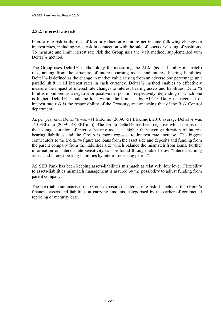### **2.3.2. Interest rate risk**

Interest rate risk is the risk of loss or reduction of future net income following changes in interest rates, including price risk in connection with the sale of assets or closing of positions. To measure and limit interest rate risk the Group uses the VaR method, supplemented with Delta1% method.

The Group uses Delta1% methodology for measuring the ALM (assets-liability mismatch) risk, arising from the structure of interest earning assets and interest bearing liabilities. Delta1% is defined as the change in market value arising from an adverse one percentage unit parallel shift in all interest rates in each currency. Delta1% method enables to effectively measure the impact of interest rate changes to interest bearing assets and liabilities. Delta1% limit is monitored as a negative or positive net position respectively, depending of which one is higher. Delta1% should be kept within the limit set by ALCO. Daily management of interest rate risk is the responsibility of the Treasury, and analysing that of the Risk Control department.

As per year end, Delta1% was -44 EEKmio (2009: -51 EEKmio). 2010 average Delta1% was -40 EEKmio (2009: -48 EEKmio). The Group Delta1% has been negative which means that the average duration of interest bearing assets is higher than average duration of interest bearing liabilities and the Group is more exposed to interest rate increase. The biggest contributors to the Delta1% figure are loans from the asset side and deposits and funding from the parent company from the liabilities side which balance the mismatch from loans. Further information on interest rate sensitivity can be found through table below "Interest earning assets and interest bearing liabilities by interest repricing period".

AS SEB Pank has been keeping assets-liabilities mismatch at relatively low level. Flexibility to assets-liabilities mismatch management is assured by the possibility to adjust funding from parent company.

The next table summarises the Group exposure to interest rate risk. It includes the Group's financial assets and liabilities at carrying amounts, categorised by the earlier of contractual repricing or maturity date.

| Initsiaalid/initials | Initsialiseeritud ainult identifitseerimiseks<br>Initialled for the purpose of identification only<br>Initelaslid/initials $M_{\rm e}$ V |
|----------------------|------------------------------------------------------------------------------------------------------------------------------------------|
| Kuupäev/date         | 07.05.2011                                                                                                                               |
|                      | PricewaterhouseCoopers, Tallinn                                                                                                          |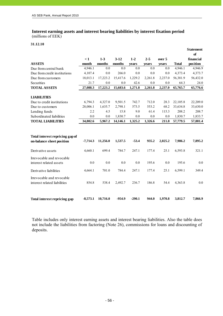# **Interest earning assets and interest bearing liabilities by interest fixation period**

(millions of EEK)

### **31.12.10**

j

|                                                              |            |          |          |          |         |         |              | <b>Statement</b><br>of |
|--------------------------------------------------------------|------------|----------|----------|----------|---------|---------|--------------|------------------------|
|                                                              | $\leq 1$   | $1-3$    | $3-12$   | $1 - 2$  | $2 - 5$ | over 5  |              | financial              |
| <b>ASSETS</b>                                                | month      | months   | months   | years    | years   | years   | <b>Total</b> | position               |
| Due from central bank                                        | 4,946.1    | 0.0      | 0.0      | 0.0      | 0.0     | 0.0     | 4,946.1      | 4,946.9                |
| Due from credit institutions                                 | 4,107.4    | 0.0      | 266.0    | 0.0      | 0.0     | 0.0     | 4,373.4      | 4,373.7                |
| Due from customers                                           | 18,013.1   | 17,223.2 | 15,417.6 | 1,229.2  | 2,261.8 | 2,237.0 | 56,381.9     | 56,432.0               |
| Securities                                                   | 21.7       | 0.0      | 0.0      | 42.6     | 0.0     | 0.0     | 64.3         | 24.0                   |
| <b>TOTAL ASSETS</b>                                          | 27,088.3   | 17,223.2 | 15,683.6 | 1,271.8  | 2,261.8 | 2,237.0 | 65,765.7     | 65,776.6               |
| <b>LIABILITIES</b>                                           |            |          |          |          |         |         |              |                        |
| Due to credit institutions                                   | 6,794.3    | 4,327.0  | 9,501.5  | 742.7    | 712.0   | 28.3    | 22,105.8     | 22,209.0               |
| Due to customers                                             | 28,006.1   | 1,635.7  | 2,798.1  | 573.5    | 553.2   | 68.2    | 33,634.8     | 33,630.0               |
| Lending funds                                                | 2.2        | 4.5      | 15.8     | 9.0      | 61.4    | 115.3   | 208.2        | 208.7                  |
| Subordinated liabilities                                     | 0.0        | 0.0      | 1,830.7  | 0.0      | 0.0     | $0.0\,$ | 1,830.7      | 1,833.7                |
| <b>TOTAL LIABILITIES</b>                                     | 34,802.6   | 5,967.2  | 14,146.1 | 1,325.2  | 1,326.6 | 211.8   | 57,779.5     | 57,881.4               |
|                                                              |            |          |          |          |         |         |              |                        |
| Total interest repricing gap of<br>on-balance sheet position | $-7,714.3$ | 11,256.0 | 1,537.5  | $-53.4$  | 935.2   | 2,025.2 | 7,986.2      | 7,895.2                |
| Derivative assets                                            | 4,660.1    | 699.4    | 784.7    | 247.1    | 177.4   | 25.1    | 6,593.8      | 321.1                  |
| Irrevocable and revocable<br>interest related assets         | 0.0        | 0.0      | 0.0      | 0.0      | 195.6   | 0.0     | 195.6        | 0.0                    |
| Derivative liabilities                                       | 4,664.1    | 701.0    | 784.4    | 247.1    | 177.4   | 25.1    | 6,599.1      | 349.4                  |
| Irrevocable and revocable<br>interest related liabilities    | 854.8      | 538.4    | 2,492.7  | 236.7    | 186.8   | 54.4    | 4,363.8      | 0.0                    |
| Total interest repricing gap                                 | $-8,573.1$ | 10,716.0 | $-954.9$ | $-290.1$ | 944.0   | 1,970.8 | 3,812.7      | 7,866.9                |

Table includes only interest earning assets and interest bearing liabilities. Also the table does not include the liabilities from factoring (Note 26), commissions for loans and discounting of deposits.

| Initsiaalid/initials | initsialiseeritud ainult identifitseerimiseks<br>Initialled for the purpose of identification only |
|----------------------|----------------------------------------------------------------------------------------------------|
| Kuupäev/date         | 07.03.2011                                                                                         |
|                      | PricewaterhouseCoopers, Tallinn                                                                    |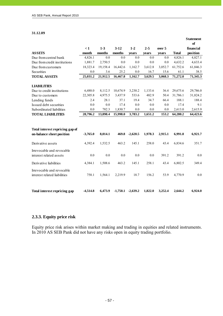#### **31.12.09**

j

|                                                              |            |          |            |            |         |         |          | <b>Statement</b><br>of |
|--------------------------------------------------------------|------------|----------|------------|------------|---------|---------|----------|------------------------|
|                                                              | $\leq 1$   | $1-3$    | $3-12$     | $1-2$      | $2 - 5$ | over 5  |          | financial              |
| <b>ASSETS</b>                                                | month      | months   | months     | years      | years   | years   | Total    | position               |
| Due from central bank                                        | 4,826.1    | 0.0      | 0.0        | 0.0        | 0.0     | 0.0     | 4,826.1  | 4,827.1                |
| Due from credit institutions                                 | 1,881.7    | 2,750.5  | 0.0        | 0.0        | 0.0     | 0.0     | 4,632.2  | 4,633.4                |
| Due from customers                                           | 18,323.4   | 19,158.4 | 16,442.6   | 1,162.7    | 3,612.8 | 3,052.7 | 61,752.6 | 61,846.3               |
| Securities                                                   | 0.0        | 3.6      | 25.2       | 0.0        | 16.7    | 15.6    | 61.1     | 38.5                   |
| <b>TOTAL ASSETS</b>                                          | 25,031.2   | 21,912.5 | 16,467.8   | 1,162.7    | 3,629.5 | 3,068.3 | 71,272.0 | 71,345.3               |
| <b>LIABILITIES</b>                                           |            |          |            |            |         |         |          |                        |
| Due to credit institutions                                   | 6,488.0    | 8,112.5  | 10,674.9   | 3,230.2    | 1,133.6 | 36.4    | 29,675.6 | 29,786.0               |
| Due to customers                                             | 22,305.8   | 4,975.5  | 3,437.9    | 533.6      | 482.9   | 50.4    | 31,786.1 | 31,824.2               |
| Lending funds                                                | 2.4        | 28.1     | 37.1       | 19.4       | 34.7    | 66.4    | 188.1    | 188.4                  |
| Issued debt securities                                       | 0.0        | 0.0      | 17.4       | 0.0        | 0.0     | 0.0     | 17.4     | 9.1                    |
| Subordinated liabilities                                     | 0.0        | 782.3    | 1,830.7    | 0.0        | 0.0     | 0.0     | 2,613.0  | 2,615.9                |
| <b>TOTAL LIABILITIES</b>                                     | 28,796.2   | 13,898.4 | 15,998.0   | 3,783.2    | 1,651.2 | 153.2   | 64,280.2 | 64,423.6               |
| Total interest repricing gap of<br>on-balance sheet position | $-3,765.0$ | 8,014.1  | 469.8      | $-2,620.5$ | 1,978.3 | 2,915.1 | 6,991.8  | 6,921.7                |
|                                                              |            |          |            |            |         |         |          |                        |
| Derivative assets                                            | 4,392.4    | 1,532.5  | 463.2      | 145.1      | 258.0   | 43.4    | 6,834.6  | 351.7                  |
| Irrevocable and revocable<br>interest related assets         | 0.0        | 0.0      | 0.0        | 0.0        | 0.0     | 391.2   | 391.2    | 0.0                    |
| Derivative liabilities                                       | 4,384.1    | 1,508.6  | 463.2      | 145.1      | 258.1   | 43.4    | 6,802.5  | 349.4                  |
| Irrevocable and revocable<br>interest related liabilities    | 758.1      | 1,564.1  | 2,219.9    | 18.7       | 156.2   | 53.9    | 4,770.9  | 0.0                    |
| Total interest repricing gap                                 | $-4,514.8$ | 6,473.9  | $-1,750.1$ | $-2,639.2$ | 1,822.0 | 3,252.4 | 2.644.2  | 6,924.0                |

### **2.3.3. Equity price risk**

Equity price risk arises within market making and trading in equities and related instruments. In 2010 AS SEB Pank did not have any risks open in equity trading portfolio.

| Initsiaalid/initials | Initsialiseeritud ainult identifitseerimiseks<br>Initialled for the purpose of identification only |
|----------------------|----------------------------------------------------------------------------------------------------|
| Kuupäev/date         | 07.03.2011                                                                                         |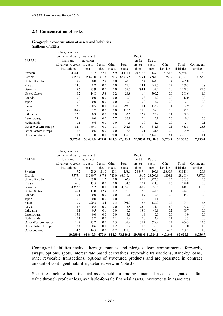### **2.4. Concentration of risks**

#### **Geographic concentration of assets and liabilities**

(millions of EEK)

j

|                      | Cash, balances               |           |         |                  |                  |                   |          |             |             |             |
|----------------------|------------------------------|-----------|---------|------------------|------------------|-------------------|----------|-------------|-------------|-------------|
|                      | with central bank, Loans and |           |         |                  |                  | Due to            |          |             |             |             |
| 31.12.10             | loans and                    | advances  |         |                  |                  | credit            | Due to   |             |             |             |
|                      | advances to credit           | to custo- | Securi- | Other            | Total            | institu-          | custo-   | Other       | Total       | Contingent  |
|                      | institutions                 | mers      | ties    | assets           | assets           | tions             | mers     | liabilities | liabilities | liabilities |
| Sweden               | 4,044.0                      | 33.7      | 87.5    | 5.9              | 4,171.1          | 20,716.6          | 149.9    | 2,067.8     | 22,934.3    | 18.0        |
| Estonia              | 5,556.4                      | 55,841.0  | 331.8   | 750.3            | 62,479.5         | 229.1             | 29,587.3 | 1,380.9     | 31,197.3    | 7,283.2     |
| United Kingdom       | 9.9                          | 30.0      | 2.9     | 0.0              | 42.8             | 22.4              | 443.0    | 0.4         | 465.8       | 5.5         |
| Russia               | 13.0                         | 8.2       | 0.0     | 0.0              | 21.2             | 14.1              | 245.7    | 0.7         | 260.5       | 0.8         |
| Germany              | 5.6                          | 33.9      | 0.0     | 0.0              | 39.5             | 1,093.1           | 55.4     | 0.0         | 1,148.5     | 85.6        |
| <b>United States</b> | 8.2                          | 14.8      | 5.6     | 0.2              | 28.8             | 1.4               | 390.2    | 0.0         | 391.6       | 1.0         |
| Canada               | 0.0                          | 0.0       | 0.0     | 0.0              | 0.0 <sub>l</sub> | 0.8               | 11.2     | 0.0         | 12.0        | 0.0         |
| Japan                | 0.0                          | 0.0       | 0.0     | 0.0              | 0.0              | 0.0               | 2.7      | 0.0         | 2.7         | 0.0         |
| Finland              | 2.9                          | 290.5     | 0.0     | 0.4              | 293.8            | 0.1               | 132.7    | 0.1         | 132.9       | 32.3        |
| Latvia               | 108.9                        | 1.7       | 0.0     | 0.0              | 110.6            | 37.0              | 38.3     | 0.0         | 75.3        | 0.0         |
| Lithuania            | 52.3                         | 0.3       | 0.0     | 0.0              | 52.6             | 32.2              | 25.9     | 0.4         | 58.5        | 0.0         |
| Luxembourg           | 28.4                         | 0.0       | 0.0     | 7.7              | 36.1             | 0.4               | 0.1      | 0.0         | 0.5         | 0.0         |
| Netherlands          | 0.1                          | 9.4       | 0.0     | 0.0 <sub>l</sub> | 9.5              | 0.0               | 2.7      | 0.0         | 2.7         | 0.1         |
| Other Western Europe | 82.4                         | 160.1     | 0.0     | 0.1              | 242.6            | 61.4              | 372.3    | 0.1         | 433.8       | 25.8        |
| Other Eastern Europe | 16.8                         | 0.6       | 0.0     | 0.0              | 17.4             | 0.1               | 24.8     | 0.0         | 24.9        | 0.0         |
| Other countries      | 0.1                          | 7.8       | 0.0     | 130.0            | 137.9            | 0.3               | 2,147.8  | 73.1        | 2,221.2     | 1.1         |
|                      | 9,929.0                      | 56,432.0  | 427.8   |                  | 894.6 67,683.4   | 22,209.0 33,630.0 |          | 3,523.5     | 59,362.5    | 7,453.4     |

|                      | 10,099.4                     | 61,846.3  | 475.9   |                  | 814.6 73,236.2   | 29,786.0 31,824.2 |          | 4,016.6          | 65,626.8    | 8,056.7     |
|----------------------|------------------------------|-----------|---------|------------------|------------------|-------------------|----------|------------------|-------------|-------------|
| Other countries      | 4.6                          | 16.5      | 0.0     | 90.2             | 111.3            | 0.3               | 661.3    | 46.5             | 708.1       | 1.0         |
| Other Eastern Europe | 7.4                          | 0.6       | 0.0     | 0.2              | 8.2              | 0.6               | 30.0     | 0.4              | 31.0        | 1.6         |
| Other Western Europe | 16.4                         | 43.2      | 0.0     | 0.3              | 59.9             | 35.4              | 628.9    | 0.2              | 664.5       | 12.6        |
| Netherlands          | 0.1                          | 9.7       | 0.0     | 0.1              | 9.9              | 0.0               | 3.2      | 0.1              | 3.3         | $0.0\,$     |
| Luxembourg           | 15.9                         | 0.0       | 0.0     | 0.0 <sub>l</sub> | 15.9             | 1.9               | $0.0\,$  | 0.0 <sub>l</sub> | 1.9         | 0.0         |
| Lithuania            | 6.1                          | 0.5       | 0.1     | 0.0 <sub>l</sub> | 6.7              | 13.6              | 46.9     | 0.2              | 60.7        | 0.0         |
| Latvia               | 3.6                          | 0.2       | 0.0     | 0.0 <sub>l</sub> | 3.8              | 25.4              | 34.4     | 3.0              | 62.8        | 0.0         |
| Finland              | 0.7                          | 290.3     | 3.4     | 0.5              | 294.9            | 2.6               | 120.9    | 0.2              | 123.7       | 17.5        |
| Japan                | 0.0                          | 0.0       | 0.0     | 0.0 <sub>l</sub> | 0.0 <sub>l</sub> | 0.0               | 1.1      | 0.0              | 1.1         | 0.0         |
| Canada               | 0.1                          | 0.0       | 0.0     | 0.0 <sub>l</sub> | 0.1              | 3.7               | 10.6     | 0.0 <sub>l</sub> | 14.3        | $0.0\,$     |
| <b>United States</b> | 45.1                         | 17.8      | 12.9    | 0.2              | 76.0             | 2.5               | 241.5    | 0.1              | 244.1       | 0.2         |
| Germany              | 4,352.6                      | 5.2       | 0.0     | 0.0 <sub>l</sub> | 4,357.8          | 568.2             | 50.5     | 0.0 <sub>l</sub> | 618.7       | 115.3       |
| Russia               | 41.0                         | 13.5      | 0.0     | 0.0              | 54.5             | 10.4              | 214.8    | 1.6              | 226.8       | 0.0         |
| United Kingdom       | 21.2                         | 39.8      | 1.2     | 0.0              | 62.2             | 80.5              | 1,472.5  | 0.3              | 1,553.3     | 5.6         |
| Estonia              | 5,575.4                      | 61,380.7  | 347.3   | 713.0            | 68,016.4         | 191.5             | 28,206.8 | 1,103.1          | 29,501.4    | 7,876.0     |
| Sweden               | 9.2                          | 28.3      | 111.0   | 10.1             | 158.6            | 28,849.4          | 100.8    | 2,860.9          | 31,811.1    | 26.9        |
|                      | institutions                 | mers      | ties    | assets           | assets           | tions             | mers     | liabilities      | liabilities | liabilities |
|                      | advances to credit           | to custo- | Securi- | Other            | Total            | institu-          | custo-   | Other            | Total       | Contingent  |
| 31.12.09             | loans and                    | advances  |         |                  |                  | credit            | Due to   |                  |             |             |
|                      | with central bank, Loans and |           |         |                  |                  | Due to            |          |                  |             |             |
|                      | Cash, balances               |           |         |                  |                  |                   |          |                  |             |             |
|                      |                              |           |         |                  |                  |                   |          |                  |             |             |

Contingent liabilities include here guarantees and pledges, loan commitments, forwards, swaps, options, spots, interest rate based derivatives, revocable transactions, stand-by loans, other revocable transactions, options of structured products and are presented in contract amount of contingent liabilities, detailed view in Note 33.

Securities include here financial assets held for trading, financial assets designated at fair value through profit or loss, available-for-sale financial assets, investments in associates.

|  |  | Initialled for the purpose of identification only<br>Initially initials $M_{\text{V}}$<br>07.03.2011<br>PricewaterhouseCoopers, Tallinn |
|--|--|-----------------------------------------------------------------------------------------------------------------------------------------|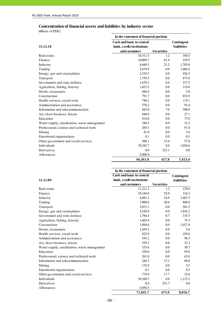### **Concentration of financial assets and liabilities by industry sector**

millions of EEK)

j

|                                              | In the statement of financial position |                   |             |
|----------------------------------------------|----------------------------------------|-------------------|-------------|
|                                              | <b>Cash and loans to central</b>       |                   | Contingent  |
| 31.12.10                                     | bank, credit institutions              |                   | liabilities |
|                                              | and customers                          | <b>Securities</b> |             |
| Real estate                                  | 10,511.5                               | 1.2               | 104.5       |
| Finance                                      | 10,009.7                               | 61.9              | 259.5       |
| Industry                                     | 4,449.5                                | 21.2              | 1,705.0     |
| Trading                                      | 2,674.0                                | 0.0               | 1,066.6     |
| Energy, gas and steam plants                 | 2,310.3                                | 0.0               | 426.5       |
| Transport                                    | 1,759.5                                | 0.0               | 673.8       |
| Government and state defence                 | 1,670.1                                | 0.4               | 317.5       |
| Agriculture, fishing, forestry               | 1,423.5                                | 0.0               | 114.8       |
| Hotels, restaurants                          | 848.4                                  | 0.0               | 5.0         |
| Construction                                 | 791.7                                  | 0.0               | 852.9       |
| Health services, social work                 | 748.2                                  | 0.0               | 119.1       |
| Administration and assistance                | 578.2                                  | 0.0               | 93.4        |
| Information and telecommunication            | 443.0                                  | 7.0               | 390.8       |
| Art, show business, leisure                  | 440.0                                  | 0.0               | 27.1        |
| Education                                    | 414.0                                  | 0.0               | 77.8        |
| Water supply, canalisation, waste management | 248.2                                  | 0.0               | 31.2        |
| Professional, science and technical work     | 205.3                                  | 0.0               | 87.4        |
| Mining                                       | 41.0                                   | 0.0               | 5.6         |
| Exterritorial organisations                  | 0.1                                    | 0.0               | 0.5         |
| Other government and social services         | 360.1                                  | 15.0              | 57.8        |
| Individuals                                  | 29,242.7                               | 0.0               | 1,036.6     |
| Derivatives                                  | 0.0                                    | 321.1             | 0.0         |
| Allowances                                   | $-2,808.0$                             |                   |             |
|                                              | 66,361.0                               | 427.8             | 7,453.4     |

|                                              | In the statement of financial position |                   |             |
|----------------------------------------------|----------------------------------------|-------------------|-------------|
|                                              | <b>Cash and loans to central</b>       |                   | Contingent  |
| 31.12.09                                     | bank, credit institutions              |                   | liabilities |
|                                              | and customers                          | <b>Securities</b> |             |
| Real estate                                  | 11,212.3                               | 1.2               | 129.4       |
| Finance                                      | 10,184.8                               | 52.0              | 316.3       |
| Industry                                     | 4,481.3                                | 16.9              | 1,467.3     |
| Trading                                      | 3,900.4                                | 20.6              | 868.8       |
| Transport                                    | 3,013.1                                | 0.0               | 301.3       |
| Energy, gas and steam plants                 | 2,545.0                                | 0.0               | 1,842.2     |
| Government and state defence                 | 1,784.4                                | 0.7               | 335.5       |
| Agriculture, fishing, forestry               | 1,605.4                                | 0.0               | 75.5        |
| Construction                                 | 1,094.6                                | 0.0               | 1,027.4     |
| Hotels, restaurants                          | 1,039.3                                | 0.0               | 5.6         |
| Health services, social work                 | 822.0                                  | 0.0               | 105.6       |
| Administration and assistance                | 595.2                                  | 0.0               | 96.3        |
| Art, show business, leisure                  | 539.2                                  | 0.0               | 32.3        |
| Water supply, canalisation, waste management | 335.6                                  | 0.0               | 50.7        |
| Education                                    | 329.0                                  | 0.0               | 95.8        |
| Professional, science and technical work     | 261.0                                  | 0.0               | 63.8        |
| Information and telecommunication            | 244.3                                  | 15.1              | 88.8        |
| Mining                                       | 135.8                                  | 0.0               | 5.5         |
| Exterritorial organisations                  | 0.1                                    | 0.0               | 0.5         |
| Other government and social services         | 774.9                                  | 17.7              | 32.8        |
| Individuals                                  | 30,104.5                               | 0.0               | 1,115.3     |
| Derivatives                                  | 0.0                                    | 351.7             | 0.0         |
| Allowances                                   | $-3,056.5$                             |                   |             |
|                                              | 71,945.7                               | 475.9             | 8.056.7     |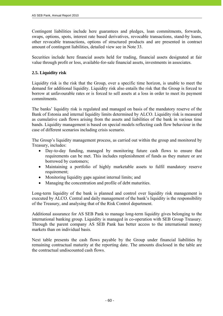Contingent liabilities include here guarantees and pledges, loan commitments, forwards, swaps, options, spots, interest rate based derivatives, revocable transactions, stand-by loans, other revocable transactions, options of structured products and are presented in contract amount of contingent liabilities, detailed view see in Note 33.

Securities include here financial assets held for trading, financial assets designated at fair value through profit or loss, available-for-sale financial assets, investments in associates.

### **2.5. Liquidity risk**

Liquidity risk is the risk that the Group, over a specific time horizon, is unable to meet the demand for additional liquidity. Liquidity risk also entails the risk that the Group is forced to borrow at unfavourable rates or is forced to sell assets at a loss in order to meet its payment commitments.

The banks' liquidity risk is regulated and managed on basis of the mandatory reserve of the Bank of Estonia and internal liquidity limits determined by ALCO. Liquidity risk is measured as cumulative cash flows arising from the assets and liabilities of the bank in various time bands. Liquidity management is based on special models reflecting cash flow behaviour in the case of different scenarios including crisis scenario.

The Group's liquidity management process, as carried out within the group and monitored by Treasury, includes:

- Day-to-day funding, managed by monitoring future cash flows to ensure that requirements can be met. This includes replenishment of funds as they mature or are borrowed by customers;
- Maintaining a portfolio of highly marketable assets to fulfil mandatory reserve requirement;
- Monitoring liquidity gaps against internal limits; and
- Managing the concentration and profile of debt maturities.

Long-term liquidity of the bank is planned and control over liquidity risk management is executed by ALCO. Central and daily management of the bank's liquidity is the responsibility of the Treasury, and analysing that of the Risk Control department.

Additional assurance for AS SEB Pank to manage long-term liquidity gives belonging to the international banking group. Liquidity is managed in co-operation with SEB Group Treasury. Through the parent company AS SEB Pank has better access to the international money markets than on individual basis.

Next table presents the cash flows payable by the Group under financial liabilities by remaining contractual maturity at the reporting date. The amounts disclosed in the table are the contractual undiscounted cash flows.

| Initsiaalid/initials | initsialiseeritud ainult identifitseerimiseks<br>Initialled for the purpose of identification only |
|----------------------|----------------------------------------------------------------------------------------------------|
| Kuupäev/date         | 07.03.2011                                                                                         |
|                      | PricewaterhouseCoopers, Tallinn                                                                    |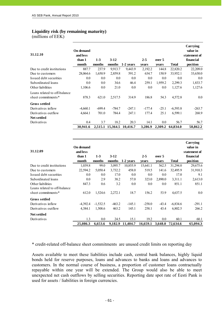#### **Liquidity risk (by remaining maturity)**

(millions of EEK)

j

| 31.12.10                     | <b>On demand</b><br>and less<br>than 1<br>month | $1-3$<br>months | $3-12$<br>months | 1-2 years                 | $2 - 5$          | over 5         | <b>Total</b> | Carrying<br>value in<br>statement of<br>financial<br>position |
|------------------------------|-------------------------------------------------|-----------------|------------------|---------------------------|------------------|----------------|--------------|---------------------------------------------------------------|
| Due to credit institutions   | 887.7                                           | 237.9           | 9,913.7          | 9,443.9                   | vears<br>2,192.2 | vears<br>144.8 | 22,820.2     | 22,209.0                                                      |
| Due to customers             | 28,064.6                                        | 1,650.9         | 2,859.8          | 591.2                     | 634.7            | 150.9          | 33,952.1     | 33,630.0                                                      |
| Issued debt securities       | 0.0                                             | $0.0\,$         | 0.0              | 0.0                       | 0.0              | 0.0            | 0.0          | 0.0                                                           |
| Subordinated loans           | 0.0                                             | 0.0             | 34.6             | 46.4                      | 259.1            | 1,959.2        | 2,299.3      | 1,833.7                                                       |
| Other liabilities            | 1,106.6                                         | $0.0\,$         | 21.0             | 0.0                       | 0.0              | $0.0\,$        | 1,127.6      | 1,127.6                                                       |
| Loans related to off-balance |                                                 |                 |                  |                           |                  |                |              |                                                               |
| sheet commitments*           | 878.3                                           | 621.0           | 2,517.5          | 314.9                     | 186.8            | 54.3           | 4,572.8      | $0.0\,$                                                       |
| <b>Gross settled</b>         |                                                 |                 |                  |                           |                  |                |              |                                                               |
| Derivatives inflow           | $-4,660.1$                                      | $-699.4$        | $-784.7$         | $-247.1$                  | $-177.4$         | $-25.1$        | $-6,593.8$   | $-263.7$                                                      |
| Derivatives outflow          | 4,664.1                                         | 701.0           | 784.4            | 247.1                     | 177.4            | 25.1           | 6,599.1      | 268.9                                                         |
| <b>Net settled</b>           |                                                 |                 |                  |                           |                  |                |              |                                                               |
| Derivatives                  | 0.4                                             | 3.7             | 18.2             | 20.3                      | 14.1             | 0.0            | 56.7         | 56.7                                                          |
|                              | 30,941.6                                        |                 |                  | 2,515.1 15,364.5 10,416.7 | 3,286.9          | 2,309.2        | 64,834.0     | 58,862.2                                                      |

| 31.12.09                     | On demand<br>and less |            |          |           |          |         |            | Carrying<br>value in<br>statement of |
|------------------------------|-----------------------|------------|----------|-----------|----------|---------|------------|--------------------------------------|
|                              | than 1                | $1-3$      | $3-12$   |           | $2 - 5$  | over 5  |            | financial                            |
|                              | month                 | months     | months   | 1-2 years | vears    | vears   | Total      | position                             |
| Due to credit institutions   | 1,039.8               | 99.0       | 3,095.7  | 10,855.9  | 15,641.1 | 562.5   | 31,294.0   | 29,675.6                             |
| Due to customers             | 22,594.2              | 5,050.4    | 3,732.2  | 458.0     | 519.5    | 141.6   | 32,495.9   | 31,910.3                             |
| Issued debt securities       | 0.0                   | 0.0        | 17.0     | 0.0       | 0.0      | 0.0     | 17.0       | 9.1                                  |
| Subordinated loans           | 0.0                   | 2.9        | 38.2     | 57.0      | 323.0    | 2,890.0 | 3,311.1    | 2,613.0                              |
| Other liabilities            | 847.3                 | 0.6        | 3.2      | 0.0       | 0.0      | 0.0     | 851.1      | 851.1                                |
| Loans related to off-balance |                       |            |          |           |          |         |            |                                      |
| sheet commitments*           | 612.0                 | 1,524.6    | 2,272.1  | 18.7      | 156.2    | 53.9    | 4,637.5    | 0.0                                  |
| <b>Gross settled</b>         |                       |            |          |           |          |         |            |                                      |
| Derivatives inflow           | $-4,392.4$            | $-1,532.5$ | $-463.2$ | $-145.1$  | $-258.0$ | $-43.4$ | $-6,834.6$ | $-291.1$                             |
| Derivatives outflow          | 4,384.1               | 1,508.6    | 463.2    | 145.1     | 258.1    | 43.4    | 6,802.5    | 266.2                                |
| <b>Net settled</b>           |                       |            |          |           |          |         |            |                                      |
| Derivatives                  | 1.3                   | 0.0        | 24.5     | 15.1      | 19.2     | 0.0     | 60.1       | 60.1                                 |
|                              | 25,086.3              | 6.653.6    | 9.182.9  | 11,404.7  | 16,659.1 | 3,648.0 | 72,634.6   | 65,094.3                             |

\* credit-related off-balance sheet commitments are unused credit limits on reporting day

Assets available to meet these liabilities include cash, central bank balances, highly liquid bonds held for reserve purposes, loans and advances to banks and loans and advances to customers. In the normal course of business, a proportion of customer loans contractually repayable within one year will be extended. The Group would also be able to meet unexpected net cash outflows by selling securities. Reporting date spot rate of Eesti Pank is used for assets / liabilities in foreign currencies.

| Initsiaalid/initials | initsialiseeritud ainult identifitseerimiseks<br>Initialled for the purpose of identification only<br>Initiallelinitials $M \vee$ |
|----------------------|-----------------------------------------------------------------------------------------------------------------------------------|
| Kuupäev/date         | 07.05.2011                                                                                                                        |
|                      | PricewaterhouseCoopers, Tallinn                                                                                                   |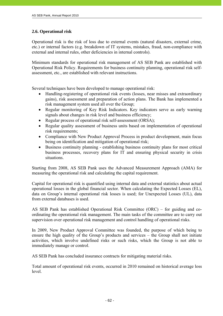### **2.6. Operational risk**

j

Operational risk is the risk of loss due to external events (natural disasters, external crime, etc.) or internal factors (e.g. breakdown of IT systems, mistakes, fraud, non-compliance with external and internal rules, other deficiencies in internal controls).

Minimum standards for operational risk management of AS SEB Pank are established with Operational Risk Policy. Requirements for business continuity planning, operational risk selfassessment, etc., are established with relevant instructions.

Several techniques have been developed to manage operational risk:

- Handling-registering of operational risk events (losses, near misses and extraordinary gains), risk assessment and preparation of action plans. The Bank has implemented a risk management system used all over the Group;
- Regular monitoring of Key Risk Indicators. Key indicators serve as early warning signals about changes in risk level and business efficiency;
- Regular process of operational risk self-assessment (ORSA);
- Regular quality assessment of business units based on implementation of operational risk requirements;
- Compliance with New Product Approval Process in product development, main focus being on identification and mitigation of operational risk;
- Business continuity planning establishing business continuity plans for most critical business processes, recovery plans for IT and ensuring physical security in crisis situations.

Starting from 2008, AS SEB Pank uses the Advanced Measurement Approach (AMA) for measuring the operational risk and calculating the capital requirement.

Capital for operational risk is quantified using internal data and external statistics about actual operational losses in the global financial sector. When calculating the Expected Losses (EL), data on Group's internal operational risk losses is used; for Unexpected Losses (UL), data from external databases is used.

AS SEB Pank has established Operational Risk Committee (ORC) – for guiding and coordinating the operational risk management. The main tasks of the committee are to carry out supervision over operational risk management and control handling of operational risks.

In 2009, New Product Approval Committee was founded, the purpose of which being to ensure the high quality of the Group's products and services – the Group shall not initiate activities, which involve undefined risks or such risks, which the Group is not able to immediately manage or control.

AS SEB Pank has concluded insurance contracts for mitigating material risks.

Total amount of operational risk events, occurred in 2010 remained on historical average loss level.

| Initsiaalid/initials | initsialiseeritud ainult identifitseerimiseks<br>Initialled for the purpose of identification only |
|----------------------|----------------------------------------------------------------------------------------------------|
| Kuupäev/date         | 07.03.2011                                                                                         |
|                      | PricewaterhouseCoopers, Tallinn                                                                    |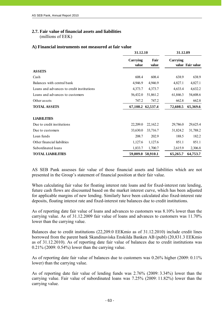### **2.7. Fair value of financial assets and liabilities**

(millions of EEK)

### **A) Financial instruments not measured at fair value**

|                                           | 31.12.10          |                   | 31.12.09 |                  |
|-------------------------------------------|-------------------|-------------------|----------|------------------|
|                                           | Carrying<br>value | Fair<br>value     | Carrying | value Fair value |
| <b>ASSETS</b>                             |                   |                   |          |                  |
| Cash                                      | 608.4             | 608.4             | 638.9    | 638.9            |
| Balances with central bank                | 4,946.9           | 4,946.9           | 4,827.1  | 4,827.1          |
| Loans and advances to credit institutions | 4,373.7           | 4,373.7           | 4,633.4  | 4,632.2          |
| Loans and advances to customers           | 56,432.0          | 51,861.2          | 61,846.3 | 54,608.6         |
| Other assets                              | 747.2             | 747.2             | 662.8    | 662.8            |
| <b>TOTAL ASSETS</b>                       |                   | 67,108.2 62,537.4 | 72,608.5 | 65,369.6         |
| <b>LIABILITIES</b>                        |                   |                   |          |                  |
| Due to credit institutions                | 22,209.0          | 22,162.2          | 29,786.0 | 29,625.4         |
| Due to customers                          | 33,630.0          | 33,716.7          | 31,824.2 | 31,788.2         |
| Loan funds                                | 208.7             | 202.9             | 188.5    | 182.2            |
| Other financial liabilities               | 1,127.6           | 1,127.6           | 851.1    | 851.1            |
| Subordinated loans                        | 1,833.7           | 1,700.7           | 2,615.9  | 2,306.8          |
| <b>TOTAL LIABILITIES</b>                  | 59,009.0 58,910.1 |                   | 65,265.7 | 64,753.7         |

AS SEB Pank assesses fair value of those financial assets and liabilities which are not presented in the Group's statement of financial position at their fair value.

When calculating fair value for floating interest rate loans and for fixed-interest rate lending, future cash flows are discounted based on the market interest curve, which has been adjusted for applicable margins of new lending. Similarly have been calculated also fixed-interest rate deposits, floating interest rate and fixed-interest rate balances due to credit institutions.

As of reporting date fair value of loans and advances to customers was 8.10% lower than the carrying value. As of 31.12.2009 fair value of loans and advances to customers was 11.70% lower than the carrying value.

Balances due to credit institutions (22,209.0 EEKmio as of 31.12.2010) include credit lines borrowed from the parent bank Skandinaviska Enskilda Banken AB (publ) (20,831.3 EEKmio as of 31.12.2010). As of reporting date fair value of balances due to credit institutions was 0.21% (2009: 0.54%) lower than the carrying value.

As of reporting date fair value of balances due to customers was 0.26% higher (2009: 0.11% lower) than the carrying value.

As of reporting date fair value of lending funds was 2.76% (2009: 3.34%) lower than the carrying value. Fair value of subordinated loans was 7.25% (2009: 11.82%) lower than the carrying value.

| Initsiaalid/initials | Initialled for the purpose of identification only<br>latinicallelinitials $M$ V |
|----------------------|---------------------------------------------------------------------------------|
| Kuupäev/date         | 07.03.2011                                                                      |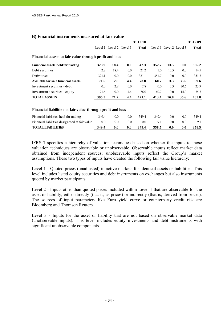|                                                        |         |                 |     | 31.12.10     |       |                         |      | 31.12.09     |
|--------------------------------------------------------|---------|-----------------|-----|--------------|-------|-------------------------|------|--------------|
|                                                        | Level 1 | Level 2 Level 3 |     | <b>Total</b> |       | Level 1 Level 2 Level 3 |      | <b>Total</b> |
| Financial assets at fair value through profit and loss |         |                 |     |              |       |                         |      |              |
| Financial assets held for trading                      | 323.9   | 18.4            | 0.0 | 342.3        | 352.7 | 13.5                    | 0.0  | 366.2        |
| Debt securities                                        | 2.8     | 18.4            | 0.0 | 21.2         | 1.0   | 13.5                    | 0.0  | 14.5         |
| Derivatives                                            | 321.1   | 0.0             | 0.0 | 321.1        | 351.7 | 0.0                     | 0.0  | 351.7        |
| Available for sale financial assets                    | 71.6    | 2.8             | 4.4 | 78.8         | 60.7  | 3.3                     | 35.6 | 99.6         |
| Investment securities - debt                           | 0.0     | 2.8             | 0.0 | 2.8          | 0.0   | 3.3                     | 20.6 | 23.9         |
| Investment securities - equity                         | 71.6    | 0.0             | 4.4 | 76.0         | 60.7  | 0.0                     | 15.0 | 75.7         |
| <b>TOTAL ASSETS</b>                                    | 395.5   | 21.2            | 4.4 | 421.1        | 413.4 | 16.8                    | 35.6 | 465.8        |

#### **B) Financial instruments measured at fair value**

#### **Financial liabilities at fair value through profit and loss**

| Financial liabilities held for trading         | 349.4 | 0.0 | 0.0 | 349 4   | 349 4 | 0.0 | 0.0 | 349.4 |
|------------------------------------------------|-------|-----|-----|---------|-------|-----|-----|-------|
| Financial liabilities designated at fair value | 0.0   | 0.0 |     | $0.0\,$ |       | 0.0 |     |       |
| <b>TOTAL LIABILITIES</b>                       | 349.4 |     | 0.0 | 349.4   | 358.5 | 0.0 | 0.0 | 358.5 |

IFRS 7 specifies a hierarchy of valuation techniques based on whether the inputs to those valuation techniques are observable or unobservable. Observable inputs reflect market data obtained from independent sources; unobservable inputs reflect the Group's market assumptions. These two types of inputs have created the following fair value hierarchy:

Level 1 - Quoted prices (unadjusted) in active markets for identical assets or liabilities. This level includes listed equity securities and debt instruments on exchanges but also instruments quoted by market participants.

Level 2 - Inputs other than quoted prices included within Level 1 that are observable for the asset or liability, either directly (that is, as prices) or indirectly (that is, derived from prices). The sources of input parameters like Euro yield curve or counterparty credit risk are Bloomberg and Thomson Reuters.

Level 3 - Inputs for the asset or liability that are not based on observable market data (unobservable inputs). This level includes equity investments and debt instruments with significant unobservable components.

| Initsiaalid/initials       | Initsialiseeritud ainult identifitseerimiseks<br>Initialled for the purpose of identification only |
|----------------------------|----------------------------------------------------------------------------------------------------|
| 07.03.2011<br>Kuupäev/date |                                                                                                    |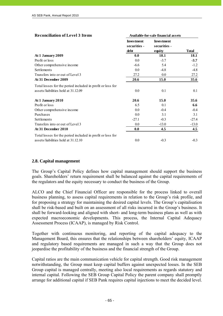| <b>Reconciliation of Level 3 Items</b>                     |                                           | Available-for-sale financial assets         |              |
|------------------------------------------------------------|-------------------------------------------|---------------------------------------------|--------------|
|                                                            | <b>Investment</b><br>securities -<br>debt | <b>Investment</b><br>securities -<br>equity | <b>Total</b> |
| At 1 January 2009                                          | 0.0                                       | 18.1                                        | 18.1         |
| Profit or loss                                             | 0.0                                       | $-3.7$                                      | $-3.7$       |
| Other comprehensive income                                 | $-6.6$                                    | 5.4                                         | $-1.2$       |
| Settlements                                                | 0.0                                       | $-4.8$                                      | $-4.8$       |
| Transfers into or out of Level 3                           | 27.2                                      | 0.0                                         | 27.2         |
| At 31 December 2009                                        | 20.6                                      | 15.0                                        | 35.6         |
| Total losses for the period included in profit or loss for |                                           |                                             |              |
| assets/liabilities held at 31.12.09                        | $0.0\,$                                   | 0.1                                         | 0.1          |
| At 1 January 2010                                          | 20.6                                      | 15.0                                        | 35.6         |
| Profit or loss                                             | 6.5                                       | 0.1                                         | 6.6          |
| Other comprehensive income                                 | 0.0                                       | $-0.4$                                      | $-0.4$       |
| Purchases                                                  | 0.0                                       | 3.1                                         | 3.1          |
| Settlements                                                | $-27.1$                                   | $-0.3$                                      | $-27.4$      |
| Transfers into or out of Level 3                           | 0.0                                       | $-13.0$                                     | $-13.0$      |
| At 31 December 2010                                        | 0.0                                       | 4.5                                         | 4.5          |
| Total losses for the period included in profit or loss for |                                           |                                             |              |
| assets/liabilities held at 31.12.10                        | 0.0                                       | $-0.3$                                      | $-0.3$       |

### **2.8. Capital management**

- 65 -

The Group's Capital Policy defines how capital management should support the business goals. Shareholders' return requirement shall be balanced against the capital requirements of the regulators and the equity necessary to conduct the business of the Group.

ALCO and the Chief Financial Officer are responsible for the process linked to overall business planning, to assess capital requirements in relation to the Group's risk profile, and for proposing a strategy for maintaining the desired capital levels. The Group's capitalisation shall be risk-based and built on an assessment of all risks incurred in the Group's business. It shall be forward-looking and aligned with short- and long-term business plans as well as with expected macroeconomic developments. This process, the Internal Capital Adequacy Assessment Process (ICAAP), is managed by Risk Control.

Together with continuous monitoring, and reporting of the capital adequacy to the Management Board, this ensures that the relationships between shareholders' equity, ICAAP and regulatory based requirements are managed in such a way that the Group does not jeopardise the profitability of the business and the financial strength of the Group.

Capital ratios are the main communication vehicle for capital strength. Good risk management notwithstanding, the Group must keep capital buffers against unexpected losses. In the SEB Group capital is managed centrally, meeting also local requirements as regards statutory and internal capital. Following the SEB Group Capital Policy the parent company shall promptly arrange for additional capital if SEB Pank requires capital injections to meet the decided level.

| Initialled for the purpose of identification only<br>Initialization $M$ V |
|---------------------------------------------------------------------------|
| 07.03.2011                                                                |
| PricewaterhouseCoopers, Tallinn                                           |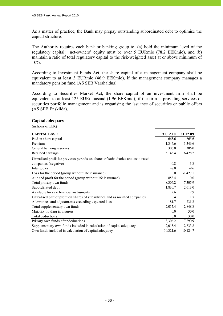As a matter of practice, the Bank may prepay outstanding subordinated debt to optimise the capital structure.

The Authority requires each bank or banking group to: (a) hold the minimum level of the regulatory capital: net-owners' equity must be over 5 EURmio (78.2 EEKmio), and (b) maintain a ratio of total regulatory capital to the risk-weighted asset at or above minimum of 10%.

According to Investment Funds Act, the share capital of a management company shall be equivalent to at least 3 EURmio (46.9 EEKmio), if the management company manages a mandatory pension fund (AS SEB Varahaldus).

According to Securities Market Act, the share capital of an investment firm shall be equivalent to at least 125 EURthousand (1.96 EEKmio), if the firm is providing services of securities portfolio management and is organising the issuance of securities or public offers (AS SEB Enskilda).

#### **Capital adequacy**

(millions of EEK)

| <b>CAPITAL BASE</b>                                                             | 31.12.10 | 31.12.09   |
|---------------------------------------------------------------------------------|----------|------------|
| Paid-in share capital                                                           | 665.6    | 665.6      |
| Premium                                                                         | 1,346.6  | 1,346.6    |
| General banking reserves                                                        | 306.0    | 306.0      |
| Retained earnings                                                               | 5,143.4  | 6,428.2    |
| Unrealised profit for previous periods on shares of subsidiaries and associated |          |            |
| companies (negative)                                                            | $-0.8$   | $-3.8$     |
| Intangibles                                                                     | $-8.0$   | $-9.6$     |
| Loss for the period (group without life insurance)                              | 0.0      | $-1,427.1$ |
| Audited profit for the period (group without life insurance)                    | 853.4    | 0.0        |
| Total primary own funds                                                         | 8,306.2  | 7,305.9    |
| Subordinated debt                                                               | 1,830.7  | 2,613.0    |
| Available for sale financial instruments                                        | 2.6      | 2.9        |
| Unrealised part of profit on shares of subsidiaries and associated companies    | 0.4      | 1.7        |
| Allowances and adjustments exceeding expected loss                              | 181.7    | 231.2      |
| Total supplementary own funds                                                   | 2,015.4  | 2,848.8    |
| Majority holding in insurers                                                    | 0.0      | 30.0       |
| Total deductions                                                                | 0.0      | 30.0       |
| Primary own funds after deductions                                              | 8,306.2  | 7,290.9    |
| Supplementary own funds included in calculation of capital adequacy             | 2,015.4  | 2,833.8    |
| Own funds included in calculation of capital adequacy                           | 10,321.6 | 10,124.7   |

| Initsiaalid/initials | Initsialiseeritud ainult identifitseerimiseks<br>Initialled for the purpose of identification only<br>Initiallelinitials $M.V$ |
|----------------------|--------------------------------------------------------------------------------------------------------------------------------|
| Kuupäev/date         | 07.03.2011                                                                                                                     |
|                      | PricewaterhouseCoopers, Tallinn                                                                                                |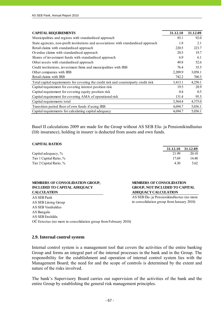| <b>CAPITAL REQUIREMENTS</b>                                                          | 31.12.10 | 31.12.09 |
|--------------------------------------------------------------------------------------|----------|----------|
| Municipalities and regions with standardised approach                                | 85.1     | 92.0     |
| State agencies, non-profit institutions and associations with standardised approach  | 1.8      | 2.1      |
| Retail claims with standardised approach                                             | 220.5    | 223.7    |
| Overdue claims with standardised approach                                            | 20.5     | 19.7     |
| Shares of investment funds with standardised approach                                | 6.9      | 6.1      |
| Other assets with standardised approach                                              | 49.8     | 52.6     |
| Credit institutions, investment firms and municipalities with IRB                    | 76.4     | 35.5     |
| Other companies with IRB                                                             | 2,209.9  | 3,058.1  |
| Retail claims with IRB                                                               | 742.2    | 760.3    |
| Total capital requirements for covering the credit risk and counterparty credit risk | 3,413.1  | 4,250.1  |
| Capital requirement for covering interest position risk                              | 19.5     | 28.9     |
| Capital requirement for covering equity position risk                                | 0.4      | 0.5      |
| Capital requirement for covering AMA of operational risk                             | 131.4    | 95.5     |
| Capital requirements total                                                           | 3,564.4  | 4,375.0  |
| Transition period floor of own funds if using IRB                                    | 4,694.7  | 5,036.1  |
| Capital requirements for calculating capital adequacy                                | 4,694.7  | 5,036.1  |

Basel II calculations 2009 are made for the Group without AS SEB Elu- ja Pensionikindlustus (life insurance), holding in insurer is deducted from assets and own funds.

#### **CAPITAL RATIOS**

|                         | 31.12.10 31.12.09 |       |
|-------------------------|-------------------|-------|
| Capital adequacy, %     | 21.99             | 20.10 |
| Tier 1 Capital Ratio, % | 17.69             | 14.48 |
| Tier 2 Capital Ratio, % | 4.30              | 5.62  |

#### **MEMBERS OF CONSOLIDATION GROUP, INCLUDED TO CAPITAL ADEQUACY CALCULATION**

**MEMBERS OF CONSOLIDATION GROUP, NOT INCLUDED TO CAPITAL ADEQUACY CALCULATION**

AS SEB Elu- ja Pensionikindlustus (no more in consolidation group from January 2010)

| AS SEB Pank                                                     |
|-----------------------------------------------------------------|
| AS SEB Liising Group                                            |
| AS SEB Varahaldus                                               |
| AS Bangalo                                                      |
| AS SEB Enskilda                                                 |
| OÜ Estectus (no more in consolidation group from February 2010) |

### **2.9. Internal control system**

Internal control system is a management tool that covers the activities of the entire banking Group and forms an integral part of the internal processes in the bank and in the Group. The responsibility for the establishment and operation of internal control system lies with the Management Board; the need for and the scope of controls is determined by the extent and nature of the risks involved.

The bank's Supervisory Board carries out supervision of the activities of the bank and the entire Group by establishing the general risk management principles.

Initsialiseeritud ainult identifitseerimiseks Initialled for the purpose of identification only  $M.V.$ Initsiaalid/initials Kuupäev/date 07.05.2011 PricewaterhouseCoopers, Tallinn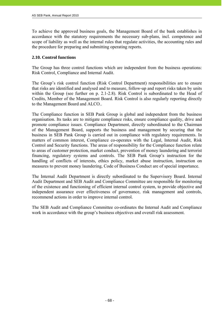To achieve the approved business goals, the Management Board of the bank establishes in accordance with the statutory requirements the necessary sub-plans, incl. competence and scope of liability as well as the internal rules that regulate activities, the accounting rules and the procedure for preparing and submitting operating reports.

### **2.10. Control functions**

The Group has three control functions which are independent from the business operations: Risk Control, Compliance and Internal Audit.

The Group's risk control function (Risk Control Department) responsibilities are to ensure that risks are identified and analysed and to measure, follow-up and report risks taken by units within the Group (see further on p. 2.1-2.8). Risk Control is subordinated to the Head of Credits, Member of the Management Board. Risk Control is also regularly reporting directly to the Management Board and ALCO..

The Compliance function in SEB Pank Group is global and independent from the business organisation. Its tasks are to mitigate compliance risks, ensure compliance quality, drive and promote compliance issues. Compliance Department, directly subordinated to the Chairman of the Management Board, supports the business and management by securing that the business in SEB Pank Group is carried out in compliance with regulatory requirements. In matters of common interest, Compliance co-operates with the Legal, Internal Audit, Risk Control and Security functions. The areas of responsibility for the Compliance function relate to areas of customer protection, market conduct, prevention of money laundering and terrorist financing, regulatory systems and controls. The SEB Pank Group's instruction for the handling of conflicts of interests, ethics policy, market abuse instruction, instruction on measures to prevent money laundering, Code of Business Conduct are of special importance.

The Internal Audit Department is directly subordinated to the Supervisory Board. Internal Audit Department and SEB Audit and Compliance Committee are responsible for monitoring of the existence and functioning of efficient internal control system, to provide objective and independent assurance over effectiveness of governance, risk management and controls, recommend actions in order to improve internal control.

The SEB Audit and Compliance Committee co-ordinates the Internal Audit and Compliance work in accordance with the group's business objectives and overall risk assessment.

| Initsiaalid/initials | Initsialiseeritud ainult identifitseerimiseks<br>Initialled for the purpose of identification only<br>Initiallelinitials $M \vee$ |
|----------------------|-----------------------------------------------------------------------------------------------------------------------------------|
| Kuupäev/date         | 07.03.2011                                                                                                                        |
|                      | PricewaterhouseCoopers, Tallinn                                                                                                   |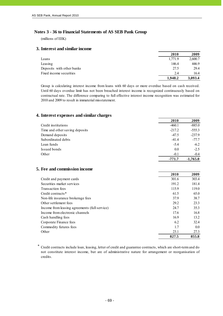### **Notes 3 - 36 to Financial Statements of AS SEB Pank Group**

(millions of EEK)

#### **3. Interest and similar income**

|                           | 2010    | 2009    |
|---------------------------|---------|---------|
| Loans                     | 1.771.9 | 2,600.7 |
| Leasing                   | 146.4   | 446.9   |
| Deposits with other banks | 27.5    | 29.4    |
| Fixed income securities   | 2.4     | 16.4    |
|                           | 1.948.2 | 3,093.4 |

Group is calculating interest income from loans with 60 days or more overdue based on cash received. Until 60 days overdue limit has not been breached interest income is recognized continuously based on contractual rate. The difference comparing to full effective interest income recognition was estimated for 2010 and 2009 to result in immaterial misstatement.

### **4. Interest expenses and similar charges**

|                                | 2010     | 2009       |
|--------------------------------|----------|------------|
| Credit institutions            | $-460.1$ | $-885.0$   |
| Time and other saving deposits | $-217.2$ | $-555.3$   |
| Demand deposits                | $-47.5$  | $-237.9$   |
| Subordinated debts             | $-41.4$  | $-77.7$    |
| Loan funds                     | $-5.4$   | $-6.2$     |
| Issued bonds                   | 0.0      | $-2.5$     |
| Other                          | $-0.1$   | $-0.4$     |
|                                | -771.7   | $-1,765.0$ |

#### **5. Fee and commission income**

|                                               | 2010  | 2009  |
|-----------------------------------------------|-------|-------|
| Credit and payment cards                      | 301.6 | 303.4 |
| Securities market services                    | 191.2 | 181.4 |
| Transaction fees                              | 115.9 | 119.0 |
| Credit contracts*                             | 61.5  | 65.0  |
| Non-life insurance brokerage fees             | 37.9  | 38.7  |
| Other settlement fees                         | 29.2  | 23.3  |
| Income from leasing agreements (full service) | 24.7  | 35.3  |
| Income from electronic channels               | 17.6  | 16.8  |
| Cash handling fees                            | 16.9  | 13.2  |
| Corporate Finance fees                        | 6.2   | 32.4  |
| Commodity futures fees                        | 1.7   | 0.0   |
| Other                                         | 23.1  | 27.3  |
|                                               | 827.5 | 855.8 |

\* Credit contracts include loan, leasing, letter of credit and guarantee contracts, which are short-term and do not constitute interest income, but are of administrative nature for arrangement or reorganisation of credits.

| Initsiaalid/initials | Initsialiseeritud ainult identifitseerimiseks<br>Initialled for the purpose of identification only<br>Initiallelinitials $M \vee$ |
|----------------------|-----------------------------------------------------------------------------------------------------------------------------------|
| Kuupäev/date         | 07.03.2011                                                                                                                        |
|                      | PricewaterhouseCoopers, Tallinn                                                                                                   |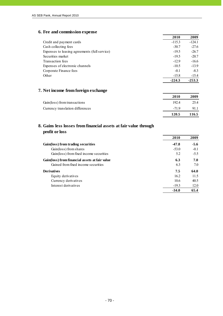### **6. Fee and commission expense**

|                                               | 2010     | 2009     |
|-----------------------------------------------|----------|----------|
| Credit and payment cards                      | $-115.3$ | $-124.1$ |
| Cash collecting fees                          | $-30.7$  | $-27.6$  |
| Expenses to leasing agreements (full service) | $-19.5$  | $-26.7$  |
| Securities market                             | $-19.5$  | $-20.7$  |
| Transaction fees                              | $-12.9$  | $-16.6$  |
| Expenses of electronic channels               | $-10.5$  | $-13.9$  |
| Corporate Finance fees                        | $-0.1$   | $-8.3$   |
| Other                                         | $-15.8$  | $-15.4$  |
|                                               | $-224.3$ | $-253.3$ |

### **7. Net income from foreign exchange**

|                                  | 2010   | 2009  |
|----------------------------------|--------|-------|
| Gain(loss) from transactions     | 192.4  | 25.4  |
| Currency translation differences | $-719$ | 91.1  |
|                                  | 120.5  | 116.5 |

### **8. Gains less losses from financial assets at fair value through profit or loss**

|                                                | 2010    | 2009   |
|------------------------------------------------|---------|--------|
| Gain(loss) from trading securities             | $-47.8$ | $-5.6$ |
| Gain(loss) from shares                         | $-53.0$ | $-0.1$ |
| Gain(loss) from fixed income securities        | 5.2     | $-5.5$ |
| Gain(loss) from financial assets at fair value | 6.3     | 7.0    |
| Gained from fixed income securities            | 6.3     | 7.0    |
| <b>Derivatives</b>                             | 7.5     | 64.0   |
| Equity derivatives                             | 16.2    | 11.5   |
| Currency derivatives                           | 10.6    | 40.5   |
| Interest derivatives                           | $-19.3$ | 12.0   |
|                                                | $-34.0$ | 65.4   |

| Initsiaalid/initials | Initsialiseeritud ainult identifitseerimiseks<br>Initialled for the purpose of identification only<br>Initiallel/initials $M.V$ |
|----------------------|---------------------------------------------------------------------------------------------------------------------------------|
| Kuupäev/date         | 07.03.2011                                                                                                                      |
|                      | PricewaterhouseCoopers, Tallinn                                                                                                 |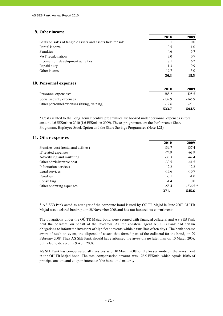### **9. Other income**

j

|                                                            | 2010 | 2009 |
|------------------------------------------------------------|------|------|
| Gains on sales of tangible assets and assets held for sale | 0.1  | 0.0  |
| Rental income                                              | 0.5  | 1.0  |
| Penalties                                                  | 4.6  | 6.7  |
| VAT recalculation                                          | 3.0  | 0.7  |
| Income from development activities                         | 7.1  | 6.2  |
| Repaid duty                                                | 1.3  | 0.9  |
| Other income                                               | 19.7 | 3.0  |
|                                                            | 36.3 | 18.5 |
|                                                            |      |      |

| 10. Personnel expenses                      |          |          |
|---------------------------------------------|----------|----------|
|                                             | 2010     | 2009     |
| Personnel expenses*                         | $-388.2$ | $-425.5$ |
| Social security expenses                    | $-132.9$ | $-145.9$ |
| Other personnel expenses (hiring, training) | $-12.6$  | $-23.1$  |
|                                             | -533.7   | $-594.5$ |

\* Costs related to the Long Term Incentive programmes are booked under personnel expenses in total amount 4.6 EEKmio in 2010 (1.6 EEKmio in 2009). These programmes are the Performance Share Programme, Employee Stock Option and the Share Savings Programmes (Note 1.21).

#### **11. Other expenses**

|                                      | 2010     | 2009      |
|--------------------------------------|----------|-----------|
| Premises cost (rental and utilities) | $-139.7$ | $-137.4$  |
| IT related expenses                  | $-74.9$  | $-63.9$   |
| Advertising and marketing            | $-33.3$  | $-42.4$   |
| Other administrative cost            | $-30.5$  | $-41.5$   |
| Information services                 | $-12.2$  | $-12.2$   |
| Legal services                       | $-17.6$  | $-10.7$   |
| Penalties                            | $-3.1$   | $-1.0$    |
| Consulting                           | $-1.4$   | 0.0       |
| Other operating expenses             | $-58.4$  | $-236.5*$ |
|                                      | $-371.1$ | $-545.6$  |

\* AS SEB Pank acted as arranger of the corporate bond issued by OÜ TR Majad in June 2007. OÜ TR Majad was declared bankrupt on 28 November 2008 and has not honored its commitments.

The obligations under the OÜ TR Majad bond were secured with financial collateral and AS SEB Pank held the collateral on behalf of the investors. As the collateral agent AS SEB Pank had certain obligations to inform the investors of significant events within a time limit of ten days. The bank became aware of such an event, the disposal of assets that formed part of the collateral for the bond, on 29 February 2008. Thus AS SEB Pank should have informed the investors no later than on 10 March 2008, but failed to do so until 9 April 2008.

AS SEB Pank has compensated all investors as of 10 March 2008 for the losses made on the investment in the OÜ TR Majad bond. The total compensation amount was 176.5 EEKmio, which equals 100% of principal amount and coupon interest of the bond until maturity.

| Initsiaalid/initials | initsialiseeritud ainult identifitseerimiseks<br>Initialled for the purpose of identification only |
|----------------------|----------------------------------------------------------------------------------------------------|
| Kuupäev/date         | 07.05.2011                                                                                         |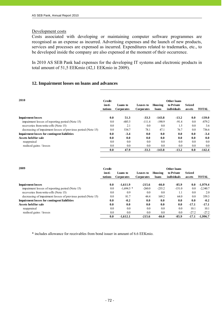### Development costs

j

Costs associated with developing or maintaining computer software programmes are recognised as an expense as incurred. Advertising expenses and the launch of new products, services and processes are expensed as incurred. Expenditures related to trademarks, etc., to be developed inside the company are also expensed at the moment of their occurrence.

In 2010 AS SEB Pank had expenses for the developing IT systems and electronic products in total amount of 51,5 EEKmio (42,1 EEKmio in 2009).

# **12. Impairment losses on loans and advances**

| 2010                                                         | Credit<br>insti-<br>tutions | Loans to<br><b>Corporates</b> | Leases to<br><b>Corporates</b> | Housing<br>loans | Other loans<br>to Private<br>individuals | <b>Seized</b><br>assets | <b>TOTAL</b> |
|--------------------------------------------------------------|-----------------------------|-------------------------------|--------------------------------|------------------|------------------------------------------|-------------------------|--------------|
| <b>Impairment losses</b>                                     | 0.0                         | 51.3                          | $-33.3$                        | $-143.8$         | $-13.2$                                  | 0.0                     | $-139.0$     |
| impairment losses of reporting period (Note 15)              | 0.0                         | $-485.5$                      | $-111.4$                       | $-190.9$         | $-91.4$                                  | $0.0\,$                 | $-879.2$     |
| recoveries from write-offs (Note 15)                         | 0.0                         | 2.1                           | 0.0                            | 0.0              | 1.5                                      | 0.0                     | 3.6          |
| decreasing of impairment losses of previous period (Note 15) | 0.0                         | 534.7                         | 78.1                           | 47.1             | 76.7                                     | 0.0                     | 736.6        |
| <b>Impairment losses for contingent liabilities</b>          | 0.0                         | $-3.4$                        | 0.0                            | 0.0              | 0.0                                      | 0.0                     | $-3.4$       |
| Assets held for sale                                         | 0.0                         | 0.0                           | 0.0                            | 0.0              | 0.0                                      | 0.0                     | 0.0          |
| reappraisal                                                  | 0.0                         | 0.0                           | 0.0                            | 0.0              | 0.0                                      | 0.0                     | 0.0          |
| realised gains / losses                                      | 0.0                         | 0.0                           | 0.0                            | 0.0              | 0.0                                      | 0.0                     | 0.0          |
|                                                              | 0.0                         | 47.9                          | $-33.3$                        | $-143.8$         | $-13.2$                                  | 0.0                     | $-142.4$     |

| 2009                                                         | Credit  |                   |                   |          | <b>Other loans</b> |         |              |
|--------------------------------------------------------------|---------|-------------------|-------------------|----------|--------------------|---------|--------------|
|                                                              | insti-  | Loans to          | Leases to         | Housing  | to Private         | Seized  |              |
|                                                              | tutions | <b>Corporates</b> | <b>Corporates</b> | loans    | individuals        | assets  | <b>TOTAL</b> |
| <b>Impairment losses</b>                                     | 0.0     | $-1,611.9$        | $-215.6$          | $-66.0$  | $-85.9$            | 0.0     | $-1.979.4$   |
| impairment losses of reporting period (Note 15)              | 0.0     | $-1.694.5$ *      | $-260.0$          | $-235.2$ | $-151.0$           | 0.0     | $-2,340.7$   |
| recoveries from write-offs (Note 15)                         | 0.0     | 0.9               | 0.0               | 0.0      | 1.1                | 0.0     | 2.0          |
| decreasing of impairment losses of previous period (Note 15) | 0.0     | 81.7              | 44.4              | 169.2    | 64.0               | $0.0\,$ | 359.3        |
| <b>Impairment losses for contingent liabilities</b>          | 0.0     | $-0.2$            | 0.0               | 0.0      | 0.0                | 0.0     | $-0.2$       |
| Assets held for sale                                         | 0.0     | 0.0               | 0.0               | 0.0      | 0.0                | $-17.1$ | $-17.1$      |
| reappraisal                                                  | 0.0     | 0.0               | 0.0               | 0.0      | 0.0                | 10.1    | 10.1         |
| realised gains / losses                                      | 0.0     | 0.0               | 0.0               | 0.0      | 0.0                | $-27.2$ | $-27.2$      |
|                                                              | 0.0     | $-1.612.1$        | $-215.6$          | $-66.0$  | $-85.9$            | $-17.1$ | $-1.996.7$   |

\* includes allowance for receivables from bond issuer in amount of 6.6 EEKmio.

| Initsiaalid/initials | initsialiseeritud ainult identifitseerimiseks<br>Initialled for the purpose of identification only |
|----------------------|----------------------------------------------------------------------------------------------------|
| Kuupäev/date         | 07.03.2011                                                                                         |
|                      | PricewaterhouseCoopers, Tallinn                                                                    |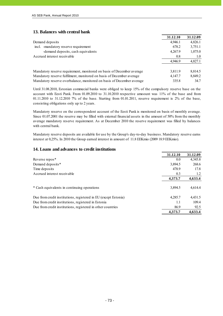### **13. Balances with central bank**

|                                                                       | 31.12.10 | 31.12.09 |
|-----------------------------------------------------------------------|----------|----------|
| Demand deposits                                                       | 4,946.1  | 4,826.1  |
| -mandatory reserve requirement<br>incl.                               | 678.2    | 3,751.1  |
| -demand deposits, cash equivalents                                    | 4,267.9  | 1,075.0  |
| Accrued interest receivable                                           | 0.8      | 1.0      |
|                                                                       | 4,946.9  | 4,827.1  |
| Mandatory reserve requirement, monitored on basis of December average | 3,811.9  | 8,814.5  |
| Mandatory reserve fulfilment, monitored on basis of December average  | 4,147.7  | 8,849.2  |
| Mandatory reserve overbalance, monitored on basis of December average | 335.8    | 34.7     |

Until 31.08.2010, Estonian commecial banks were obliged to keep 15% of the compulsory reserve base on the account with Eesti Pank. From 01.09.2010 to 31.10.2010 respective amoount was 11% of the base and from 01.11.2010 to 31.12.2010 7% of the base. Starting from 01.01.2011, reserve requirement is 2% of the base, consisting obligations only up to 2 years.

Mandatory reserve on the correspondent account of the Eesti Pank is monitored on basis of monthly average. Since 01.07.2001 the reserve may be filled with external financial assets in the amount of 50% from the monthly average mandatory reserve requirement. As at December 2010 the reserve requirement was filled by balances with central bank.

Mandatory reserve deposits are available for use by the Group's day-to-day business. Mandatory reserve earns interest at 0,25%. In 2010 the Group earned interest in amount of 11.8 EEKmio (2009 18.9 EEKmio).

### **14. Loans and advances to credit institutions**

|                                                                 | 31.12.10 | 31.12.09 |
|-----------------------------------------------------------------|----------|----------|
| Reverse repos*                                                  | 0.0      | 4,345.8  |
| Demand deposits*                                                | 3,894.5  | 268.6    |
| Time deposits                                                   | 478.9    | 17.8     |
| Accrued interest receivable                                     | 0.3      | 1.2      |
|                                                                 | 4,373.7  | 4,633.4  |
| * Cash equivalents in continuing operations                     | 3,894.5  | 4,614.4  |
| Due from credit institutions, registered in EU (except Estonia) | 4,285.7  | 4,431.5  |
| Due from credit institutions, registered in Estonia             | 1.1      | 109.4    |
| Due from credit institutions, registered in other countries     | 86.9     | 92.5     |
|                                                                 | 4.373.7  | 4.633.4  |

| Initsiaalid/initials | initsialiseeritud ainult identifitseerimiseks<br>Initialled for the purpose of identification only |
|----------------------|----------------------------------------------------------------------------------------------------|
| Kuupäev/date         | 07.05.2011                                                                                         |
|                      | PricewaterhouseCoopers, Tallinn                                                                    |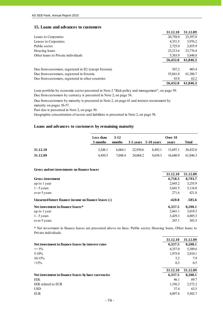### **15. Loans and advances to customers**

|                                                       | 31.12.10 | 31.12.09 |
|-------------------------------------------------------|----------|----------|
| Loans to Corporates                                   | 20,758.0 | 23,397.0 |
| Leases to Corporates                                  | 4,351.5  | 5,976.2  |
| Public sector                                         | 2,725.0  | 2,855.9  |
| Housing loans                                         | 23,213.6 | 23,776.4 |
| Other loans to Private individuals                    | 5,383.9  | 5,840.8  |
|                                                       | 56,432.0 | 61,846.3 |
| Due from customers, registered in EU (except Estonia) | 547.2    | 403.4    |
| Due from customers, registered in Estonia             | 55,841.0 | 61,380.7 |
| Due from customers, registered in other countries     | 43.8     | 62.2     |
|                                                       | 56,432.0 | 61.846.3 |

Due from customers by currency is presented in Note 2, on page 54. Loan portfolio by economic sector presented in Note 2 "Risk policy and management", on page 59.

Due from customers by maturity is presented in Note 2, on page 61 and interest restatement by maturity on pages 56-57.

Past due is presented in Note 2, on page 50.

Geographic concentration of assets and liabilities is presented in Note 2, on page 58.

### **Loans and advances to customers by remaining maturity**

|          | Less than | 3-12    |          |                          | Over 10  |          |
|----------|-----------|---------|----------|--------------------------|----------|----------|
|          | 3 months  | months  |          | $1-5$ vears $5-10$ vears | vears    | Total    |
| 31.12.10 | 3.248.1   | 6.064.1 | 22.930.6 | 8.492.1                  | 15.697.1 | 56.432.0 |
| 31.12.09 | 4.450.5   | 7.048.4 | 24,068.2 | 9,638.3                  | 16.640.9 | 61.846.3 |

#### **Gross and net investments on finance leases**

|                                                      | 31.12.10 | 31.12.09 |
|------------------------------------------------------|----------|----------|
| Gross investment                                     | 6,758.3  | 8,793.7  |
| up to 1 year                                         | 2,845.2  | 3,255.9  |
| $1 - 5$ years                                        | 3,641.5  | 5,116.0  |
| over 5 years                                         | 271.6    | 421.8    |
| Unearned future finance income on finance leases (-) | $-420.8$ | $-585.6$ |
| Net investment in finance leases*                    | 6,337.5  | 8,208.1  |
| up to 1 year                                         | 2,661.1  | 3,019.3  |
| $1 - 5$ years                                        | 3,429.3  | 4,805.3  |
| over 5 years                                         | 247.1    | 383.5    |

\* Net investment in finance leases are presented above on lines: Public sector, Housing loans, Other loans to Private individuals.

|                                                     | 31.12.10 | 31.12.09 |
|-----------------------------------------------------|----------|----------|
| Net investment in finance leases by interest rates  | 6,337.5  | 8,208.1  |
| $\leq$ 5%                                           | 4,357.0  | 5,389.6  |
| $5 - 10\%$                                          | 1,975.0  | 2,810.1  |
| $10-15%$                                            | 5.2      | 7.9      |
| $>15\%$                                             | 0.3      | 0.5      |
|                                                     |          |          |
|                                                     | 31.12.10 | 31.12.09 |
| Net investment in finance leases by base currencies | 6,337.5  | 8,208.1  |
| EEK                                                 | 46.1     | 69.7     |
| EEK related to EUR                                  | 1,356.2  | 2,572.2  |
| <b>USD</b>                                          | 37.4     | 63.5     |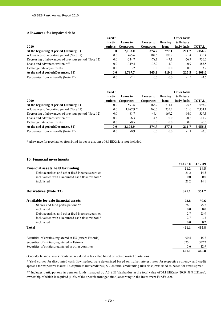#### **Allowances for impaired debt**

j

|                                                       | <b>Credit</b> |                   |                   |         | <b>Other loans</b> |              |
|-------------------------------------------------------|---------------|-------------------|-------------------|---------|--------------------|--------------|
|                                                       | insti-        | Loans to          | Leases to         | Housing | to Private         |              |
| 2010                                                  | tutions       | <b>Corporates</b> | <b>Corporates</b> | loans   | <i>individuals</i> | <b>TOTAL</b> |
| At the beginning of period $(January, 1)$             | 0.0           | 2,193.0           | 374.7             | 277.1   | 211.7              | 3,056.5      |
| Allowances of reporting period (Note 12)              | 0.0           | 485.6             | 102.5             | 190.9   | 91.4               | 870.4        |
| Decreasing of allowances of previous period (Note 12) | 0.0           | $-534.7$          | $-78.1$           | $-47.1$ | $-76.7$            | $-736.6$     |
| Loans and advances written off                        | 0.0           | $-349.4$          | $-33.9$           | $-1.3$  | $-0.9$             | $-385.5$     |
| Exchange rate adjustments                             | 0.0           | 3.2               | 0.0               | 0.0     | 0.0                | 3.2          |
| At the end of period (December, 31)                   | 0.0           | 1,797.7           | 365.2             | 419.6   | 225.5              | 2,808.0      |
| Recoveries from write-offs (Note 12)                  | 0.0           | $-2.1$            | 0.0               | 0.0     | $-1.5$             | $-3.6$       |

|                                                       | Credit  |                   |                   |          | <b>Other loans</b> |              |
|-------------------------------------------------------|---------|-------------------|-------------------|----------|--------------------|--------------|
|                                                       | insti-  | Loans to          | Leases to         | Housing  | to Private         |              |
| 2009                                                  | tutions | <b>Corporates</b> | <b>Corporates</b> | loans    | <i>individuals</i> | <b>TOTAL</b> |
| At the beginning of period (January, 1)               | 0.0     | 593.6             | 163.7             | 211.1    | 125.5              | 1,093.9      |
| Allowances of reporting period (Note 12)              | 0.0     | $1.687.9*$        | 260.0             | 235.2    | 151.0              | 2,334.1      |
| Decreasing of allowances of previous period (Note 12) | 0.0     | $-81.7$           | $-44.4$           | $-169.2$ | $-64.0$            | $-359.3$     |
| Loans and advances written off                        | 0.0     | $-6.3$            | $-4.6$            | 0.0      | $-0.8$             | $-11.7$      |
| Exchange rate adjustments                             | 0.0     | $-0.5$            | 0.0               | 0.0      | 0.0                | $-0.5$       |
| At the end of period (December, 31)                   | 0.0     | 2,193.0           | 374.7             | 277.1    | 211.7              | 3,056.5      |
| Recoveries from write-offs (Note 12)                  | 0.0     | $-0.9$            | 0.0               | 0.0      | -1.1               | $-2.0$       |

\* allowance for receivables from bond issuer in amount of 6.6 EEKmio is not included.

#### **16. Financial investments**

|                                                           | 31.12.10 | 31.12.09 |
|-----------------------------------------------------------|----------|----------|
| <b>Financial assets held for trading</b>                  | 21.2     | 14.5     |
| Debt securities and other fixed income securities         | 21.2     | 14.5     |
| incl. valued with discounted cash flow method *           | 0.0      | 0.0      |
| incl. listed                                              | 21.2     | 14.1     |
| <b>Derivatives (Note 33)</b>                              | 321.1    | 351.7    |
| Available for sale financial assets                       | 78.8     | 99.6     |
| Shares and fund participations**                          | 76.1     | 75.7     |
| incl. listed                                              | 0.0      | 0.0      |
| Debt securities and other fixed income securities         | 2.7      | 23.9     |
| incl. valued with discounted cash flow method *           | 2.7      | 3.3      |
| incl. listed                                              | 0.0      | 0.2      |
| <b>Total</b>                                              | 421.1    | 465.8    |
| Securities of entities, registered in EU (except Estonia) | 90.4     | 115.7    |
| Securities of entities, registered in Estonia             | 325.1    | 337.2    |
| Securities of entities, registered in other countries     | 5.6      | 12.9     |
|                                                           | 421.1    | 465.8    |

Generally financial investments are revalued in fair value based on active market quotations.

\* Yield curves for discounted cash flow method were determined based on market interest rates for respective currency and credit spreads for respective issuer. To capture issuer credit risk, SEB internal credit rating (risk class) was used as based for credit spread.

\*\* Includes participations in pension funds managed by AS SEB Varahaldus in the total value of 64.1 EEKmio (2009 58.8 EEKmio), ownership of which is required (1-2% of the specific managed fund) according to the Investment Fund's Act.

- 75 -

| Initsiaalid/initials | initsialiseeritud ainult identifitseerimiseks<br>Initialled for the purpose of identification only |
|----------------------|----------------------------------------------------------------------------------------------------|
| Kuupäev/date         | 07.03.2011                                                                                         |
|                      | PricewaterhouseCoopers, Tallinn                                                                    |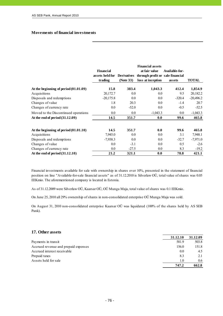### **Movements of financial investments**

|                                         |                  |                    | <b>Financial assets</b>          |                |              |
|-----------------------------------------|------------------|--------------------|----------------------------------|----------------|--------------|
|                                         | <b>Financial</b> |                    | at fair value                    | Available-for- |              |
|                                         | assets held for  | <b>Derivatives</b> | through profit or sale financial |                |              |
|                                         | trading          | (Note 33)          | loss at inception                | assets         | <b>TOTAL</b> |
| At the beginning of period $(01.01.09)$ | 15.8             | 383.4              | 1,043.3                          | 412.4          | 1,854.9      |
| Acquisitions                            | 20,172.7         | 0.0                | 0.0                              | 9.5            | 20,182.2     |
| Disposals and redemptions               | $-20,175.8$      | 0.0                | 0.0                              | $-320.4$       | $-20,496.2$  |
| Changes of value                        | 1.8              | 20.3               | 0.0                              | $-1.4$         | 20.7         |
| Changes of currency rate                | 0.0              | $-52.0$            | 0.0                              | $-0.5$         | $-52.5$      |
| Moved to the Discontinued operations    | $0.0\,$          | 0.0                | $-1,043.3$                       | $0.0\,$        | $-1,043.3$   |
| At the end of period $(31.12.09)$       | 14.5             | 351.7              | 0.0                              | 99.6           | 465.8        |
| At the beginning of period $(01.01.10)$ | 14.5             | 351.7              | 0.0                              | 99.6           | 465.8        |
| Acquisitions                            | 7,945.0          | 0.0                | 0.0                              | 3.1            | 7,948.1      |
| Disposals and redemptions               | $-7,938.3$       | 0.0                | 0.0                              | $-32.7$        | $-7,971.0$   |
| Changes of value                        | 0.0              | $-3.1$             | 0.0                              | 0.5            | $-2.6$       |
| Changes of currency rate                | 0.0              | $-27.5$            | 0.0                              | 8.3            | $-19.2$      |
| At the end of period $(31.12.10)$       | 21.2             | 321.1              | 0.0                              | 78.8           | 421.1        |

Financial investments available for sale with ownership in shares over 10%, presented in the statement of financial position on line "Available-for-sale financial assets" as of 31.12.2010 is Silverlaw OÜ, total value of shares was 0.05 EEKmio. The aforementioned company is located in Estonia.

As of 31.12.2009 were Silverlaw OÜ, Kaarsar OÜ, OÜ Munga Maja, total value of shares was 0.1 EEKmio.

On June 25, 2010 all 29% ownership of shares in non-consolidated enterprise OÜ Munga Maja was sold.

On August 31, 2010 non-consolidated enterprise Kaarsar OÜ was liquidated (100% of the shares held by AS SEB Pank).

### **17. Other assets**

|                                      | 31.12.10 | 31.12.09 |
|--------------------------------------|----------|----------|
| Payments in transit                  | 581.9    | 503.8    |
| Accrued revenue and prepaid expenses | 156.0    | 151.8    |
| Accrued interest receivable          | 0.0      | 4.5      |
| Prepaid taxes                        | 8.3      |          |
| Assets held for sale                 | 10       | 0.6      |
|                                      | 747.2    | 662.8    |

| Initsiaalid/initials | initsialiseeritud ainult identifitseerimiseks<br>Initialled for the purpose of identification only<br>initialled/initials $M, V$ . |
|----------------------|------------------------------------------------------------------------------------------------------------------------------------|
| Kuupäev/date         | 07.05.2011                                                                                                                         |
|                      | PricewaterhouseCoopers, Tallinn                                                                                                    |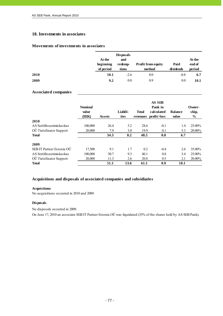## **18. Investments in associates**

## **Movements of investments in associates**

|      | At the<br>beginning<br>of period | <b>Disposals</b><br>and<br>redemp-<br>tions | <b>Profit from equity</b><br>method | Paid<br>dividends | At the<br>end of<br>period |
|------|----------------------------------|---------------------------------------------|-------------------------------------|-------------------|----------------------------|
| 2010 | 10.1                             | $-2.6$                                      | 0.0                                 | $-0.8$            | 6.7                        |
| 2009 | 9.2                              | 0.0                                         | 0.9                                 | 0.0               | 10.1                       |

### **Associated companies**

|                               | <b>Nominal</b><br>value<br>(EEK) | <b>Assets</b> | Liabili-<br>ties | <b>Total</b><br>revenues | AS SEB<br>Pank in<br>calculated<br>profit/-loss | <b>Balance</b><br>value | Owner-<br>ship,<br>$\frac{6}{6}$ |
|-------------------------------|----------------------------------|---------------|------------------|--------------------------|-------------------------------------------------|-------------------------|----------------------------------|
| 2010                          |                                  |               |                  |                          |                                                 |                         |                                  |
| AS Sertifits eerimiskes kus   | 100,000                          | 26.4          | 5.2              | 28.6                     | $-0.1$                                          | 1.4                     | 25.00%                           |
| <b>OU</b> TietoEnator Support | 20,000                           | 7.9           | 3.0              | 19.9                     | 0.1                                             | 5.3                     | 20.00%                           |
| <b>Total</b>                  |                                  | 34.3          | 8.2              | 48.5                     | 0.0                                             | 6.7                     |                                  |
| 2009                          |                                  |               |                  |                          |                                                 |                         |                                  |
| SEB IT Partner Estonia OÜ     | 17,500                           | 9.1           | 1.7              | 0.2                      | $-0.4$                                          | 2.6                     | 35.00%                           |
| AS Sertifits eerimiskes kus   | 100,000                          | 30.7          | 9.3              | 40.1                     | 0.8                                             | 5.4                     | 25.00%                           |
| OU Tieto Enator Support       | 20,000                           | 11.3          | 2.6              | 20.8                     | 0.5                                             | 2.1                     | 20.00%                           |
| <b>Total</b>                  |                                  | 51.1          | 13.6             | 61.1                     | 0.9                                             | 10.1                    |                                  |

### **Acquisitions and disposals of associated companies and subsidiaries**

#### **Acquisitions**

No acquisitions occurred in 2010 and 2009.

#### **Disposals**

No disposals occurred in 2009.

On June 17, 2010 an associate SEB IT Partner Estonia OÜ was liquidated (35% of the shares held by AS SEB Pank).

| Initsiaalid/initials | Initsialiseeritud ainult identifitseerimiseks<br>Initialled for the purpose of identification only |
|----------------------|----------------------------------------------------------------------------------------------------|
| Kuupäev/date         | 07.03.2011                                                                                         |
|                      | PricewaterhouseCoopers, Tallinn                                                                    |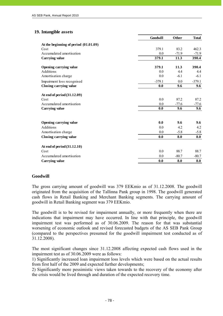# **19. Intangible assets**

|                                       | Goodwill | <b>Other</b> | <b>Total</b> |
|---------------------------------------|----------|--------------|--------------|
| At the beginning of period (01.01.09) |          |              |              |
| Cost                                  | 379.1    | 83.2         | 462.3        |
| Accumulated amortisation              | 0.0      | $-71.9$      | $-71.9$      |
| Carrying value                        | 379.1    | 11.3         | 390.4        |
|                                       | 379.1    | 11.3         | 390.4        |
| Opening carrying value<br>Additions   | 0.0      | 4.4          | 4.4          |
| Amortisation charge                   | 0.0      | $-6.1$       | $-6.1$       |
| Impairment loss recognised            | $-379.1$ | 0.0          | $-379.1$     |
| Closing carrying value                | 0.0      | 9.6          | 9.6          |
|                                       |          |              |              |
| At end of period (31.12.09)           |          |              |              |
| Cost                                  | 0.0      | 87.2         | 87.2         |
| Accumulated amortisation              | 0.0      | $-77.6$      | $-77.6$      |
| Carrying value                        | 0.0      | 9.6          | 9.6          |
|                                       |          |              |              |
| Opening carrying value                | 0.0      | 9.6          | 9.6          |
| Additions                             | 0.0      | 4.2          | 4.2          |
| Amortisation charge                   | 0.0      | $-5.8$       | $-5.8$       |
| Closing carrying value                | 0.0      | 8.0          | 8.0          |
| At end of period $(31.12.10)$         |          |              |              |
| Cost                                  | 0.0      | 88.7         | 88.7         |
| Accumulated amortisation              | 0.0      | $-80.7$      | $-80.7$      |
| Carrying value                        | 0.0      | 8.0          | 8.0          |

# **Goodwill**

The gross carrying amount of goodwill was 379 EEKmio as of 31.12.2008. The goodwill originated from the acquisition of the Tallinna Pank group in 1998. The goodwill generated cash flows in Retail Banking and Merchant Banking segments. The carrying amount of goodwill in Retail Banking segment was 379 EEKmio.

The goodwill is to be revised for impairment annually, or more frequently when there are indications that impairment may have occurred. In line with that principle, the goodwill impairment test was performed as of 30.06.2009. The reason for that was substantial worsening of economic outlook and revised forecasted budgets of the AS SEB Pank Group (compared to the perspectives presumed for the goodwill impairment test conducted as of 31.12.2008).

The most significant changes since 31.12.2008 affecting expected cash flows used in the impairment test as of 30.06.2009 were as follows:

1) Significantly increased loan impairment loss levels which were based on the actual results from first half of the 2009 and expected further developments;

2) Significantly more pessimistic views taken towards to the recovery of the economy after the crisis would be lived through and duration of the expected recovery time.

 $- 78 -$ 

Initsialiseeritud ainult identifitseerimiseks Initialled for the purpose of identification only M.V Initsiaalid/initials 07.03.2011 Kuupäev/date PricewaterhouseCoopers, Tallinn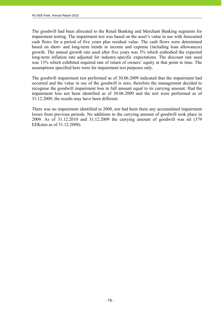The goodwill had been allocated to the Retail Banking and Merchant Banking segments for impairment testing. The impairment test was based on the asset's value in use with forecasted cash flows for a period of five years plus residual value. The cash flows were determined based on short- and long-term trends in income and expense (including loan allowances) growth. The annual growth rate used after five years was 3% which embodied the expected long-term inflation rate adjusted for industry-specific expectations. The discount rate used was 13% which exhibited required rate of return of owners' equity at that point in time. The assumptions specified here were for impairment test purposes only.

The goodwill impairment test performed as of 30.06.2009 indicated that the impairment had occurred and the value in use of the goodwill is zero, therefore the management decided to recognise the goodwill impairment loss in full amount equal to its carrying amount. Had the impairment loss not been identified as of 30.06.2009 and the test were performed as of 31.12.2009, the results may have been different.

There was no impairment identified in 2008, nor had been there any accumulated impairment losses from previous periods. No additions to the carrying amount of goodwill took place in 2009. As of 31.12.2010 and 31.12.2009 the carrying amount of goodwill was nil (379 EEKmio as of 31.12.2008).

| Initsiaalid/initials | Initsialiseeritud ainult identifitseerimiseks<br>Initialled for the purpose of identification only<br>Initiallelinitials $M.V.$ |
|----------------------|---------------------------------------------------------------------------------------------------------------------------------|
| Kuupäev/date         | 07.05.2011                                                                                                                      |
|                      | PricewaterhouseCoopers, Tallinn                                                                                                 |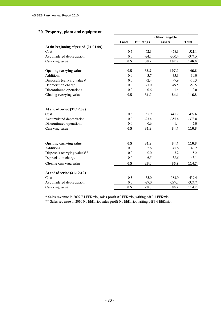# **20. Property, plant and equipment**

|                                         |      | Other tangible   |          |              |  |  |
|-----------------------------------------|------|------------------|----------|--------------|--|--|
|                                         | Land | <b>Buildings</b> | assets   | <b>Total</b> |  |  |
| At the beginning of period $(01.01.09)$ |      |                  |          |              |  |  |
| Cost                                    | 0.5  | 62.3             | 458.3    | 521.1        |  |  |
| Accumulated depreciation                | 0.0  | $-24.1$          | $-350.4$ | $-374.5$     |  |  |
| <b>Carrying value</b>                   | 0.5  | 38.2             | 107.9    | 146.6        |  |  |
| <b>Opening carrying value</b>           | 0.5  | 38.2             | 107.9    | 146.6        |  |  |
| <b>Additions</b>                        | 0.0  | 3.7              | 35.3     | 39.0         |  |  |
| Disposals (carrying value)*             | 0.0  | $-2.4$           | $-7.9$   | $-10.3$      |  |  |
| Depreciation charge                     | 0.0  | $-7.0$           | $-49.5$  | $-56.5$      |  |  |
| Discontinued operations                 | 0.0  | $-0.6$           | $-1.4$   | $-2.0$       |  |  |
| Closing carrying value                  | 0.5  | 31.9             | 84.4     | 116.8        |  |  |
| At end of period (31.12.09)             |      |                  |          |              |  |  |
| Cost                                    | 0.5  | 55.9             | 441.2    | 497.6        |  |  |
| Accumulated depreciation                | 0.0  | $-23.4$          | $-355.4$ | $-378.8$     |  |  |
| Discontinued operations                 | 0.0  | $-0.6$           | $-1.4$   | $-2.0$       |  |  |
| <b>Carrying value</b>                   | 0.5  | 31.9             | 84.4     | 116.8        |  |  |
|                                         |      |                  |          |              |  |  |
| <b>Opening carrying value</b>           | 0.5  | 31.9             | 84.4     | 116.8        |  |  |
| Additions                               | 0.0  | 2.6              | 45.6     | 48.2         |  |  |
| Disposals (carrying value)**            | 0.0  | $0.0\,$          | $-5.2$   | $-5.2$       |  |  |
| Depreciation charge                     | 0.0  | $-6.5$           | $-38.6$  | $-45.1$      |  |  |
| Closing carrying value                  | 0.5  | 28.0             | 86.2     | 114.7        |  |  |
| At end of period (31.12.10)             |      |                  |          |              |  |  |
| Cost                                    | 0.5  | 55.0             | 383.9    | 439.4        |  |  |
| Accumulated depreciation                | 0.0  | $-27.0$          | $-297.7$ | $-324.7$     |  |  |
| <b>Carrying value</b>                   | 0.5  | 28.0             | 86.2     | 114.7        |  |  |

\* Sales revenue in 2009 7.1 EEKmio, sales profit 0,0 EEKmio, writing off 3.1 EEKmio.

\*\* Sales revenue in 2010 0.0 EEKmio, sales profit 0.0 EEKmio, writing off 3.6 EEKmio.

| Initsiaalid/initials | Initsialiseeritud ainult identifitseerimiseks<br>Initialled for the purpose of identification only |
|----------------------|----------------------------------------------------------------------------------------------------|
| Kuupäev/date         | 07.05.2011                                                                                         |
|                      | PricewaterhouseCoopers, Tallinn                                                                    |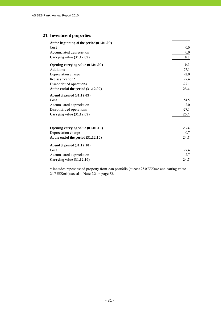# **21. Investment properties**

| At the beginning of the period (01.01.09) |         |
|-------------------------------------------|---------|
| Cost                                      | 0.0     |
| Accumulated depreciation                  | 0.0     |
| Carrying value (31.12.09)                 | 0.0     |
| Opening carrying value (01.01.09)         | 0.0     |
| Additions                                 | 27.1    |
| Depreciation charge                       | $-2.0$  |
| Reclassification*                         | 27.4    |
| Discontinued operations                   | $-27.1$ |
| At the end of the period (31.12.09)       | 25.4    |
| At end of period (31.12.09)               |         |
| Cost                                      | 54.5    |
| Accumulated depreciation                  | $-2.0$  |
| Discontinued operations                   | $-27.1$ |
| Carrying value (31.12.09)                 | 25.4    |
| Opening carrying value (01.01.10)         | 25.4    |
| Depreciation charge                       | $-0.7$  |
| At the end of the period $(31.12.10)$     | 24.7    |
| At end of period $(31.12.10)$             |         |
| Cost                                      | 27.4    |
| Accumulated depreciation                  | $-2.7$  |
| Carrying value $(31.12.10)$               | 24.7    |

\* Includes repossessed property from loan portfolio (at cost 25.0 EEKmio and carring value 24.7 EEKmio) see also Note 2.2 on page 52.

| Initsiaalid/initials | Initsialiseeritud ainult identifitseerimiseks<br>Initialled for the purpose of identification only |
|----------------------|----------------------------------------------------------------------------------------------------|
| Kuupäev/date         | 07.05.2011                                                                                         |
|                      | PricewaterhouseCoopers, Tallinn                                                                    |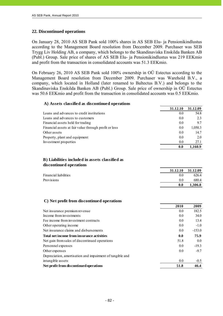### **22. Discontinued operations**

On January 28, 2010 AS SEB Pank sold 100% shares in AS SEB Elu- ja Pensionikindlustus according to the Management Board resolution from December 2009. Purchaser was SEB Trygg Liv Holding AB, a company, which belongs to the Skandinaviska Enskilda Banken AB (Publ.) Group. Sale price of shares of AS SEB Elu- ja Pensionikindlustus was 219 EEKmio and profit from the transaction in consolidated accounts was 51.3 EEKmio.

On February 26, 2010 AS SEB Pank sold 100% ownership in OÜ Estectus according to the Management Board resolution from December 2009. Purchaser was Warehold B.V., a company, which located in Holland (later renamed to Baltectus B.V.) and belongs to the Skandinaviska Enskilda Banken AB (Publ.) Group. Sale price of ownership in OÜ Estectus was 50.6 EEKmio and profit from the transaction in consolidated accounts was 0.5 EEKmio.

# **A) Assets classified as discontinued operations 31.12.10 31.12.09** Loans and advances to credit institutions 0.0 54.8 Loans and advances to customers 0.0 2.3 Financial assets held for trading the contract of the contract of the contract of the contract of the contract of the contract of the contract of the contract of the contract of the contract of the contract of the contract Financial assets at fair value through profit or loss 0.0 1,050.3 Other assets 0.0 14.7 Property, plant and equipment 0.0 2.0 Investment properties 0.0 27.1 **0.0 1,160.9 31.12.10 31.12.09** Financial liabilities 0.0 626.4 Provisions 0.0 680.4 **0.0 1,306.8 C) Net profit from discontinued operations 2010 2009** Net insurance premium revenue 0.0 182.5 Income from investments 0.0 34.0 Fee income from investment contracts 0.0 13.4 Other operating income 0.0 -1.0 Net insurance claims and disbursements 0.0 -153.0 **Total net income from insurance activities 0.0 75.9** 51.8 0.0 Personnel expenses 0.0 -19.3 Other expenses 0.0  $-9.7$  $0.0$  -0.5 **B) Liabilities included in assets classified as discontinued operations** Net gain from sales of discontinued operations Depreciation, amortisation and impairment of tangible and intangible assets

Net profit from discontinued operations 51.8 46.4

| Initsiaalid/initials | Initsialiseeritud ainult identifitseerimiseks<br>Initialled for the purpose of identification only |
|----------------------|----------------------------------------------------------------------------------------------------|
| Kuupäev/date         | 07.03.2011                                                                                         |
|                      | PricewaterhouseCoopers, Tallinn                                                                    |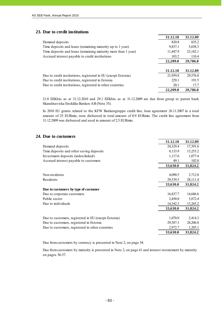### **23. Due to credit institutions**

|                                                               | 31.12.10 | 31.12.09 |
|---------------------------------------------------------------|----------|----------|
| Demand deposits                                               | 820.8    | 835.2    |
| Time deposits and loans (remaining maturity up to 1 year)     | 9,837.1  | 5,658.3  |
| Time deposits and loans (remaining maturity more than 1 year) | 11,447.9 | 23,182.1 |
| Accrued interest payable to credit institutions               | 103.2    | 110.4    |
|                                                               | 22,209.0 | 29,786.0 |
|                                                               |          |          |
|                                                               | 31.12.10 | 31.12.09 |
| Due to credit institutions, registered in EU (except Estonia) | 21,959.8 | 29,576.8 |
| Due to credit institutions, registered in Estonia             | 229.1    | 191.5    |
| Due to credit institutions, registered in other countries     | 20.1     | 17.7     |
|                                                               | 22,209.0 | 29,786.0 |

21.0 EEKbio as at 31.12.2010 and 29.1 EEKbio as at 31.12.2009 are due from group to parent bank Skandinaviska Enskilda Banken AB (Note 35).

In 2010 EU grants related to the KFW Bankengruppe credit line, loan agreement 26.11.2007 in a total amount of 25 EURmio, were disbursed in total amount of 0.9 EURmio. The credit line agreement from 31.12.2009 was disbursed and used in amount of 2.5 EURmio.

### **24. Due to customers**

|                                                     | 31.12.10 | 31.12.09 |
|-----------------------------------------------------|----------|----------|
| Demand deposits                                     | 24,329.4 | 17,391.6 |
| Time deposits and other saving deposits             | 8,133.9  | 13,253.2 |
| Investment deposits (index-linked)                  | 1,117.6  | 1,077.4  |
| Accrued interest payable to customers               | 49.1     | 102.0    |
|                                                     | 33,630.0 | 31,824.2 |
| Non-residents                                       | 4,090.5  | 3,712.8  |
| Residents                                           | 29,539.5 | 28,111.4 |
|                                                     | 33,630.0 | 31,824.2 |
| Due to customers by type of customer                |          |          |
| Due to corporate customers                          | 16,837.7 | 14,686.6 |
| Public sector                                       | 2,450.0  | 3,872.4  |
| Due to individuals                                  | 14,342.3 | 13,265.2 |
|                                                     | 33,630.0 | 31,824.2 |
| Due to customers, registered in EU (except Estonia) | 1,070.0  | 2,414.3  |
| Due to customers, registered in Estonia             | 29,587.3 | 28,206.8 |
| Due to customers, registered in other countries     | 2,972.7  | 1,203.1  |
|                                                     | 33,630.0 | 31,824.2 |

Due from customers by currency is presented in Note 2, on page 54.

Due from customers by maturity is presented in Note 2, on page 61 and interest restatement by maturity on pages 56-57.

| Initsiaalid/initials | Initsialiseeritud ainult identifitseerimiseks<br>Initialled for the purpose of identification only |
|----------------------|----------------------------------------------------------------------------------------------------|
| Kuupäev/date         | 07.05.2011                                                                                         |
|                      | PricewaterhouseCoopers, Tallinn                                                                    |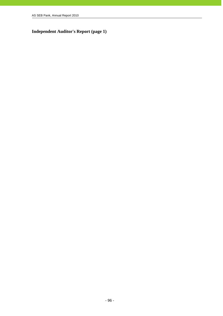# **Independent Auditor's Report (page 1)**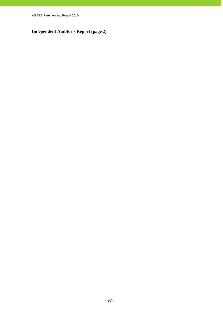**Independent Auditor's Report (page 2)**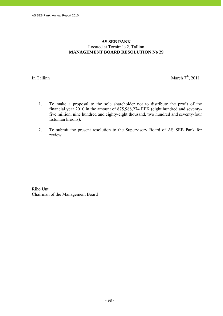# **AS SEB PANK**  Located at Tornimäe 2, Tallinn **MANAGEMENT BOARD RESOLUTION No 29**

j

In Tallinn March  $7<sup>th</sup>$ , 2011

- 1. To make a proposal to the sole shareholder not to distribute the profit of the financial year 2010 in the amount of 875,988,274 EEK (eight hundred and seventyfive million, nine hundred and eighty-eight thousand, two hundred and seventy-four Estonian kroons).
- 2. To submit the present resolution to the Supervisory Board of AS SEB Pank for review.

Riho Unt Chairman of the Management Board